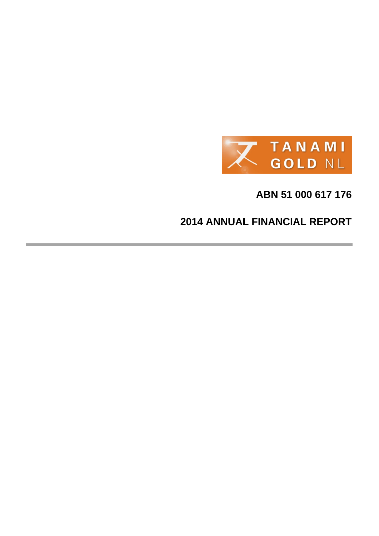

# **ABN 51 000 617 176**

# **2014 ANNUAL FINANCIAL REPORT**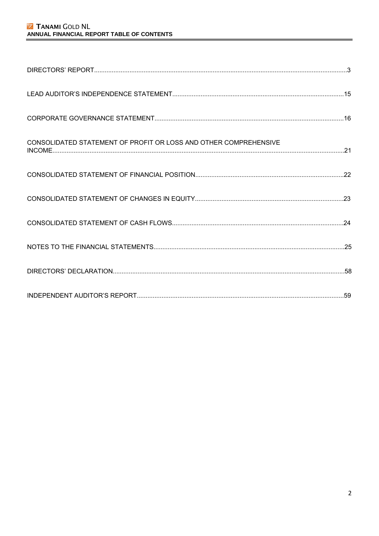# **Z TANAMI GOLD NL** ANNUAL FINANCIAL REPORT TABLE OF CONTENTS

| CONSOLIDATED STATEMENT OF PROFIT OR LOSS AND OTHER COMPREHENSIVE |  |
|------------------------------------------------------------------|--|
|                                                                  |  |
|                                                                  |  |
|                                                                  |  |
|                                                                  |  |
|                                                                  |  |
|                                                                  |  |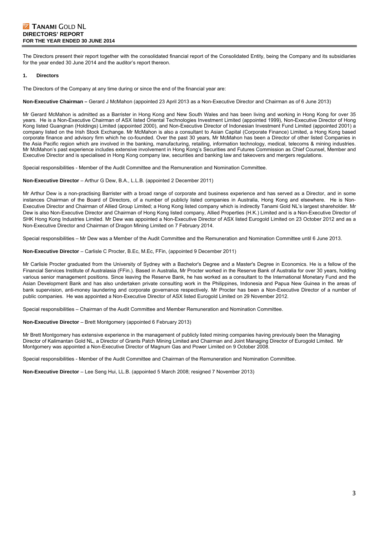# **Z TANAMI GOLD NL DIRECTORS' REPORT FOR THE YEAR ENDED 30 JUNE 2014**

The Directors present their report together with the consolidated financial report of the Consolidated Entity, being the Company and its subsidiaries for the year ended 30 June 2014 and the auditor's report thereon.

#### **1. Directors**

The Directors of the Company at any time during or since the end of the financial year are:

**Non-Executive Chairman –** Gerard J McMahon (appointed 23 April 2013 as a Non-Executive Director and Chairman as of 6 June 2013)

Mr Gerard McMahon is admitted as a Barrister in Hong Kong and New South Wales and has been living and working in Hong Kong for over 35 years. He is a Non-Executive Chairman of ASX listed Oriental Technologies Investment Limited (appointed 1999), Non-Executive Director of Hong Kong listed Guangnan (Holdings) Limited (appointed 2000), and Non-Executive Director of Indonesian Investment Fund Limited (appointed 2001) a company listed on the Irish Stock Exchange. Mr McMahon is also a consultant to Asian Capital (Corporate Finance) Limited, a Hong Kong based corporate finance and advisory firm which he co-founded. Over the past 30 years, Mr McMahon has been a Director of other listed Companies in the Asia Pacific region which are involved in the banking, manufacturing, retailing, information technology, medical, telecoms & mining industries. Mr McMahon's past experience includes extensive involvement in Hong Kong's Securities and Futures Commission as Chief Counsel, Member and Executive Director and is specialised in Hong Kong company law, securities and banking law and takeovers and mergers regulations.

Special responsibilities - Member of the Audit Committee and the Remuneration and Nomination Committee.

**Non-Executive Director** – Arthur G Dew, B.A., L.L.B. (appointed 2 December 2011)

Mr Arthur Dew is a non-practising Barrister with a broad range of corporate and business experience and has served as a Director, and in some instances Chairman of the Board of Directors, of a number of publicly listed companies in Australia, Hong Kong and elsewhere. He is Non-Executive Director and Chairman of Allied Group Limited; a Hong Kong listed company which is indirectly Tanami Gold NL's largest shareholder. Mr Dew is also Non-Executive Director and Chairman of Hong Kong listed company, Allied Properties (H.K.) Limited and is a Non-Executive Director of SHK Hong Kong Industries Limited. Mr Dew was appointed a Non-Executive Director of ASX listed Eurogold Limited on 23 October 2012 and as a Non-Executive Director and Chairman of Dragon Mining Limited on 7 February 2014.

Special responsibilities – Mr Dew was a Member of the Audit Committee and the Remuneration and Nomination Committee until 6 June 2013.

**Non-Executive Director** – Carlisle C Procter, B.Ec, M.Ec, FFin, (appointed 9 December 2011)

Mr Carlisle Procter graduated from the University of Sydney with a Bachelor's Degree and a Master's Degree in Economics. He is a fellow of the Financial Services Institute of Australasia (FFin.). Based in Australia, Mr Procter worked in the Reserve Bank of Australia for over 30 years, holding various senior management positions. Since leaving the Reserve Bank, he has worked as a consultant to the International Monetary Fund and the Asian Development Bank and has also undertaken private consulting work in the Philippines, Indonesia and Papua New Guinea in the areas of bank supervision, anti-money laundering and corporate governance respectively. Mr Procter has been a Non-Executive Director of a number of public companies. He was appointed a Non-Executive Director of ASX listed Eurogold Limited on 29 November 2012.

Special responsibilities – Chairman of the Audit Committee and Member Remuneration and Nomination Committee.

**Non-Executive Director** – Brett Montgomery (appointed 6 February 2013)

Mr Brett Montgomery has extensive experience in the management of publicly listed mining companies having previously been the Managing Director of Kalimantan Gold NL, a Director of Grants Patch Mining Limited and Chairman and Joint Managing Director of Eurogold Limited. Mr Montgomery was appointed a Non-Executive Director of Magnum Gas and Power Limited on 9 October 2008.

Special responsibilities - Member of the Audit Committee and Chairman of the Remuneration and Nomination Committee.

**Non-Executive Director** – Lee Seng Hui, LL.B. (appointed 5 March 2008; resigned 7 November 2013)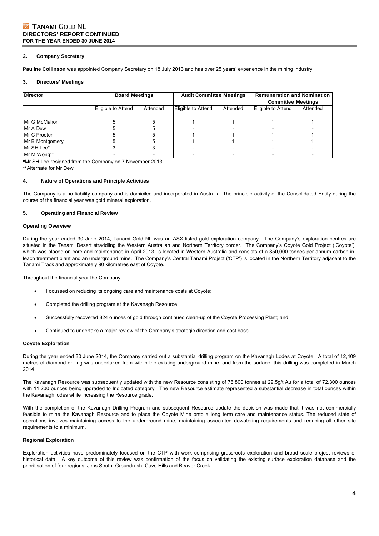#### **2. Company Secretary**

**Pauline Collinson** was appointed Company Secretary on 18 July 2013 and has over 25 years' experience in the mining industry.

#### **3. Directors' Meetings**

| Director        |                    | <b>Board Meetings</b> |                    | <b>Audit Committee Meetings</b> | <b>Remuneration and Nomination</b><br><b>Committee Meetings</b> |          |
|-----------------|--------------------|-----------------------|--------------------|---------------------------------|-----------------------------------------------------------------|----------|
|                 | Eligible to Attend | Attended              | Eligible to Attend | Attended                        | Eligible to Attend                                              | Attended |
| Mr G McMahon    |                    |                       |                    |                                 |                                                                 |          |
| Mr A Dew        |                    |                       |                    |                                 |                                                                 |          |
| Mr C Procter    |                    |                       |                    |                                 |                                                                 |          |
| Mr B Montgomery |                    |                       |                    |                                 |                                                                 |          |
| IMr SH Lee*     |                    |                       |                    |                                 |                                                                 |          |
| Mr M Wong**     |                    |                       |                    |                                 |                                                                 |          |

**\***Mr SH Lee resigned from the Company on 7 November 2013

**\*\***Alternate for Mr Dew

### **4. Nature of Operations and Principle Activities**

The Company is a no liability company and is domiciled and incorporated in Australia. The principle activity of the Consolidated Entity during the course of the financial year was gold mineral exploration.

#### **5. Operating and Financial Review**

#### **Operating Overview**

During the year ended 30 June 2014, Tanami Gold NL was an ASX listed gold exploration company. The Company's exploration centres are situated in the Tanami Desert straddling the Western Australian and Northern Territory border. The Company's Coyote Gold Project ('Coyote'), which was placed on care and maintenance in April 2013, is located in Western Australia and consists of a 350,000 tonnes per annum carbon-inleach treatment plant and an underground mine. The Company's Central Tanami Project ('CTP') is located in the Northern Territory adjacent to the Tanami Track and approximately 90 kilometres east of Coyote.

Throughout the financial year the Company:

- Focussed on reducing its ongoing care and maintenance costs at Coyote;
- Completed the drilling program at the Kavanagh Resource;
- Successfully recovered 824 ounces of gold through continued clean-up of the Coyote Processing Plant; and
- Continued to undertake a major review of the Company's strategic direction and cost base.

#### **Coyote Exploration**

During the year ended 30 June 2014, the Company carried out a substantial drilling program on the Kavanagh Lodes at Coyote. A total of 12,409 metres of diamond drilling was undertaken from within the existing underground mine, and from the surface, this drilling was completed in March 2014.

The Kavanagh Resource was subsequently updated with the new Resource consisting of 76,800 tonnes at 29.5g/t Au for a total of 72.300 ounces with 11,200 ounces being upgraded to Indicated category. The new Resource estimate represented a substantial decrease in total ounces within the Kavanagh lodes while increasing the Resource grade.

With the completion of the Kavanagh Drilling Program and subsequent Resource update the decision was made that it was not commercially feasible to mine the Kavanagh Resource and to place the Coyote Mine onto a long term care and maintenance status. The reduced state of operations involves maintaining access to the underground mine, maintaining associated dewatering requirements and reducing all other site requirements to a minimum.

#### **Regional Exploration**

Exploration activities have predominately focused on the CTP with work comprising grassroots exploration and broad scale project reviews of historical data. A key outcome of this review was confirmation of the focus on validating the existing surface exploration database and the prioritisation of four regions; Jims South, Groundrush, Cave Hills and Beaver Creek.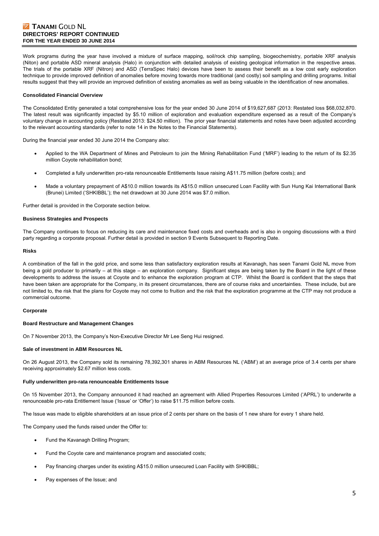# **Z TANAMI GOLD NL DIRECTORS' REPORT CONTINUED FOR THE YEAR ENDED 30 JUNE 2014**

Work programs during the year have involved a mixture of surface mapping, soil/rock chip sampling, biogeochemistry, portable XRF analysis (Niton) and portable ASD mineral analysis (Halo) in conjunction with detailed analysis of existing geological information in the respective areas. The trials of the portable XRF (Nitron) and ASD (TerraSpec Halo) devices have been to assess their benefit as a low cost early exploration technique to provide improved definition of anomalies before moving towards more traditional (and costly) soil sampling and drilling programs. Initial results suggest that they will provide an improved definition of existing anomalies as well as being valuable in the identification of new anomalies.

#### **Consolidated Financial Overview**

The Consolidated Entity generated a total comprehensive loss for the year ended 30 June 2014 of \$19,627,687 (2013: Restated loss \$68,032,870. The latest result was significantly impacted by \$5.10 million of exploration and evaluation expenditure expensed as a result of the Company's voluntary change in accounting policy (Restated 2013: \$24.50 million). The prior year financial statements and notes have been adjusted according to the relevant accounting standards (refer to note 14 in the Notes to the Financial Statements).

During the financial year ended 30 June 2014 the Company also:

- Applied to the WA Department of Mines and Petroleum to join the Mining Rehabilitation Fund ('MRF') leading to the return of its \$2.35 million Coyote rehabilitation bond;
- Completed a fully underwritten pro-rata renounceable Entitlements Issue raising A\$11.75 million (before costs); and
- Made a voluntary prepayment of A\$10.0 million towards its A\$15.0 million unsecured Loan Facility with Sun Hung Kai International Bank (Brunei) Limited ('SHKIBBL'); the net drawdown at 30 June 2014 was \$7.0 million.

Further detail is provided in the Corporate section below.

#### **Business Strategies and Prospects**

The Company continues to focus on reducing its care and maintenance fixed costs and overheads and is also in ongoing discussions with a third party regarding a corporate proposal. Further detail is provided in section 9 Events Subsequent to Reporting Date.

#### **Risks**

A combination of the fall in the gold price, and some less than satisfactory exploration results at Kavanagh, has seen Tanami Gold NL move from being a gold producer to primarily – at this stage – an exploration company. Significant steps are being taken by the Board in the light of these developments to address the issues at Coyote and to enhance the exploration program at CTP. Whilst the Board is confident that the steps that have been taken are appropriate for the Company, in its present circumstances, there are of course risks and uncertainties. These include, but are not limited to, the risk that the plans for Coyote may not come to fruition and the risk that the exploration programme at the CTP may not produce a commercial outcome.

#### **Corporate**

#### **Board Restructure and Management Changes**

On 7 November 2013, the Company's Non-Executive Director Mr Lee Seng Hui resigned.

#### **Sale of investment in ABM Resources NL**

On 26 August 2013, the Company sold its remaining 78,392,301 shares in ABM Resources NL ('ABM') at an average price of 3.4 cents per share receiving approximately \$2.67 million less costs.

#### **Fully underwritten pro-rata renounceable Entitlements Issue**

On 15 November 2013, the Company announced it had reached an agreement with Allied Properties Resources Limited ('APRL') to underwrite a renounceable pro-rata Entitlement Issue ('Issue' or 'Offer') to raise \$11.75 million before costs.

The Issue was made to eligible shareholders at an issue price of 2 cents per share on the basis of 1 new share for every 1 share held.

The Company used the funds raised under the Offer to:

- Fund the Kavanagh Drilling Program;
- Fund the Coyote care and maintenance program and associated costs;
- Pay financing charges under its existing A\$15.0 million unsecured Loan Facility with SHKIBBL;
- Pay expenses of the Issue; and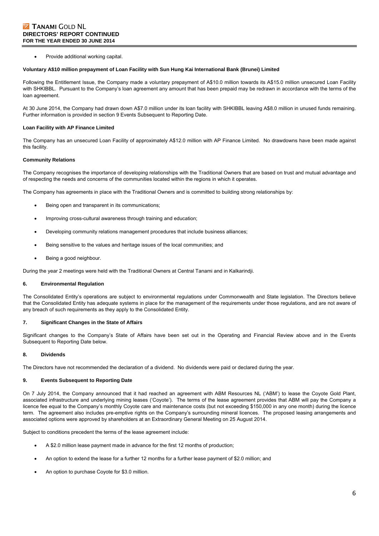Provide additional working capital.

#### **Voluntary A\$10 million prepayment of Loan Facility with Sun Hung Kai International Bank (Brunei) Limited**

Following the Entitlement Issue, the Company made a voluntary prepayment of A\$10.0 million towards its A\$15.0 million unsecured Loan Facility with SHKIBBL. Pursuant to the Company's loan agreement any amount that has been prepaid may be redrawn in accordance with the terms of the loan agreement.

At 30 June 2014, the Company had drawn down A\$7.0 million under its loan facility with SHKIBBL leaving A\$8.0 million in unused funds remaining. Further information is provided in section 9 Events Subsequent to Reporting Date.

#### **Loan Facility with AP Finance Limited**

The Company has an unsecured Loan Facility of approximately A\$12.0 million with AP Finance Limited. No drawdowns have been made against this facility.

#### **Community Relations**

The Company recognises the importance of developing relationships with the Traditional Owners that are based on trust and mutual advantage and of respecting the needs and concerns of the communities located within the regions in which it operates.

The Company has agreements in place with the Traditional Owners and is committed to building strong relationships by:

- Being open and transparent in its communications;
- Improving cross-cultural awareness through training and education;
- Developing community relations management procedures that include business alliances;
- Being sensitive to the values and heritage issues of the local communities; and
- Being a good neighbour.

During the year 2 meetings were held with the Traditional Owners at Central Tanami and in Kalkarindji.

#### **6. Environmental Regulation**

The Consolidated Entity's operations are subject to environmental regulations under Commonwealth and State legislation. The Directors believe that the Consolidated Entity has adequate systems in place for the management of the requirements under those regulations, and are not aware of any breach of such requirements as they apply to the Consolidated Entity.

#### **7. Significant Changes in the State of Affairs**

Significant changes to the Company's State of Affairs have been set out in the Operating and Financial Review above and in the Events Subsequent to Reporting Date below.

### **8. Dividends**

The Directors have not recommended the declaration of a dividend. No dividends were paid or declared during the year.

#### **9. Events Subsequent to Reporting Date**

On 7 July 2014, the Company announced that it had reached an agreement with ABM Resources NL ('ABM') to lease the Coyote Gold Plant, associated infrastructure and underlying mining leases ('Coyote'). The terms of the lease agreement provides that ABM will pay the Company a licence fee equal to the Company's monthly Coyote care and maintenance costs (but not exceeding \$150,000 in any one month) during the licence term. The agreement also includes pre-emptive rights on the Company's surrounding mineral licences. The proposed leasing arrangements and associated options were approved by shareholders at an Extraordinary General Meeting on 25 August 2014.

Subject to conditions precedent the terms of the lease agreement include:

- A \$2.0 million lease payment made in advance for the first 12 months of production;
- An option to extend the lease for a further 12 months for a further lease payment of \$2.0 million; and
- An option to purchase Coyote for \$3.0 million.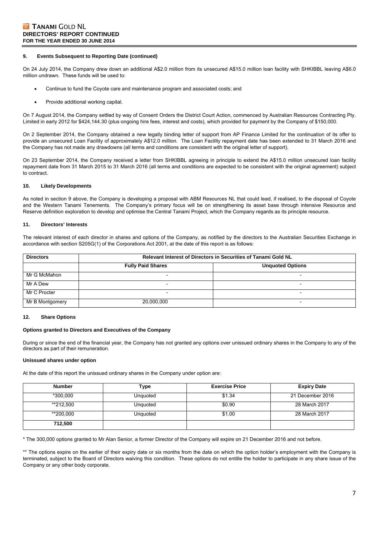#### **9. Events Subsequent to Reporting Date (continued)**

On 24 July 2014, the Company drew down an additional A\$2.0 million from its unsecured A\$15.0 million loan facility with SHKIBBL leaving A\$6.0 million undrawn. These funds will be used to:

- Continue to fund the Coyote care and maintenance program and associated costs; and
- Provide additional working capital.

On 7 August 2014, the Company settled by way of Consent Orders the District Court Action, commenced by Australian Resources Contracting Pty. Limited in early 2012 for \$424,144.30 (plus ongoing hire fees, interest and costs), which provided for payment by the Company of \$150,000.

On 2 September 2014, the Company obtained a new legally binding letter of support from AP Finance Limited for the continuation of its offer to provide an unsecured Loan Facility of approximately A\$12.0 million. The Loan Facility repayment date has been extended to 31 March 2016 and the Company has not made any drawdowns (all terms and conditions are consistent with the original letter of support).

On 23 September 2014, the Company received a letter from SHKIBBL agreeing in principle to extend the A\$15.0 million unsecured loan facility repayment date from 31 March 2015 to 31 March 2016 (all terms and conditions are expected to be consistent with the original agreement) subject to contract.

#### **10. Likely Developments**

As noted in section 9 above, the Company is developing a proposal with ABM Resources NL that could lead, if realised, to the disposal of Coyote and the Western Tanami Tenements. The Company's primary focus will be on strengthening its asset base through intensive Resource and Reserve definition exploration to develop and optimise the Central Tanami Project, which the Company regards as its principle resource.

#### **11. Directors' Interests**

The relevant interest of each director in shares and options of the Company, as notified by the directors to the Australian Securities Exchange in accordance with section S205G(1) of the Corporations Act 2001, at the date of this report is as follows:

| <b>Directors</b> | <b>Relevant Interest of Directors in Securities of Tanami Gold NL</b> |                          |  |  |  |  |
|------------------|-----------------------------------------------------------------------|--------------------------|--|--|--|--|
|                  | <b>Fully Paid Shares</b>                                              | <b>Unquoted Options</b>  |  |  |  |  |
| Mr G McMahon     | -                                                                     |                          |  |  |  |  |
| Mr A Dew         | $\overline{\phantom{a}}$                                              | $\overline{\phantom{a}}$ |  |  |  |  |
| Mr C Procter     | $\overline{\phantom{0}}$                                              | $\overline{\phantom{0}}$ |  |  |  |  |
| Mr B Montgomery  | 20,000,000                                                            | $\overline{\phantom{0}}$ |  |  |  |  |

#### **12. Share Options**

#### **Options granted to Directors and Executives of the Company**

During or since the end of the financial year, the Company has not granted any options over unissued ordinary shares in the Company to any of the directors as part of their remuneration.

#### **Unissued shares under option**

At the date of this report the unissued ordinary shares in the Company under option are:

| <b>Number</b> | Type     | <b>Exercise Price</b> | <b>Expiry Date</b> |
|---------------|----------|-----------------------|--------------------|
| *300.000      | Unquoted | \$1.34                | 21 December 2016   |
| **212.500     | Unquoted | \$0.90                | 28 March 2017      |
| **200,000     | Unquoted | \$1.00                | 28 March 2017      |
| 712,500       |          |                       |                    |

\* The 300,000 options granted to Mr Alan Senior, a former Director of the Company will expire on 21 December 2016 and not before.

\*\* The options expire on the earlier of their expiry date or six months from the date on which the option holder's employment with the Company is terminated, subject to the Board of Directors waiving this condition. These options do not entitle the holder to participate in any share issue of the Company or any other body corporate.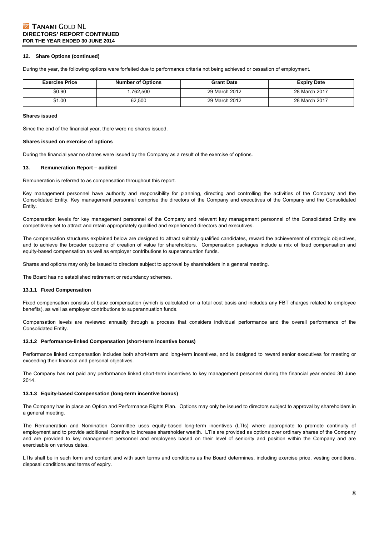# **Z TANAMI GOLD NL DIRECTORS' REPORT CONTINUED FOR THE YEAR ENDED 30 JUNE 2014**

#### **12. Share Options (continued)**

During the year, the following options were forfeited due to performance criteria not being achieved or cessation of employment.

| <b>Exercise Price</b> | <b>Number of Options</b> | <b>Grant Date</b> | <b>Expiry Date</b> |
|-----------------------|--------------------------|-------------------|--------------------|
| \$0.90                | .762.500                 | 29 March 2012     | 28 March 2017      |
| \$1.00                | 62.500                   | 29 March 2012     | 28 March 2017      |

#### **Shares issued**

Since the end of the financial year, there were no shares issued.

#### **Shares issued on exercise of options**

During the financial year no shares were issued by the Company as a result of the exercise of options.

#### **13. Remuneration Report – audited**

Remuneration is referred to as compensation throughout this report.

Key management personnel have authority and responsibility for planning, directing and controlling the activities of the Company and the Consolidated Entity. Key management personnel comprise the directors of the Company and executives of the Company and the Consolidated Entity.

Compensation levels for key management personnel of the Company and relevant key management personnel of the Consolidated Entity are competitively set to attract and retain appropriately qualified and experienced directors and executives.

The compensation structures explained below are designed to attract suitably qualified candidates, reward the achievement of strategic objectives, and to achieve the broader outcome of creation of value for shareholders. Compensation packages include a mix of fixed compensation and equity-based compensation as well as employer contributions to superannuation funds.

Shares and options may only be issued to directors subject to approval by shareholders in a general meeting.

The Board has no established retirement or redundancy schemes.

#### **13.1.1 Fixed Compensation**

Fixed compensation consists of base compensation (which is calculated on a total cost basis and includes any FBT charges related to employee benefits), as well as employer contributions to superannuation funds.

Compensation levels are reviewed annually through a process that considers individual performance and the overall performance of the Consolidated Entity.

#### **13.1.2 Performance-linked Compensation (short-term incentive bonus)**

Performance linked compensation includes both short-term and long-term incentives, and is designed to reward senior executives for meeting or exceeding their financial and personal objectives.

The Company has not paid any performance linked short-term incentives to key management personnel during the financial year ended 30 June 2014.

#### **13.1.3 Equity-based Compensation (long-term incentive bonus)**

The Company has in place an Option and Performance Rights Plan. Options may only be issued to directors subject to approval by shareholders in a general meeting.

The Remuneration and Nomination Committee uses equity-based long-term incentives (LTIs) where appropriate to promote continuity of employment and to provide additional incentive to increase shareholder wealth. LTIs are provided as options over ordinary shares of the Company and are provided to key management personnel and employees based on their level of seniority and position within the Company and are exercisable on various dates.

LTIs shall be in such form and content and with such terms and conditions as the Board determines, including exercise price, vesting conditions, disposal conditions and terms of expiry.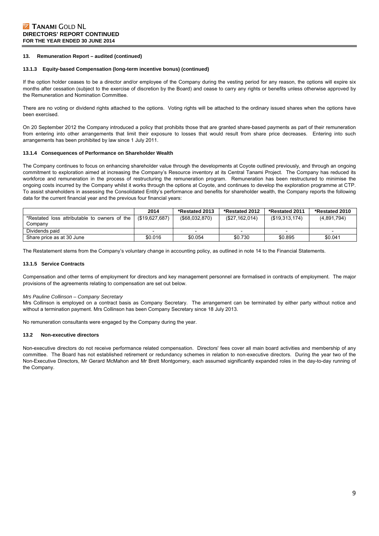#### **13. Remuneration Report – audited (continued)**

#### **13.1.3 Equity-based Compensation (long-term incentive bonus) (continued)**

If the option holder ceases to be a director and/or employee of the Company during the vesting period for any reason, the options will expire six months after cessation (subject to the exercise of discretion by the Board) and cease to carry any rights or benefits unless otherwise approved by the Remuneration and Nomination Committee.

There are no voting or dividend rights attached to the options. Voting rights will be attached to the ordinary issued shares when the options have been exercised.

On 20 September 2012 the Company introduced a policy that prohibits those that are granted share-based payments as part of their remuneration from entering into other arrangements that limit their exposure to losses that would result from share price decreases. Entering into such arrangements has been prohibited by law since 1 July 2011.

#### **13.1.4 Consequences of Performance on Shareholder Wealth**

The Company continues to focus on enhancing shareholder value through the developments at Coyote outlined previously, and through an ongoing commitment to exploration aimed at increasing the Company's Resource inventory at its Central Tanami Project. The Company has reduced its workforce and remuneration in the process of restructuring the remuneration program. Remuneration has been restructured to minimise the ongoing costs incurred by the Company whilst it works through the options at Coyote, and continues to develop the exploration programme at CTP. To assist shareholders in assessing the Consolidated Entity's performance and benefits for shareholder wealth, the Company reports the following data for the current financial year and the previous four financial years:

|                                              | 2014           | *Restated 2013    | *Restated 2012 | *Restated 2011 | *Restated 2010 |
|----------------------------------------------|----------------|-------------------|----------------|----------------|----------------|
| *Restated loss attributable to owners of the | (\$19.627.687) | $($ \$68,032,870) | (\$27,162,014) | (\$19,313,174) | (4,891,794)    |
| Company                                      |                |                   |                |                |                |
| Dividends paid                               |                |                   |                |                |                |
| Share price as at 30 June                    | \$0.016        | \$0.054           | \$0.730        | \$0.895        | \$0.041        |

The Restatement stems from the Company's voluntary change in accounting policy, as outlined in note 14 to the Financial Statements.

#### **13.1.5 Service Contracts**

Compensation and other terms of employment for directors and key management personnel are formalised in contracts of employment. The major provisions of the agreements relating to compensation are set out below.

#### *Mrs Pauline Collinson – Company Secretary*

Mrs Collinson is employed on a contract basis as Company Secretary. The arrangement can be terminated by either party without notice and without a termination payment. Mrs Collinson has been Company Secretary since 18 July 2013.

No remuneration consultants were engaged by the Company during the year.

#### **13.2 Non-executive directors**

Non-executive directors do not receive performance related compensation. Directors' fees cover all main board activities and membership of any committee. The Board has not established retirement or redundancy schemes in relation to non-executive directors. During the year two of the Non-Executive Directors, Mr Gerard McMahon and Mr Brett Montgomery, each assumed significantly expanded roles in the day-to-day running of the Company.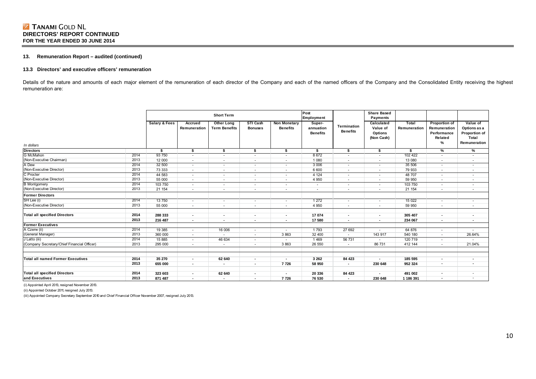### **13. Remuneration Report – audited (continued)**

#### **13.3 Directors' and executive officers' remuneration**

Details of the nature and amounts of each major element of the remuneration of each director of the Company and each of the named officers of the Company and the Consolidated Entity receiving the highest remuneration are:

|                                             |                          | <b>Short Term</b> |                          |                                           |                            |                                        | Post<br>Employment                     | <b>Share Based</b><br><b>Payments</b> |                                                 |                       |                                                                     |                                                                    |
|---------------------------------------------|--------------------------|-------------------|--------------------------|-------------------------------------------|----------------------------|----------------------------------------|----------------------------------------|---------------------------------------|-------------------------------------------------|-----------------------|---------------------------------------------------------------------|--------------------------------------------------------------------|
| In dollars                                  | <b>Salary &amp; Fees</b> |                   | Accrued<br>Remuneration  | <b>Other Long</b><br><b>Term Benefits</b> | STI Cash<br><b>Bonuses</b> | <b>Non Monetary</b><br><b>Benefits</b> | Super-<br>annuation<br><b>Benefits</b> | Termination<br><b>Benefits</b>        | Calculated<br>Value of<br>Options<br>(Non Cash) | Total<br>Remuneration | <b>Proportion of</b><br>Remuneration<br>Performance<br>Related<br>% | Value of<br>Options as a<br>Proportion of<br>Total<br>Remuneration |
| Directors<br>G McMahon                      |                          | \$                | \$                       | \$                                        | \$                         | \$                                     | s.                                     | \$                                    | \$                                              | s                     | $\frac{9}{6}$                                                       | %                                                                  |
|                                             | 2014                     | 93 750            | $\sim$                   | $\sim$                                    | $\sim$                     | $\sim$                                 | 8672                                   | $\sim$                                | $\overline{\phantom{a}}$                        | 102 422               | $\overline{\phantom{a}}$                                            | $\sim$                                                             |
| (Non-Executive Chairman)                    | 2013                     | 12 000            | $\overline{\phantom{a}}$ | $\overline{\phantom{a}}$                  | ٠                          | $\sim$                                 | 1 0 8 0                                | $\overline{\phantom{a}}$              | $\sim$                                          | 13 080                | ٠                                                                   | ٠                                                                  |
| A Dew                                       | 2014                     | 32 500            | $\sim$                   | $\sim$                                    | $\sim$                     | $\sim$                                 | 3 0 06                                 | $\overline{\phantom{a}}$              | $\sim$                                          | 35 506                | ٠                                                                   | ٠                                                                  |
| (Non-Executive Director)                    | 2013                     | 73 333            | $\sim$                   | $\overline{\phantom{a}}$                  | ٠                          | $\sim$                                 | 6 600                                  | $\overline{\phantom{a}}$              | ٠                                               | 79 933                | ٠                                                                   | ٠                                                                  |
| C Procter                                   | 2014                     | 44 583            | $\sim$                   | $\sim$                                    | $\sim$                     | $\sim$                                 | 4 1 2 4                                | $\sim$                                | $\overline{\phantom{a}}$                        | 48 707                | $\sim$                                                              | ٠                                                                  |
| (Non-Executive Director)                    | 2013                     | 55 000            | $\sim$                   | $\overline{\phantom{a}}$                  | ٠                          | ٠                                      | 4 9 5 0                                | $\overline{\phantom{a}}$              | ٠                                               | 59 950                |                                                                     |                                                                    |
| <b>B</b> Montgomery                         | 2014                     | 103 750           | $\sim$                   | $\overline{\phantom{a}}$                  | $\sim$                     | $\sim$                                 | $\overline{\phantom{a}}$               | $\overline{\phantom{a}}$              | $\sim$                                          | 103 750               | ٠                                                                   |                                                                    |
| (Non-Executive Director)                    | 2013                     | 21 154            | ٠                        | $\sim$                                    | ٠                          | ٠                                      | ٠                                      | ٠                                     | ٠                                               | 21 154                | ٠                                                                   | ٠                                                                  |
| <b>Former Directors</b>                     |                          |                   |                          |                                           |                            |                                        |                                        |                                       |                                                 |                       |                                                                     |                                                                    |
| SH Lee (i)                                  | 2014                     | 13750             | $\sim$                   | $\sim$                                    | $\sim$                     | $\sim$                                 | 1 2 7 2                                | $\overline{\phantom{a}}$              | $\overline{\phantom{a}}$                        | 15 0 22               | ٠                                                                   |                                                                    |
| (Non-Executive Director)                    | 2013                     | 55 000            | $\sim$                   | $\overline{\phantom{a}}$                  | ٠                          | $\sim$                                 | 4 9 5 0                                | $\overline{\phantom{a}}$              | ٠                                               | 59 950                | ٠                                                                   | ٠                                                                  |
| Total all specified Directors               | 2014                     | 288 333           | $\overline{\phantom{a}}$ | $\blacksquare$                            | $\blacksquare$             | $\overline{\phantom{a}}$               | 17 074                                 | $\overline{\phantom{a}}$              | $\blacksquare$                                  | 305 407               | $\blacksquare$                                                      | $\overline{\phantom{a}}$                                           |
|                                             | 2013                     | 216 487           | $\blacksquare$           | $\overline{\phantom{a}}$                  | $\blacksquare$             | $\sim$                                 | 17 580                                 | $\overline{\phantom{a}}$              | $\blacksquare$                                  | 234 067               | $\blacksquare$                                                      | $\overline{\phantom{a}}$                                           |
| <b>Former Executives</b>                    |                          |                   |                          |                                           |                            |                                        |                                        |                                       |                                                 |                       |                                                                     |                                                                    |
| A Czerw (ii)                                | 2014                     | 19 3 85           | $\sim$                   | 16 006                                    | $\sim$                     | $\sim$                                 | 1793                                   | 27 692                                | ٠                                               | 64 876                | $\overline{\phantom{a}}$                                            |                                                                    |
| (General Manager)                           | 2013                     | 360 000           | $\overline{\phantom{a}}$ | $\overline{\phantom{a}}$                  | ٠                          | 3863                                   | 32 400                                 | $\sim$                                | 143 917                                         | 540 180               | ٠                                                                   | 26.64%                                                             |
| J Latto (iii)                               | 2014                     | 15 885            | $\sim$                   | 46 634                                    | $\sim$                     | $\sim$                                 | 1469                                   | 56 731                                | $\sim$                                          | 120 719               | $\sim$                                                              | ×.                                                                 |
| (Company Secretary/Chief Financial Officer) | 2013                     | 295 000           |                          | $\sim$                                    | ٠                          | 3 8 6 3                                | 26 550                                 | $\sim$                                | 86 731                                          | 412 144               | ٠                                                                   | 21.04%                                                             |
|                                             |                          |                   |                          |                                           |                            |                                        |                                        |                                       |                                                 |                       |                                                                     |                                                                    |
| Total all named Former Executives           | 2014                     | 35 270            | $\overline{\phantom{a}}$ | 62 640                                    | $\overline{\phantom{a}}$   | $\overline{\phantom{a}}$               | 3 2 6 2                                | 84 423                                | $\blacksquare$                                  | 185 595               | $\overline{\phantom{a}}$                                            | ٠                                                                  |
|                                             | 2013                     | 655 000           | $\blacksquare$           | $\blacksquare$                            | ٠                          | 7726                                   | 58 950                                 | $\overline{\phantom{a}}$              | 230 648                                         | 952 324               | $\blacksquare$                                                      | ٠                                                                  |
| <b>Total all specified Directors</b>        | 2014                     | 323 603           | $\blacksquare$           | 62 640                                    | $\overline{\phantom{a}}$   | $\overline{\phantom{a}}$               | 20 336                                 | 84 423                                | $\blacksquare$                                  | 491 002               |                                                                     | ٠                                                                  |
| and Executives                              | 2013                     | 871 487           | $\overline{\phantom{a}}$ | $\overline{\phantom{a}}$                  | $\blacksquare$             | 7726                                   | 76 530                                 | $\blacksquare$                        | 230 648                                         | 1 186 391             | $\blacksquare$                                                      | ٠                                                                  |

(i) Appointed April 2013, resigned November 2013.

(ii) Appointed October 2011, resigned July 2013.

(iii) Appointed Company Secretary September 2010 and Chief Financial Officer November 2007, resigned July 2013.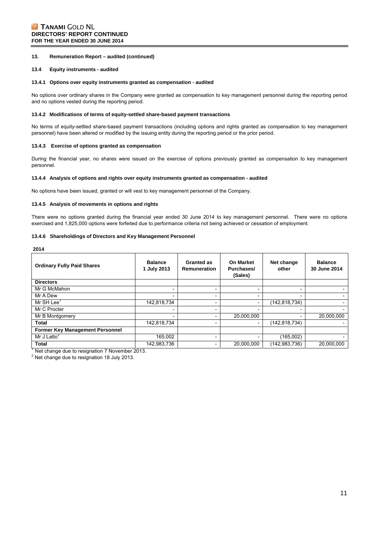#### **13. Remuneration Report – audited (continued)**

#### **13.4 Equity instruments - audited**

#### **13.4.1 Options over equity instruments granted as compensation - audited**

No options over ordinary shares in the Company were granted as compensation to key management personnel during the reporting period and no options vested during the reporting period.

#### **13.4.2 Modifications of terms of equity-settled share-based payment transactions**

No terms of equity-settled share-based payment transactions (including options and rights granted as compensation to key management personnel) have been altered or modified by the issuing entity during the reporting period or the prior period.

#### **13.4.3 Exercise of options granted as compensation**

During the financial year, no shares were issued on the exercise of options previously granted as compensation to key management personnel.

#### **13.4.4 Analysis of options and rights over equity instruments granted as compensation - audited**

No options have been issued, granted or will vest to key management personnel of the Company.

#### **13.4.5 Analysis of movements in options and rights**

There were no options granted during the financial year ended 30 June 2014 to key management personnel. There were no options exercised and 1,825,000 options were forfeited due to performance criteria not being achieved or cessation of employment.

#### **13.4.6 Shareholdings of Directors and Key Management Personnel**

**2014** 

| <b>Ordinary Fully Paid Shares</b>      | <b>Balance</b><br>1 July 2013 | <b>Granted as</b><br>Remuneration | <b>On Market</b><br>Purchases/<br>(Sales) | Net change<br>other      | <b>Balance</b><br>30 June 2014 |
|----------------------------------------|-------------------------------|-----------------------------------|-------------------------------------------|--------------------------|--------------------------------|
| <b>Directors</b>                       |                               |                                   |                                           |                          |                                |
| Mr G McMahon                           | $\overline{\phantom{a}}$      | $\overline{\phantom{a}}$          | $\overline{\phantom{a}}$                  | $\overline{\phantom{0}}$ |                                |
| Mr A Dew                               | $\overline{\phantom{0}}$      |                                   |                                           | $\overline{\phantom{0}}$ |                                |
| Mr SH Lee <sup>1</sup>                 | 142,818,734                   | -                                 | $\overline{\phantom{a}}$                  | (142,818,734)            |                                |
| Mr C Procter                           | $\overline{\phantom{a}}$      | $\overline{\phantom{a}}$          | $\overline{\phantom{a}}$                  | $\overline{\phantom{0}}$ |                                |
| Mr B Montgomery                        | $\overline{\phantom{0}}$      |                                   | 20,000,000                                |                          | 20,000,000                     |
| <b>Total</b>                           | 142,818,734                   |                                   |                                           | (142, 818, 734)          |                                |
| <b>Former Key Management Personnel</b> |                               |                                   |                                           |                          |                                |
| Mr J Latto $2$                         | 165.002                       | $\overline{\phantom{a}}$          |                                           | (165,002)                |                                |
| <b>Total</b>                           | 142,983,736                   | $\overline{\phantom{a}}$          | 20,000,000                                | (142,983,736)            | 20,000,000                     |

<sup>1</sup> Net change due to resignation 7 November 2013.

 $2$  Net change due to resignation 18 July 2013.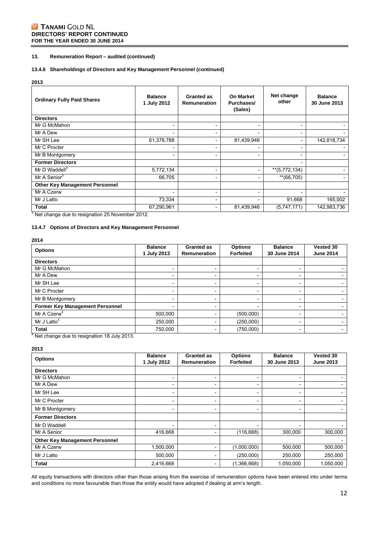# **Z TANAMI GOLD NL DIRECTORS' REPORT CONTINUED FOR THE YEAR ENDED 30 JUNE 2014**

### **13. Remuneration Report – audited (continued)**

### **13.4.6 Shareholdings of Directors and Key Management Personnel (continued)**

#### **2013**

| <b>Ordinary Fully Paid Shares</b>               | <b>Balance</b><br>1 July 2012 | Granted as<br>Remuneration | <b>On Market</b><br>Purchases/<br>(Sales) | Net change<br>other      | <b>Balance</b><br>30 June 2013 |
|-------------------------------------------------|-------------------------------|----------------------------|-------------------------------------------|--------------------------|--------------------------------|
| <b>Directors</b>                                |                               |                            |                                           |                          |                                |
| Mr G McMahon                                    | $\overline{\phantom{0}}$      |                            | $\overline{\phantom{a}}$                  |                          |                                |
| Mr A Dew                                        |                               |                            |                                           |                          |                                |
| Mr SH Lee                                       | 61,378,788                    | $\overline{\phantom{a}}$   | 81,439,946                                |                          | 142,818,734                    |
| Mr C Procter                                    |                               |                            |                                           |                          |                                |
| Mr B Montgomery                                 | $\overline{\phantom{0}}$      |                            | $\overline{\phantom{a}}$                  |                          |                                |
| <b>Former Directors</b>                         |                               |                            |                                           | $\overline{\phantom{a}}$ |                                |
| Mr D Waddell <sup>3</sup>                       | 5,772,134                     | $\overline{\phantom{a}}$   |                                           | $**$ (5,772,134)         |                                |
| Mr A Senior <sup>3</sup>                        | 66,705                        | $\overline{\phantom{a}}$   |                                           | $**(66,705)$             |                                |
| <b>Other Key Management Personnel</b>           |                               |                            |                                           |                          |                                |
| Mr A Czerw                                      |                               |                            |                                           |                          |                                |
| Mr J Latto                                      | 73,334                        |                            |                                           | 91,668                   | 165,002                        |
| <b>Total</b>                                    | 67,290,961                    | $\overline{\phantom{a}}$   | 81,439,946                                | (5,747,171)              | 142,983,736                    |
| Net change due to resignation 25 November 2012. |                               |                            |                                           |                          |                                |

# **13.4.7 Options of Directors and Key Management Personnel**

# **2014**

| <b>Options</b>                         | <b>Balance</b><br>1 July 2013 | <b>Granted as</b><br><b>Remuneration</b> | <b>Options</b><br><b>Forfeited</b> | <b>Balance</b><br>30 June 2014 | Vested 30<br><b>June 2014</b> |
|----------------------------------------|-------------------------------|------------------------------------------|------------------------------------|--------------------------------|-------------------------------|
| <b>Directors</b>                       |                               |                                          |                                    |                                |                               |
| Mr G McMahon                           |                               |                                          |                                    |                                |                               |
| Mr A Dew                               |                               |                                          |                                    |                                |                               |
| Mr SH Lee                              |                               |                                          |                                    |                                |                               |
| Mr C Procter                           |                               | $\overline{\phantom{0}}$                 | -                                  | $\overline{\phantom{0}}$       |                               |
| Mr B Montgomery                        |                               |                                          |                                    |                                |                               |
| <b>Former Key Management Personnel</b> |                               |                                          |                                    | $\overline{\phantom{a}}$       |                               |
| Mr A Czerw <sup>4</sup>                | 500,000                       |                                          | (500,000)                          |                                |                               |
| Mr J Latto <sup>4</sup>                | 250,000                       |                                          | (250,000)                          | $\overline{\phantom{0}}$       |                               |
| <b>Total</b>                           | 750,000                       | $\overline{\phantom{a}}$                 | (750,000)                          | $\overline{\phantom{a}}$       |                               |

### **2013**

| <b>Options</b>                        | <b>Balance</b><br>1 July 2012 | <b>Granted as</b><br>Remuneration | <b>Options</b><br><b>Forfeited</b> | <b>Balance</b><br>30 June 2013 | Vested 30<br><b>June 2013</b> |
|---------------------------------------|-------------------------------|-----------------------------------|------------------------------------|--------------------------------|-------------------------------|
| <b>Directors</b>                      |                               |                                   |                                    |                                |                               |
| Mr G McMahon                          |                               | $\overline{\phantom{0}}$          | $\overline{\phantom{0}}$           | $\overline{\phantom{0}}$       |                               |
| Mr A Dew                              |                               | $\overline{\phantom{0}}$          | $\overline{\phantom{0}}$           | -                              |                               |
| Mr SH Lee                             |                               |                                   | -                                  |                                |                               |
| Mr C Procter                          | $\overline{\phantom{0}}$      | $\overline{\phantom{0}}$          | $\overline{\phantom{0}}$           | $\overline{\phantom{0}}$       |                               |
| Mr B Montgomery                       |                               | $\overline{\phantom{0}}$          | $\overline{\phantom{0}}$           | $\overline{\phantom{0}}$       | $\overline{\phantom{0}}$      |
| <b>Former Directors</b>               |                               |                                   |                                    |                                |                               |
| Mr D Waddell                          |                               |                                   |                                    |                                |                               |
| Mr A Senior                           | 416,668                       | $\overline{\phantom{0}}$          | (116, 668)                         | 300,000                        | 300,000                       |
| <b>Other Key Management Personnel</b> |                               |                                   |                                    |                                |                               |
| Mr A Czerw                            | 1,500,000                     | -                                 | (1,000,000)                        | 500,000                        | 500,000                       |
| Mr J Latto                            | 500,000                       | -                                 | (250,000)                          | 250,000                        | 250,000                       |
| <b>Total</b>                          | 2,416,668                     |                                   | (1,366,668)                        | 1,050,000                      | 1,050,000                     |

All equity transactions with directors other than those arising from the exercise of remuneration options have been entered into under terms and conditions no more favourable than those the entity would have adopted if dealing at arm's length.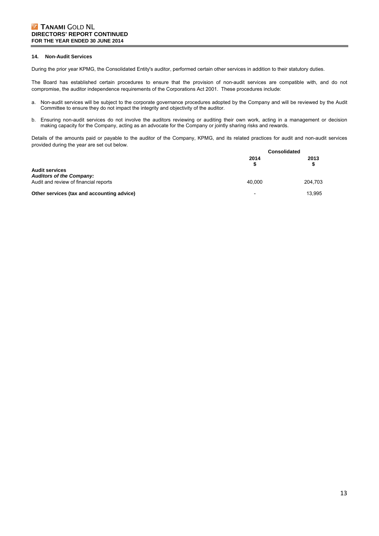#### **14. Non-Audit Services**

During the prior year KPMG, the Consolidated Entity's auditor, performed certain other services in addition to their statutory duties.

The Board has established certain procedures to ensure that the provision of non-audit services are compatible with, and do not compromise, the auditor independence requirements of the Corporations Act 2001. These procedures include:

- a. Non-audit services will be subject to the corporate governance procedures adopted by the Company and will be reviewed by the Audit Committee to ensure they do not impact the integrity and objectivity of the auditor.
- b. Ensuring non-audit services do not involve the auditors reviewing or auditing their own work, acting in a management or decision making capacity for the Company, acting as an advocate for the Company or jointly sharing risks and rewards.

Details of the amounts paid or payable to the auditor of the Company, KPMG, and its related practices for audit and non-audit services provided during the year are set out below.

|                                                          | <b>Consolidated</b> |         |
|----------------------------------------------------------|---------------------|---------|
|                                                          | 2014                | 2013    |
| <b>Audit services</b><br><b>Auditors of the Company:</b> |                     |         |
| Audit and review of financial reports                    | 40.000              | 204.703 |
| Other services (tax and accounting advice)               | -                   | 13.995  |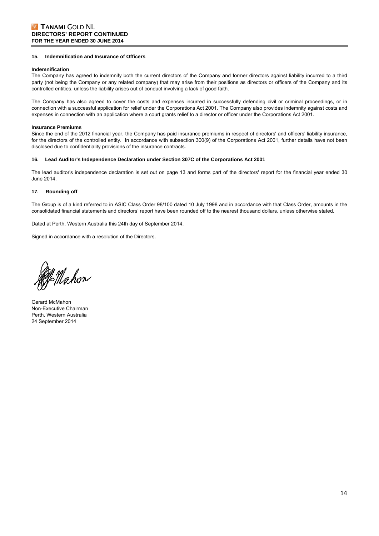#### **15. Indemnification and Insurance of Officers**

#### **Indemnification**

The Company has agreed to indemnify both the current directors of the Company and former directors against liability incurred to a third party (not being the Company or any related company) that may arise from their positions as directors or officers of the Company and its controlled entities, unless the liability arises out of conduct involving a lack of good faith.

The Company has also agreed to cover the costs and expenses incurred in successfully defending civil or criminal proceedings, or in connection with a successful application for relief under the Corporations Act 2001. The Company also provides indemnity against costs and expenses in connection with an application where a court grants relief to a director or officer under the Corporations Act 2001.

#### **Insurance Premiums**

Since the end of the 2012 financial year, the Company has paid insurance premiums in respect of directors' and officers' liability insurance, for the directors of the controlled entity. In accordance with subsection 300(9) of the Corporations Act 2001, further details have not been disclosed due to confidentiality provisions of the insurance contracts.

#### **16. Lead Auditor's Independence Declaration under Section 307C of the Corporations Act 2001**

The lead auditor's independence declaration is set out on page 13 and forms part of the directors' report for the financial year ended 30 June 2014.

#### **17. Rounding off**

The Group is of a kind referred to in ASIC Class Order 98/100 dated 10 July 1998 and in accordance with that Class Order, amounts in the consolidated financial statements and directors' report have been rounded off to the nearest thousand dollars, unless otherwise stated.

Dated at Perth, Western Australia this 24th day of September 2014.

Signed in accordance with a resolution of the Directors.

gan<br>Hahon

Gerard McMahon Non-Executive Chairman Perth, Western Australia 24 September 2014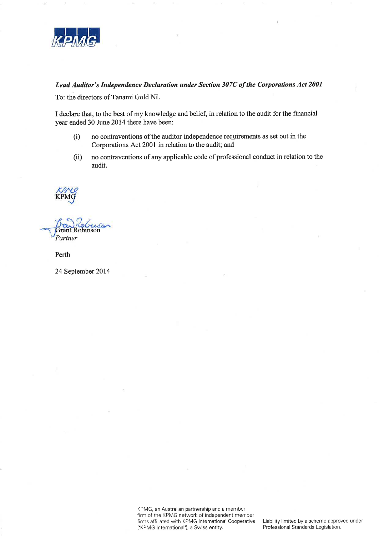

# Lead Auditor's Independence Declaration under Section 307C of the Corporations Act 2001

To: the directors of Tanami Gold NL

I declare that, to the best of my knowledge and belief, in relation to the audit for the financial year ended 30 June 2014 there have been:

- $(i)$ no contraventions of the auditor independence requirements as set out in the Corporations Act 2001 in relation to the audit; and
- no contraventions of any applicable code of professional conduct in relation to the  $(ii)$ audit.

Partner

Perth

24 September 2014

KPMG, an Australian partnership and a member firm of the KPMG network of independent member firms affiliated with KPMG International Cooperative ('KPMG International'), a Swiss entity.

Liability limited by a scheme approved under Professional Standards Legislation.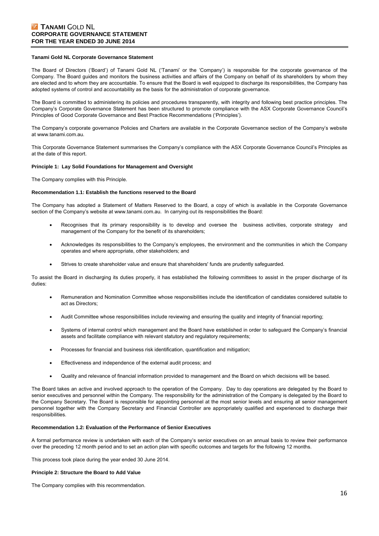# **Z TANAMI GOLD NL CORPORATE GOVERNANCE STATEMENT FOR THE YEAR ENDED 30 JUNE 2014**

#### **Tanami Gold NL Corporate Governance Statement**

The Board of Directors ('Board') of Tanami Gold NL ('Tanami' or the 'Company') is responsible for the corporate governance of the Company. The Board guides and monitors the business activities and affairs of the Company on behalf of its shareholders by whom they are elected and to whom they are accountable. To ensure that the Board is well equipped to discharge its responsibilities, the Company has adopted systems of control and accountability as the basis for the administration of corporate governance.

The Board is committed to administering its policies and procedures transparently, with integrity and following best practice principles. The Company's Corporate Governance Statement has been structured to promote compliance with the ASX Corporate Governance Council's Principles of Good Corporate Governance and Best Practice Recommendations ('Principles').

The Company's corporate governance Policies and Charters are available in the Corporate Governance section of the Company's website at www.tanami.com.au.

This Corporate Governance Statement summarises the Company's compliance with the ASX Corporate Governance Council's Principles as at the date of this report.

#### **Principle 1: Lay Solid Foundations for Management and Oversight**

The Company complies with this Principle.

#### **Recommendation 1.1: Establish the functions reserved to the Board**

The Company has adopted a Statement of Matters Reserved to the Board, a copy of which is available in the Corporate Governance section of the Company's website at www.tanami.com.au. In carrying out its responsibilities the Board:

- Recognises that its primary responsibility is to develop and oversee the business activities, corporate strategy and management of the Company for the benefit of its shareholders;
- Acknowledges its responsibilities to the Company's employees, the environment and the communities in which the Company operates and where appropriate, other stakeholders; and
- Strives to create shareholder value and ensure that shareholders' funds are prudently safeguarded.

To assist the Board in discharging its duties properly, it has established the following committees to assist in the proper discharge of its duties:

- Remuneration and Nomination Committee whose responsibilities include the identification of candidates considered suitable to act as Directors;
- Audit Committee whose responsibilities include reviewing and ensuring the quality and integrity of financial reporting;
- Systems of internal control which management and the Board have established in order to safeguard the Company's financial assets and facilitate compliance with relevant statutory and regulatory requirements;
- Processes for financial and business risk identification, quantification and mitigation;
- Effectiveness and independence of the external audit process; and
- Quality and relevance of financial information provided to management and the Board on which decisions will be based.

The Board takes an active and involved approach to the operation of the Company. Day to day operations are delegated by the Board to senior executives and personnel within the Company. The responsibility for the administration of the Company is delegated by the Board to the Company Secretary. The Board is responsible for appointing personnel at the most senior levels and ensuring all senior management personnel together with the Company Secretary and Financial Controller are appropriately qualified and experienced to discharge their responsibilities.

#### **Recommendation 1.2: Evaluation of the Performance of Senior Executives**

A formal performance review is undertaken with each of the Company's senior executives on an annual basis to review their performance over the preceding 12 month period and to set an action plan with specific outcomes and targets for the following 12 months.

This process took place during the year ended 30 June 2014.

### **Principle 2: Structure the Board to Add Value**

The Company complies with this recommendation.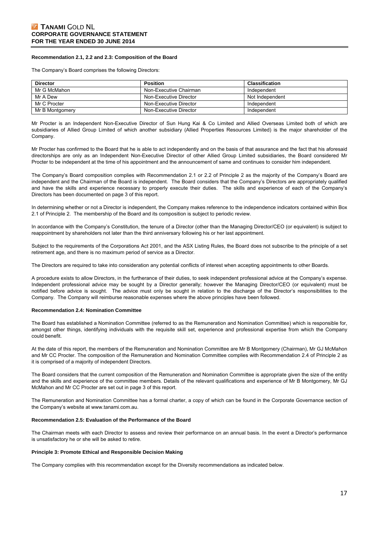#### **Recommendation 2.1, 2.2 and 2.3: Composition of the Board**

The Company's Board comprises the following Directors:

| <b>Director</b> | <b>Position</b>        | <b>Classification</b> |
|-----------------|------------------------|-----------------------|
| Mr G McMahon    | Non-Executive Chairman | Independent           |
| Mr A Dew        | Non-Executive Director | Not Independent       |
| Mr C Procter    | Non-Executive Director | Independent           |
| Mr B Montgomery | Non-Executive Director | Independent           |

Mr Procter is an Independent Non-Executive Director of Sun Hung Kai & Co Limited and Allied Overseas Limited both of which are subsidiaries of Allied Group Limited of which another subsidiary (Allied Properties Resources Limited) is the major shareholder of the Company.

Mr Procter has confirmed to the Board that he is able to act independently and on the basis of that assurance and the fact that his aforesaid directorships are only as an Independent Non-Executive Director of other Allied Group Limited subsidiaries, the Board considered Mr Procter to be independent at the time of his appointment and the announcement of same and continues to consider him independent.

The Company's Board composition complies with Recommendation 2.1 or 2.2 of Principle 2 as the majority of the Company's Board are independent and the Chairman of the Board is independent. The Board considers that the Company's Directors are appropriately qualified and have the skills and experience necessary to properly execute their duties. The skills and experience of each of the Company's Directors has been documented on page 3 of this report.

In determining whether or not a Director is independent, the Company makes reference to the independence indicators contained within Box 2.1 of Principle 2. The membership of the Board and its composition is subject to periodic review.

In accordance with the Company's Constitution, the tenure of a Director (other than the Managing Director/CEO (or equivalent) is subject to reappointment by shareholders not later than the third anniversary following his or her last appointment.

Subject to the requirements of the Corporations Act 2001, and the ASX Listing Rules, the Board does not subscribe to the principle of a set retirement age, and there is no maximum period of service as a Director.

The Directors are required to take into consideration any potential conflicts of interest when accepting appointments to other Boards.

A procedure exists to allow Directors, in the furtherance of their duties, to seek independent professional advice at the Company's expense. Independent professional advice may be sought by a Director generally; however the Managing Director/CEO (or equivalent) must be notified before advice is sought. The advice must only be sought in relation to the discharge of the Director's responsibilities to the Company. The Company will reimburse reasonable expenses where the above principles have been followed.

#### **Recommendation 2.4: Nomination Committee**

The Board has established a Nomination Committee (referred to as the Remuneration and Nomination Committee) which is responsible for, amongst other things, identifying individuals with the requisite skill set, experience and professional expertise from which the Company could benefit.

At the date of this report, the members of the Remuneration and Nomination Committee are Mr B Montgomery (Chairman), Mr GJ McMahon and Mr CC Procter. The composition of the Remuneration and Nomination Committee complies with Recommendation 2.4 of Principle 2 as it is comprised of a majority of independent Directors.

The Board considers that the current composition of the Remuneration and Nomination Committee is appropriate given the size of the entity and the skills and experience of the committee members. Details of the relevant qualifications and experience of Mr B Montgomery, Mr GJ McMahon and Mr CC Procter are set out in page 3 of this report.

The Remuneration and Nomination Committee has a formal charter, a copy of which can be found in the Corporate Governance section of the Company's website at www.tanami.com.au.

#### **Recommendation 2.5: Evaluation of the Performance of the Board**

The Chairman meets with each Director to assess and review their performance on an annual basis. In the event a Director's performance is unsatisfactory he or she will be asked to retire.

#### **Principle 3: Promote Ethical and Responsible Decision Making**

The Company complies with this recommendation except for the Diversity recommendations as indicated below.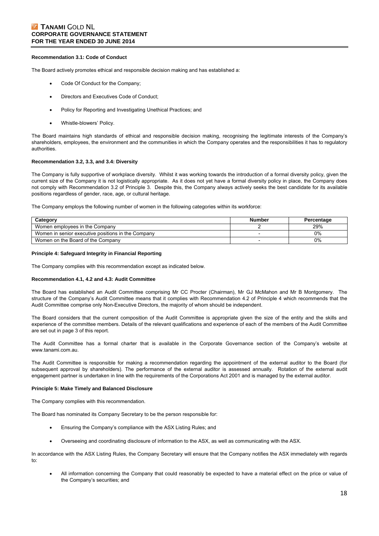# **Z TANAMI GOLD NL CORPORATE GOVERNANCE STATEMENT FOR THE YEAR ENDED 30 JUNE 2014**

#### **Recommendation 3.1: Code of Conduct**

The Board actively promotes ethical and responsible decision making and has established a:

- Code Of Conduct for the Company;
- Directors and Executives Code of Conduct;
- Policy for Reporting and Investigating Unethical Practices; and
- Whistle-blowers' Policy.

The Board maintains high standards of ethical and responsible decision making, recognising the legitimate interests of the Company's shareholders, employees, the environment and the communities in which the Company operates and the responsibilities it has to regulatory authorities.

#### **Recommendation 3.2, 3.3, and 3.4: Diversity**

The Company is fully supportive of workplace diversity. Whilst it was working towards the introduction of a formal diversity policy, given the current size of the Company it is not logistically appropriate. As it does not yet have a formal diversity policy in place, the Company does not comply with Recommendation 3.2 of Principle 3. Despite this, the Company always actively seeks the best candidate for its available positions regardless of gender, race, age, or cultural heritage.

The Company employs the following number of women in the following categories within its workforce:

| Category                                           | <b>Number</b> | Percentage |
|----------------------------------------------------|---------------|------------|
| Women employees in the Company                     |               | 29%        |
| Women in senior executive positions in the Company |               | 0%         |
| Women on the Board of the Company                  |               | $0\%$      |

#### **Principle 4: Safeguard Integrity in Financial Reporting**

The Company complies with this recommendation except as indicated below.

#### **Recommendation 4.1, 4.2 and 4.3: Audit Committee**

The Board has established an Audit Committee comprising Mr CC Procter (Chairman), Mr GJ McMahon and Mr B Montgomery. The structure of the Company's Audit Committee means that it complies with Recommendation 4.2 of Principle 4 which recommends that the Audit Committee comprise only Non-Executive Directors, the majority of whom should be independent.

The Board considers that the current composition of the Audit Committee is appropriate given the size of the entity and the skills and experience of the committee members. Details of the relevant qualifications and experience of each of the members of the Audit Committee are set out in page 3 of this report.

The Audit Committee has a formal charter that is available in the Corporate Governance section of the Company's website at www.tanami.com.au.

The Audit Committee is responsible for making a recommendation regarding the appointment of the external auditor to the Board (for subsequent approval by shareholders). The performance of the external auditor is assessed annually. Rotation of the external audit engagement partner is undertaken in line with the requirements of the Corporations Act 2001 and is managed by the external auditor.

#### **Principle 5: Make Timely and Balanced Disclosure**

The Company complies with this recommendation.

The Board has nominated its Company Secretary to be the person responsible for:

- Ensuring the Company's compliance with the ASX Listing Rules; and
- Overseeing and coordinating disclosure of information to the ASX, as well as communicating with the ASX.

In accordance with the ASX Listing Rules, the Company Secretary will ensure that the Company notifies the ASX immediately with regards to:

 All information concerning the Company that could reasonably be expected to have a material effect on the price or value of the Company's securities; and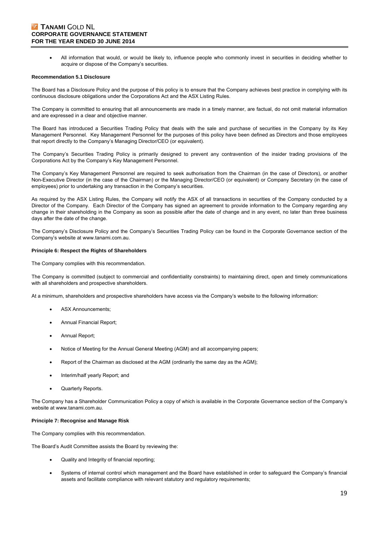# **Z TANAMI GOLD NL CORPORATE GOVERNANCE STATEMENT FOR THE YEAR ENDED 30 JUNE 2014**

 All information that would, or would be likely to, influence people who commonly invest in securities in deciding whether to acquire or dispose of the Company's securities.

#### **Recommendation 5.1 Disclosure**

The Board has a Disclosure Policy and the purpose of this policy is to ensure that the Company achieves best practice in complying with its continuous disclosure obligations under the Corporations Act and the ASX Listing Rules.

The Company is committed to ensuring that all announcements are made in a timely manner, are factual, do not omit material information and are expressed in a clear and objective manner.

The Board has introduced a Securities Trading Policy that deals with the sale and purchase of securities in the Company by its Key Management Personnel. Key Management Personnel for the purposes of this policy have been defined as Directors and those employees that report directly to the Company's Managing Director/CEO (or equivalent).

The Company's Securities Trading Policy is primarily designed to prevent any contravention of the insider trading provisions of the Corporations Act by the Company's Key Management Personnel.

The Company's Key Management Personnel are required to seek authorisation from the Chairman (in the case of Directors), or another Non-Executive Director (in the case of the Chairman) or the Managing Director/CEO (or equivalent) or Company Secretary (in the case of employees) prior to undertaking any transaction in the Company's securities.

As required by the ASX Listing Rules, the Company will notify the ASX of all transactions in securities of the Company conducted by a Director of the Company. Each Director of the Company has signed an agreement to provide information to the Company regarding any change in their shareholding in the Company as soon as possible after the date of change and in any event, no later than three business days after the date of the change.

The Company's Disclosure Policy and the Company's Securities Trading Policy can be found in the Corporate Governance section of the Company's website at www.tanami.com.au.

#### **Principle 6: Respect the Rights of Shareholders**

The Company complies with this recommendation.

The Company is committed (subject to commercial and confidentiality constraints) to maintaining direct, open and timely communications with all shareholders and prospective shareholders.

At a minimum, shareholders and prospective shareholders have access via the Company's website to the following information:

- ASX Announcements;
- Annual Financial Report;
- Annual Report;
- Notice of Meeting for the Annual General Meeting (AGM) and all accompanying papers;
- Report of the Chairman as disclosed at the AGM (ordinarily the same day as the AGM);
- Interim/half yearly Report; and
- Quarterly Reports.

The Company has a Shareholder Communication Policy a copy of which is available in the Corporate Governance section of the Company's website at www.tanami.com.au.

#### **Principle 7: Recognise and Manage Risk**

The Company complies with this recommendation.

The Board's Audit Committee assists the Board by reviewing the:

- Quality and Integrity of financial reporting;
- Systems of internal control which management and the Board have established in order to safeguard the Company's financial assets and facilitate compliance with relevant statutory and regulatory requirements;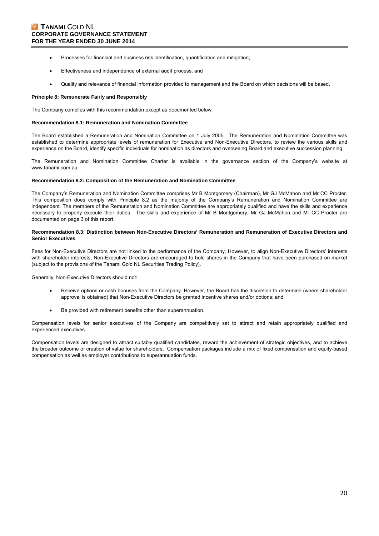- Processes for financial and business risk identification, quantification and mitigation;
- Effectiveness and independence of external audit process; and
- Quality and relevance of financial information provided to management and the Board on which decisions will be based.

#### **Principle 8: Remunerate Fairly and Responsibly**

The Company complies with this recommendation except as documented below.

#### **Recommendation 8.1: Remuneration and Nomination Committee**

The Board established a Remuneration and Nomination Committee on 1 July 2005. The Remuneration and Nomination Committee was established to determine appropriate levels of remuneration for Executive and Non-Executive Directors, to review the various skills and experience on the Board, identify specific individuals for nomination as directors and overseeing Board and executive succession planning.

The Remuneration and Nomination Committee Charter is available in the governance section of the Company's website at www.tanami.com.au.

#### **Recommendation 8.2: Composition of the Remuneration and Nomination Committee**

The Company's Remuneration and Nomination Committee comprises Mr B Montgomery (Chairman), Mr GJ McMahon and Mr CC Procter. This composition does comply with Principle 8.2 as the majority of the Company's Remuneration and Nomination Committee are independent. The members of the Remuneration and Nomination Committee are appropriately qualified and have the skills and experience necessary to properly execute their duties. The skills and experience of Mr B Montgomery, Mr GJ McMahon and Mr CC Procter are documented on page 3 of this report.

#### **Recommendation 8.3: Distinction between Non-Executive Directors' Remuneration and Remuneration of Executive Directors and Senior Executives**

Fees for Non-Executive Directors are not linked to the performance of the Company. However, to align Non-Executive Directors' interests with shareholder interests, Non-Executive Directors are encouraged to hold shares in the Company that have been purchased on-market (subject to the provisions of the Tanami Gold NL Securities Trading Policy).

Generally, Non-Executive Directors should not:

- Receive options or cash bonuses from the Company. However, the Board has the discretion to determine (where shareholder approval is obtained) that Non-Executive Directors be granted incentive shares and/or options; and
- Be provided with retirement benefits other than superannuation.

Compensation levels for senior executives of the Company are competitively set to attract and retain appropriately qualified and experienced executives.

Compensation levels are designed to attract suitably qualified candidates, reward the achievement of strategic objectives, and to achieve the broader outcome of creation of value for shareholders. Compensation packages include a mix of fixed compensation and equity-based compensation as well as employer contributions to superannuation funds.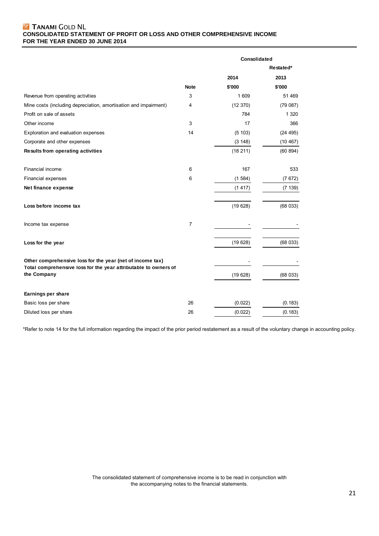# **Z TANAMI GOLD NL CONSOLIDATED STATEMENT OF PROFIT OR LOSS AND OTHER COMPREHENSIVE INCOME FOR THE YEAR ENDED 30 JUNE 2014**

|                                                                                                                              |             | Consolidated |           |  |
|------------------------------------------------------------------------------------------------------------------------------|-------------|--------------|-----------|--|
|                                                                                                                              |             |              | Restated* |  |
|                                                                                                                              |             | 2014         | 2013      |  |
|                                                                                                                              | <b>Note</b> | \$'000       | \$'000    |  |
| Revenue from operating activities                                                                                            | 3           | 1 609        | 51 469    |  |
| Mine costs (including depreciation, amortisation and impairment)                                                             | 4           | (12370)      | (79087)   |  |
| Profit on sale of assets                                                                                                     |             | 784          | 1 3 2 0   |  |
| Other income                                                                                                                 | 3           | 17           | 366       |  |
| Exploration and evaluation expenses                                                                                          | 14          | (5 103)      | (24 495)  |  |
| Corporate and other expenses                                                                                                 |             | (3 148)      | (10467)   |  |
| <b>Results from operating activities</b>                                                                                     |             | (18211)      | (60 894)  |  |
| Financial income                                                                                                             | 6           | 167          | 533       |  |
| Financial expenses                                                                                                           | 6           | (1584)       | (7672)    |  |
| Net finance expense                                                                                                          |             | (1417)       | (7139)    |  |
| Loss before income tax                                                                                                       |             | (19628)      | (68033)   |  |
| Income tax expense                                                                                                           | 7           |              |           |  |
| Loss for the year                                                                                                            |             | (19628)      | (68033)   |  |
| Other comprehensive loss for the year (net of income tax)<br>Total comprehensive loss for the year attributable to owners of |             |              |           |  |
| the Company                                                                                                                  |             | (19628)      | (68033)   |  |
| Earnings per share                                                                                                           |             |              |           |  |
| Basic loss per share                                                                                                         | 26          | (0.022)      | (0.183)   |  |
| Diluted loss per share                                                                                                       | 26          | (0.022)      | (0.183)   |  |

\*Refer to note 14 for the full information regarding the impact of the prior period restatement as a result of the voluntary change in accounting policy.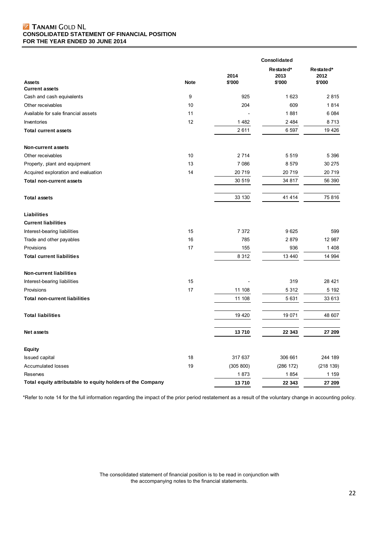# **Z TANAMI GOLD NL CONSOLIDATED STATEMENT OF FINANCIAL POSITION FOR THE YEAR ENDED 30 JUNE 2014**

|                                                            |             |                |                             | Consolidated                |  |
|------------------------------------------------------------|-------------|----------------|-----------------------------|-----------------------------|--|
| <b>Assets</b>                                              | <b>Note</b> | 2014<br>\$'000 | Restated*<br>2013<br>\$'000 | Restated*<br>2012<br>\$'000 |  |
| <b>Current assets</b><br>Cash and cash equivalents         | 9           | 925            | 1 623                       | 2815                        |  |
| Other receivables                                          | 10          | 204            | 609                         | 1814                        |  |
| Available for sale financial assets                        | 11          |                | 1881                        | 6 0 8 4                     |  |
| Inventories                                                | 12          | 1 4 8 2        | 2 4 8 4                     | 8713                        |  |
| <b>Total current assets</b>                                |             | 2611           | 6 5 9 7                     | 19 4 26                     |  |
| <b>Non-current assets</b>                                  |             |                |                             |                             |  |
| Other receivables                                          | 10          | 2 7 1 4        | 5 5 1 9                     | 5 3 9 6                     |  |
| Property, plant and equipment                              | 13          | 7 0 8 6        | 8 5 7 9                     | 30 275                      |  |
| Acquired exploration and evaluation                        | 14          | 20 719         | 20 719                      | 20 719                      |  |
| <b>Total non-current assets</b>                            |             | 30 519         | 34 817                      | 56 390                      |  |
|                                                            |             |                |                             | 75816                       |  |
| <b>Total assets</b>                                        |             | 33 130         | 41 4 14                     |                             |  |
| Liabilities                                                |             |                |                             |                             |  |
| <b>Current liabilities</b>                                 |             |                |                             |                             |  |
| Interest-bearing liabilities                               | 15          | 7 3 7 2        | 9625                        | 599                         |  |
| Trade and other payables                                   | 16          | 785            | 2879                        | 12 987                      |  |
| Provisions                                                 | 17          | 155            | 936                         | 1408                        |  |
| <b>Total current liabilities</b>                           |             | 8 3 1 2        | 13 440                      | 14 994                      |  |
| <b>Non-current liabilities</b>                             |             |                |                             |                             |  |
| Interest-bearing liabilities                               | 15          |                | 319                         | 28 4 21                     |  |
| Provisions                                                 | 17          | 11 108         | 5 3 1 2                     | 5 1 9 2                     |  |
| <b>Total non-current liabilities</b>                       |             | 11 108         | 5 6 3 1                     | 33 613                      |  |
| <b>Total liabilities</b>                                   |             | 19 4 20        | 19 071                      | 48 607                      |  |
| <b>Net assets</b>                                          |             | 13710          | 22 343                      | 27 209                      |  |
| <b>Equity</b>                                              |             |                |                             |                             |  |
| <b>Issued capital</b>                                      | 18          | 317 637        | 306 661                     | 244 189                     |  |
| <b>Accumulated losses</b>                                  | 19          | (305 800)      | (286 172)                   | (218139)                    |  |
| Reserves                                                   |             | 1873           | 1854                        | 1 1 5 9                     |  |
| Total equity attributable to equity holders of the Company |             | 13710          | 22 343                      | 27 209                      |  |

\*Refer to note 14 for the full information regarding the impact of the prior period restatement as a result of the voluntary change in accounting policy.

The consolidated statement of financial position is to be read in conjunction with the accompanying notes to the financial statements.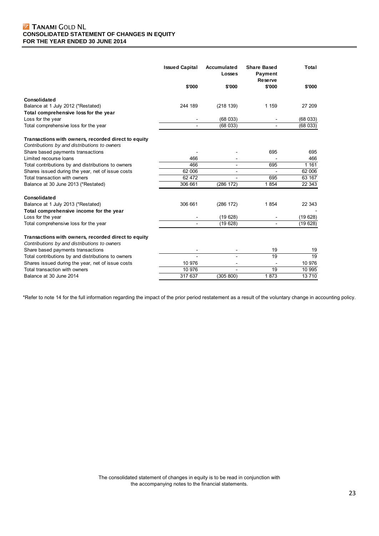|                                                                                                     | <b>Issued Capital</b> | Accumulated<br>Losses        | <b>Share Based</b><br>Payment<br>Reserve | Total           |
|-----------------------------------------------------------------------------------------------------|-----------------------|------------------------------|------------------------------------------|-----------------|
|                                                                                                     | \$'000                | \$'000                       | \$'000                                   | \$'000          |
| Consolidated                                                                                        |                       |                              |                                          |                 |
| Balance at 1 July 2012 (*Restated)                                                                  | 244 189               | (218 139)                    | 1 159                                    | 27 209          |
| Total comprehensive loss for the year                                                               |                       |                              |                                          |                 |
| Loss for the year                                                                                   |                       | (68033)                      |                                          | (68033)         |
| Total comprehensive loss for the year                                                               |                       | (68033)                      |                                          | (68033)         |
| Transactions with owners, recorded direct to equity<br>Contributions by and distributions to owners |                       |                              |                                          |                 |
| Share based payments transactions                                                                   |                       |                              | 695                                      | 695             |
| Limited recourse loans                                                                              | 466                   |                              |                                          | 466             |
| Total contributions by and distributions to owners                                                  | 466                   | $\qquad \qquad \blacksquare$ | 695                                      | 1 1 6 1         |
| Shares issued during the year, net of issue costs                                                   | 62 006                |                              | $\overline{\phantom{a}}$                 | 62 006          |
| Total transaction with owners                                                                       | 62 472                |                              | 695                                      | 63 167          |
| Balance at 30 June 2013 (*Restated)                                                                 | 306 661               | (286 172)                    | 1854                                     | 22 343          |
| Consolidated                                                                                        |                       |                              |                                          |                 |
| Balance at 1 July 2013 (*Restated)                                                                  | 306 661               | (286 172)                    | 1854                                     | 22 343          |
| Total comprehensive income for the year                                                             |                       |                              |                                          |                 |
| Loss for the year                                                                                   |                       | (19628)                      |                                          | (19628)         |
| Total comprehensive loss for the year                                                               |                       | (19628)                      |                                          | (19628)         |
| Transactions with owners, recorded direct to equity                                                 |                       |                              |                                          |                 |
| Contributions by and distributions to owners                                                        |                       |                              |                                          |                 |
| Share based payments transactions                                                                   |                       |                              | 19                                       | 19              |
| Total contributions by and distributions to owners                                                  |                       |                              | 19                                       | $\overline{19}$ |
| Shares issued during the year, net of issue costs                                                   | 10 976                | $\overline{\phantom{a}}$     |                                          | 10 976          |
| Total transaction with owners                                                                       | 10 976                |                              | 19                                       | 10 995          |
| Balance at 30 June 2014                                                                             | 317 637               | (305 800)                    | 1873                                     | 13710           |

\*Refer to note 14 for the full information regarding the impact of the prior period restatement as a result of the voluntary change in accounting policy.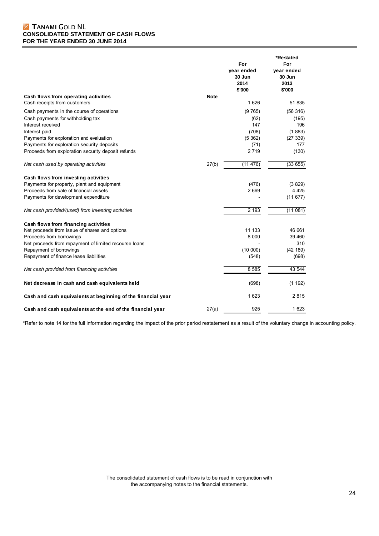# **Z TANAMI GOLD NL CONSOLIDATED STATEMENT OF CASH FLOWS FOR THE YEAR ENDED 30 JUNE 2014**

|                                                              |             | For<br>year ended<br>30 Jun<br>2014<br>\$'000 | *Restated<br>For<br>year ended<br>30 Jun<br>2013<br>\$'000 |
|--------------------------------------------------------------|-------------|-----------------------------------------------|------------------------------------------------------------|
| Cash flows from operating activities                         | <b>Note</b> |                                               |                                                            |
| Cash receipts from customers                                 |             | 1626                                          | 51 835                                                     |
| Cash payments in the course of operations                    |             | (9765)                                        | (56316)                                                    |
| Cash payments for withholding tax                            |             | (62)                                          | (195)                                                      |
| Interest received                                            |             | 147                                           | 196                                                        |
| Interest paid                                                |             | (708)                                         | (1883)                                                     |
| Payments for exploration and evaluation                      |             | (5362)                                        | (27339)                                                    |
| Payments for exploration security deposits                   |             | (71)                                          | 177                                                        |
| Proceeds from exploration security deposit refunds           |             | 2719                                          | (130)                                                      |
| Net cash used by operating activities                        | 27(b)       | (11476)                                       | (33655)                                                    |
| Cash flows from investing activities                         |             |                                               |                                                            |
| Payments for property, plant and equipment                   |             | (476)                                         | (3829)                                                     |
| Proceeds from sale of financial assets                       |             | 2 6 6 9                                       | 4 4 2 5                                                    |
| Payments for development expenditure                         |             |                                               | (11677)                                                    |
| Net cash provided/(used) from investing activities           |             | 2 1 9 3                                       | (11081)                                                    |
| Cash flows from financing activities                         |             |                                               |                                                            |
| Net proceeds from issue of shares and options                |             | 11 133                                        | 46 661                                                     |
| Proceeds from borrowings                                     |             | 8 0 0 0                                       | 39 460                                                     |
| Net proceeds from repayment of limited recourse loans        |             |                                               | 310                                                        |
| Repayment of borrowings                                      |             | (10000)                                       | (42 189)                                                   |
| Repayment of finance lease liabilities                       |             | (548)                                         | (698)                                                      |
| Net cash provided from financing activities                  |             | 8 5 8 5                                       | 43 544                                                     |
| Net decrease in cash and cash equivalents held               |             | (698)                                         | (1 192)                                                    |
| Cash and cash equivalents at beginning of the financial year |             | 1 623                                         | 2815                                                       |
| Cash and cash equivalents at the end of the financial year   | 27(a)       | 925                                           | 1 623                                                      |

\*Refer to note 14 for the full information regarding the impact of the prior period restatement as a result of the voluntary change in accounting policy.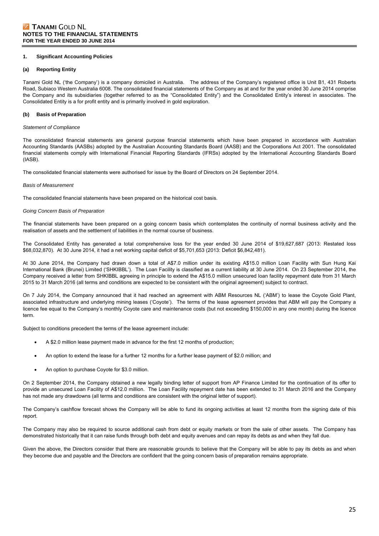#### **1. Significant Accounting Policies**

#### **(a) Reporting Entity**

Tanami Gold NL ('the Company') is a company domiciled in Australia. The address of the Company's registered office is Unit B1, 431 Roberts Road, Subiaco Western Australia 6008. The consolidated financial statements of the Company as at and for the year ended 30 June 2014 comprise the Company and its subsidiaries (together referred to as the "Consolidated Entity") and the Consolidated Entity's interest in associates. The Consolidated Entity is a for profit entity and is primarily involved in gold exploration.

#### **(b) Basis of Preparation**

#### *Statement of Compliance*

The consolidated financial statements are general purpose financial statements which have been prepared in accordance with Australian Accounting Standards (AASBs) adopted by the Australian Accounting Standards Board (AASB) and the Corporations Act 2001. The consolidated financial statements comply with International Financial Reporting Standards (IFRSs) adopted by the International Accounting Standards Board (IASB).

The consolidated financial statements were authorised for issue by the Board of Directors on 24 September 2014.

#### *Basis of Measurement*

The consolidated financial statements have been prepared on the historical cost basis.

#### *Going Concern Basis of Preparation*

The financial statements have been prepared on a going concern basis which contemplates the continuity of normal business activity and the realisation of assets and the settlement of liabilities in the normal course of business.

The Consolidated Entity has generated a total comprehensive loss for the year ended 30 June 2014 of \$19,627,687 (2013: Restated loss \$68,032,870). At 30 June 2014, it had a net working capital deficit of \$5,701,653 (2013: Deficit \$6,842,481).

At 30 June 2014, the Company had drawn down a total of A\$7.0 million under its existing A\$15.0 million Loan Facility with Sun Hung Kai International Bank (Brunei) Limited ('SHKIBBL'). The Loan Facility is classified as a current liability at 30 June 2014. On 23 September 2014, the Company received a letter from SHKIBBL agreeing in principle to extend the A\$15.0 million unsecured loan facility repayment date from 31 March 2015 to 31 March 2016 (all terms and conditions are expected to be consistent with the original agreement) subject to contract.

On 7 July 2014, the Company announced that it had reached an agreement with ABM Resources NL ('ABM') to lease the Coyote Gold Plant, associated infrastructure and underlying mining leases ('Coyote'). The terms of the lease agreement provides that ABM will pay the Company a licence fee equal to the Company's monthly Coyote care and maintenance costs (but not exceeding \$150,000 in any one month) during the licence term.

Subject to conditions precedent the terms of the lease agreement include:

- A \$2.0 million lease payment made in advance for the first 12 months of production;
- An option to extend the lease for a further 12 months for a further lease payment of \$2.0 million; and
- An option to purchase Coyote for \$3.0 million.

On 2 September 2014, the Company obtained a new legally binding letter of support from AP Finance Limited for the continuation of its offer to provide an unsecured Loan Facility of A\$12.0 million. The Loan Facility repayment date has been extended to 31 March 2016 and the Company has not made any drawdowns (all terms and conditions are consistent with the original letter of support).

The Company's cashflow forecast shows the Company will be able to fund its ongoing activities at least 12 months from the signing date of this report.

The Company may also be required to source additional cash from debt or equity markets or from the sale of other assets. The Company has demonstrated historically that it can raise funds through both debt and equity avenues and can repay its debts as and when they fall due.

Given the above, the Directors consider that there are reasonable grounds to believe that the Company will be able to pay its debts as and when they become due and payable and the Directors are confident that the going concern basis of preparation remains appropriate.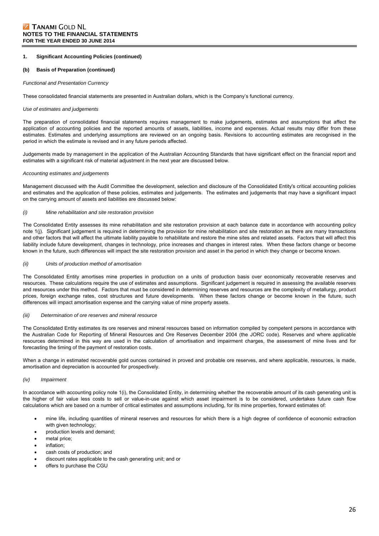#### **(b) Basis of Preparation (continued)**

#### *Functional and Presentation Currency*

These consolidated financial statements are presented in Australian dollars, which is the Company's functional currency.

#### *Use of estimates and judgements*

The preparation of consolidated financial statements requires management to make judgements, estimates and assumptions that affect the application of accounting policies and the reported amounts of assets, liabilities, income and expenses. Actual results may differ from these estimates. Estimates and underlying assumptions are reviewed on an ongoing basis. Revisions to accounting estimates are recognised in the period in which the estimate is revised and in any future periods affected.

Judgements made by management in the application of the Australian Accounting Standards that have significant effect on the financial report and estimates with a significant risk of material adjustment in the next year are discussed below.

#### *Accounting estimates and judgements*

Management discussed with the Audit Committee the development, selection and disclosure of the Consolidated Entity's critical accounting policies and estimates and the application of these policies, estimates and judgements. The estimates and judgements that may have a significant impact on the carrying amount of assets and liabilities are discussed below:

#### *(i) Mine rehabilitation and site restoration provision*

The Consolidated Entity assesses its mine rehabilitation and site restoration provision at each balance date in accordance with accounting policy note 1(j). Significant judgement is required in determining the provision for mine rehabilitation and site restoration as there are many transactions and other factors that will affect the ultimate liability payable to rehabilitate and restore the mine sites and related assets. Factors that will affect this liability include future development, changes in technology, price increases and changes in interest rates. When these factors change or become known in the future, such differences will impact the site restoration provision and asset in the period in which they change or become known.

#### *(ii) Units of production method of amortisation*

The Consolidated Entity amortises mine properties in production on a units of production basis over economically recoverable reserves and resources. These calculations require the use of estimates and assumptions. Significant judgement is required in assessing the available reserves and resources under this method. Factors that must be considered in determining reserves and resources are the complexity of metallurgy, product prices, foreign exchange rates, cost structures and future developments. When these factors change or become known in the future, such differences will impact amortisation expense and the carrying value of mine property assets.

#### *(iii) Determination of ore reserves and mineral resource*

The Consolidated Entity estimates its ore reserves and mineral resources based on information compiled by competent persons in accordance with the Australian Code for Reporting of Mineral Resources and Ore Reserves December 2004 (the JORC code). Reserves and where applicable resources determined in this way are used in the calculation of amortisation and impairment charges, the assessment of mine lives and for forecasting the timing of the payment of restoration costs.

When a change in estimated recoverable gold ounces contained in proved and probable ore reserves, and where applicable, resources, is made, amortisation and depreciation is accounted for prospectively.

#### *(iv) Impairment*

In accordance with accounting policy note 1(i), the Consolidated Entity, in determining whether the recoverable amount of its cash generating unit is the higher of fair value less costs to sell or value-in-use against which asset impairment is to be considered, undertakes future cash flow calculations which are based on a number of critical estimates and assumptions including, for its mine properties, forward estimates of:

- mine life, including quantities of mineral reserves and resources for which there is a high degree of confidence of economic extraction with given technology;
- production levels and demand;
- metal price;
- inflation;
- cash costs of production; and
- discount rates applicable to the cash generating unit; and or
- offers to purchase the CGU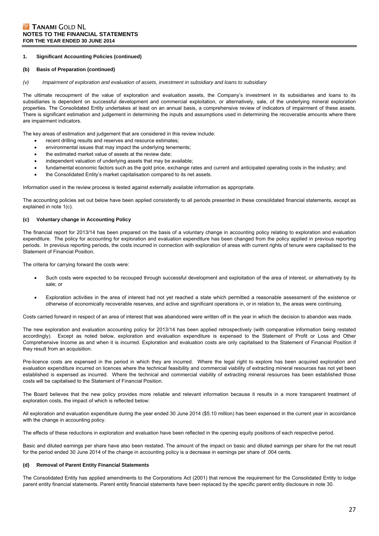#### **(b) Basis of Preparation (continued)**

*(v) Impairment of exploration and evaluation of assets, investment in subsidiary and loans to subsidiary* 

The ultimate recoupment of the value of exploration and evaluation assets, the Company's investment in its subsidiaries and loans to its subsidiaries is dependent on successful development and commercial exploitation, or alternatively, sale, of the underlying mineral exploration properties. The Consolidated Entity undertakes at least on an annual basis, a comprehensive review of indicators of impairment of these assets. There is significant estimation and judgement in determining the inputs and assumptions used in determining the recoverable amounts where there are impairment indicators.

The key areas of estimation and judgement that are considered in this review include:

- recent drilling results and reserves and resource estimates;
- environmental issues that may impact the underlying tenements;
- the estimated market value of assets at the review date;
- independent valuation of underlying assets that may be available;
- fundamental economic factors such as the gold price, exchange rates and current and anticipated operating costs in the industry; and
- the Consolidated Entity's market capitalisation compared to its net assets.

Information used in the review process is tested against externally available information as appropriate.

The accounting policies set out below have been applied consistently to all periods presented in these consolidated financial statements, except as explained in note 1(c).

#### **(c) Voluntary change in Accounting Policy**

The financial report for 2013/14 has been prepared on the basis of a voluntary change in accounting policy relating to exploration and evaluation expenditure. The policy for accounting for exploration and evaluation expenditure has been changed from the policy applied in previous reporting periods. In previous reporting periods, the costs incurred in connection with exploration of areas with current rights of tenure were capitalised to the Statement of Financial Position.

The criteria for carrying forward the costs were:

- Such costs were expected to be recouped through successful development and exploitation of the area of interest, or alternatively by its sale; or
- Exploration activities in the area of interest had not yet reached a state which permitted a reasonable assessment of the existence or otherwise of economically recoverable reserves, and active and significant operations in, or in relation to, the areas were continuing.

Costs carried forward in respect of an area of interest that was abandoned were written off in the year in which the decision to abandon was made.

The new exploration and evaluation accounting policy for 2013/14 has been applied retrospectively (with comparative information being restated accordingly). Except as noted below, exploration and evaluation expenditure is expensed to the Statement of Profit or Loss and Other Comprehensive Income as and when it is incurred. Exploration and evaluation costs are only capitalised to the Statement of Financial Position if they result from an acquisition.

Pre-licence costs are expensed in the period in which they are incurred. Where the legal right to explore has been acquired exploration and evaluation expenditure incurred on licences where the technical feasibility and commercial viability of extracting mineral resources has not yet been established is expensed as incurred. Where the technical and commercial viability of extracting mineral resources has been established those costs will be capitalised to the Statement of Financial Position.

The Board believes that the new policy provides more reliable and relevant information because it results in a more transparent treatment of exploration costs, the impact of which is reflected below:

All exploration and evaluation expenditure during the year ended 30 June 2014 (\$5.10 million) has been expensed in the current year in accordance with the change in accounting policy.

The effects of these reductions in exploration and evaluation have been reflected in the opening equity positions of each respective period.

Basic and diluted earnings per share have also been restated. The amount of the impact on basic and diluted earnings per share for the net result for the period ended 30 June 2014 of the change in accounting policy is a decrease in earnings per share of .004 cents.

#### **(d) Removal of Parent Entity Financial Statements**

The Consolidated Entity has applied amendments to the Corporations Act (2001) that remove the requirement for the Consolidated Entity to lodge parent entity financial statements. Parent entity financial statements have been replaced by the specific parent entity disclosure in note 30.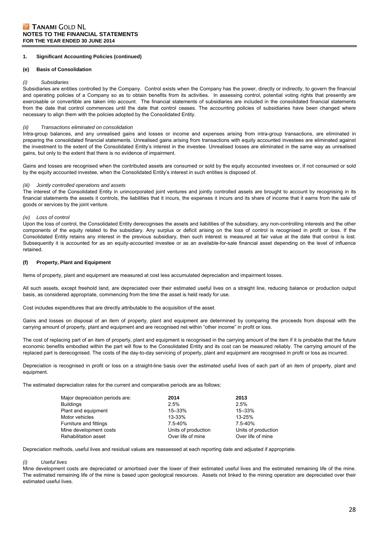#### **(e) Basis of Consolidation**

#### *(i) Subsidiaries*

Subsidiaries are entities controlled by the Company. Control exists when the Company has the power, directly or indirectly, to govern the financial and operating policies of a Company so as to obtain benefits from its activities. In assessing control, potential voting rights that presently are exercisable or convertible are taken into account. The financial statements of subsidiaries are included in the consolidated financial statements from the date that control commences until the date that control ceases. The accounting policies of subsidiaries have been changed where necessary to align them with the policies adopted by the Consolidated Entity.

#### *(ii) Transactions eliminated on consolidation*

Intra-group balances, and any unrealised gains and losses or income and expenses arising from intra-group transactions, are eliminated in preparing the consolidated financial statements. Unrealised gains arising from transactions with equity accounted investees are eliminated against the investment to the extent of the Consolidated Entity's interest in the investee. Unrealised losses are eliminated in the same way as unrealised gains, but only to the extent that there is no evidence of impairment.

Gains and losses are recognised when the contributed assets are consumed or sold by the equity accounted investees or, if not consumed or sold by the equity accounted investee, when the Consolidated Entity's interest in such entities is disposed of.

#### *(iii) Jointly controlled operations and assets*

The interest of the Consolidated Entity in unincorporated joint ventures and jointly controlled assets are brought to account by recognising in its financial statements the assets it controls, the liabilities that it incurs, the expenses it incurs and its share of income that it earns from the sale of goods or services by the joint venture.

### *(iv) Loss of control*

Upon the loss of control, the Consolidated Entity derecognises the assets and liabilities of the subsidiary, any non-controlling interests and the other components of the equity related to the subsidiary. Any surplus or deficit arising on the loss of control is recognised in profit or loss. If the Consolidated Entity retains any interest in the previous subsidiary, then such interest is measured at fair value at the date that control is lost. Subsequently it is accounted for as an equity-accounted investee or as an available-for-sale financial asset depending on the level of influence retained.

### **(f) Property, Plant and Equipment**

Items of property, plant and equipment are measured at cost less accumulated depreciation and impairment losses.

All such assets, except freehold land, are depreciated over their estimated useful lives on a straight line, reducing balance or production output basis, as considered appropriate, commencing from the time the asset is held ready for use.

Cost includes expenditures that are directly attributable to the acquisition of the asset.

Gains and losses on disposal of an item of property, plant and equipment are determined by comparing the proceeds from disposal with the carrying amount of property, plant and equipment and are recognised net within "other income" in profit or loss.

The cost of replacing part of an item of property, plant and equipment is recognised in the carrying amount of the item if it is probable that the future economic benefits embodied within the part will flow to the Consolidated Entity and its cost can be measured reliably. The carrying amount of the replaced part is derecognised. The costs of the day-to-day servicing of property, plant and equipment are recognised in profit or loss as incurred.

Depreciation is recognised in profit or loss on a straight-line basis over the estimated useful lives of each part of an item of property, plant and equipment.

The estimated depreciation rates for the current and comparative periods are as follows:

| Major depreciation periods are: | 2014                | 2013                |
|---------------------------------|---------------------|---------------------|
| <b>Buildings</b>                | 2.5%                | 2.5%                |
| Plant and equipment             | 15-33%              | 15-33%              |
| Motor vehicles                  | 13-33%              | 13-25%              |
| Furniture and fittings          | $7.5 - 40%$         | $7.5 - 40%$         |
| Mine development costs          | Units of production | Units of production |
| Rehabilitation asset            | Over life of mine   | Over life of mine   |

Depreciation methods, useful lives and residual values are reassessed at each reporting date and adjusted if appropriate.

#### *(i) Useful lives*

Mine development costs are depreciated or amortised over the lower of their estimated useful lives and the estimated remaining life of the mine. The estimated remaining life of the mine is based upon geological resources. Assets not linked to the mining operation are depreciated over their estimated useful lives.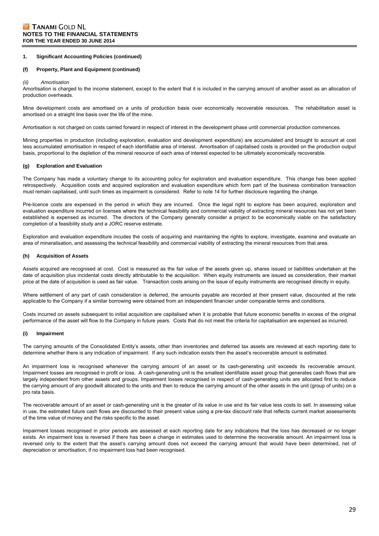#### **(f) Property, Plant and Equipment (continued)**

#### *(ii) Amortisation*

Amortisation is charged to the income statement, except to the extent that it is included in the carrying amount of another asset as an allocation of production overheads.

Mine development costs are amortised on a units of production basis over economically recoverable resources. The rehabilitation asset is amortised on a straight line basis over the life of the mine.

Amortisation is not charged on costs carried forward in respect of interest in the development phase until commercial production commences.

Mining properties in production (including exploration, evaluation and development expenditure) are accumulated and brought to account at cost less accumulated amortisation in respect of each identifiable area of interest. Amortisation of capitalised costs is provided on the production output basis, proportional to the depletion of the mineral resource of each area of interest expected to be ultimately economically recoverable.

#### **(g) Exploration and Evaluation**

The Company has made a voluntary change to its accounting policy for exploration and evaluation expenditure. This change has been applied retrospectively. Acquisition costs and acquired exploration and evaluation expenditure which form part of the business combination transaction must remain capitalised, until such times as impairment is considered. Refer to note 14 for further disclosure regarding the change.

Pre-licence costs are expensed in the period in which they are incurred. Once the legal right to explore has been acquired, exploration and evaluation expenditure incurred on licenses where the technical feasibility and commercial viability of extracting mineral resources has not yet been established is expensed as incurred. The directors of the Company generally consider a project to be economically viable on the satisfactory completion of a feasibility study and a JORC reserve estimate.

Exploration and evaluation expenditure incudes the costs of acquiring and maintaining the rights to explore, investigate, examine and evaluate an area of mineralisation, and assessing the technical feasibility and commercial viability of extracting the mineral resources from that area.

#### **(h) Acquisition of Assets**

Assets acquired are recognised at cost. Cost is measured as the fair value of the assets given up, shares issued or liabilities undertaken at the date of acquisition plus incidental costs directly attributable to the acquisition. When equity instruments are issued as consideration, their market price at the date of acquisition is used as fair value. Transaction costs arising on the issue of equity instruments are recognised directly in equity.

Where settlement of any part of cash consideration is deferred, the amounts payable are recorded at their present value, discounted at the rate applicable to the Company if a similar borrowing were obtained from an independent financier under comparable terms and conditions.

Costs incurred on assets subsequent to initial acquisition are capitalised when it is probable that future economic benefits in excess of the original performance of the asset will flow to the Company in future years. Costs that do not meet the criteria for capitalisation are expensed as incurred.

#### **(i) Impairment**

The carrying amounts of the Consolidated Entity's assets, other than inventories and deferred tax assets are reviewed at each reporting date to determine whether there is any indication of impairment. If any such indication exists then the asset's recoverable amount is estimated.

An impairment loss is recognised whenever the carrying amount of an asset or its cash-generating unit exceeds its recoverable amount. Impairment losses are recognised in profit or loss. A cash-generating unit is the smallest identifiable asset group that generates cash flows that are largely independent from other assets and groups. Impairment losses recognised in respect of cash-generating units are allocated first to reduce the carrying amount of any goodwill allocated to the units and then to reduce the carrying amount of the other assets in the unit (group of units) on a pro rata basis.

The recoverable amount of an asset or cash-generating unit is the greater of its value in use and its fair value less costs to sell. In assessing value in use, the estimated future cash flows are discounted to their present value using a pre-tax discount rate that reflects current market assessments of the time value of money and the risks specific to the asset.

Impairment losses recognised in prior periods are assessed at each reporting date for any indications that the loss has decreased or no longer exists. An impairment loss is reversed if there has been a change in estimates used to determine the recoverable amount. An impairment loss is reversed only to the extent that the asset's carrying amount does not exceed the carrying amount that would have been determined, net of depreciation or amortisation, if no impairment loss had been recognised.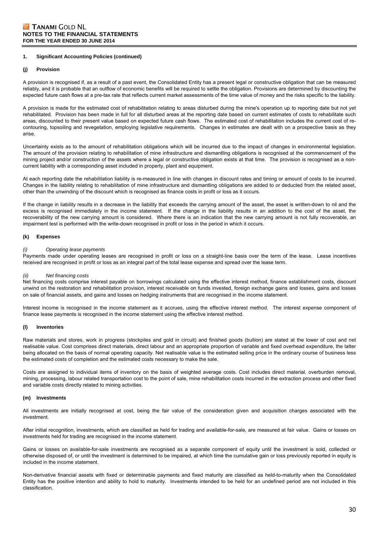#### **(j) Provision**

A provision is recognised if, as a result of a past event, the Consolidated Entity has a present legal or constructive obligation that can be measured reliably, and it is probable that an outflow of economic benefits will be required to settle the obligation. Provisions are determined by discounting the expected future cash flows at a pre-tax rate that reflects current market assessments of the time value of money and the risks specific to the liability.

A provision is made for the estimated cost of rehabilitation relating to areas disturbed during the mine's operation up to reporting date but not yet rehabilitated. Provision has been made in full for all disturbed areas at the reporting date based on current estimates of costs to rehabilitate such areas, discounted to their present value based on expected future cash flows. The estimated cost of rehabilitation includes the current cost of recontouring, topsoiling and revegetation, employing legislative requirements. Changes in estimates are dealt with on a prospective basis as they arise.

Uncertainty exists as to the amount of rehabilitation obligations which will be incurred due to the impact of changes in environmental legislation. The amount of the provision relating to rehabilitation of mine infrastructure and dismantling obligations is recognised at the commencement of the mining project and/or construction of the assets where a legal or constructive obligation exists at that time. The provision is recognised as a noncurrent liability with a corresponding asset included in property, plant and equipment.

At each reporting date the rehabilitation liability is re-measured in line with changes in discount rates and timing or amount of costs to be incurred. Changes in the liability relating to rehabilitation of mine infrastructure and dismantling obligations are added to or deducted from the related asset, other than the unwinding of the discount which is recognised as finance costs in profit or loss as it occurs.

If the change in liability results in a decrease in the liability that exceeds the carrying amount of the asset, the asset is written-down to nil and the excess is recognised immediately in the income statement. If the change in the liability results in an addition to the cost of the asset, the recoverability of the new carrying amount is considered. Where there is an indication that the new carrying amount is not fully recoverable, an impairment test is performed with the write-down recognised in profit or loss in the period in which it occurs.

#### **(k) Expenses**

#### *(i) Operating lease payments*

Payments made under operating leases are recognised in profit or loss on a straight-line basis over the term of the lease. Lease incentives received are recognised in profit or loss as an integral part of the total lease expense and spread over the lease term.

#### *(ii) Net financing costs*

Net financing costs comprise interest payable on borrowings calculated using the effective interest method, finance establishment costs, discount unwind on the restoration and rehabilitation provision, interest receivable on funds invested, foreign exchange gains and losses, gains and losses on sale of financial assets, and gains and losses on hedging instruments that are recognised in the income statement.

Interest income is recognised in the income statement as it accrues, using the effective interest method. The interest expense component of finance lease payments is recognised in the income statement using the effective interest method.

#### **(l) Inventories**

Raw materials and stores, work in progress (stockpiles and gold in circuit) and finished goods (bullion) are stated at the lower of cost and net realisable value. Cost comprises direct materials, direct labour and an appropriate proportion of variable and fixed overhead expenditure, the latter being allocated on the basis of normal operating capacity. Net realisable value is the estimated selling price in the ordinary course of business less the estimated costs of completion and the estimated costs necessary to make the sale.

Costs are assigned to individual items of inventory on the basis of weighted average costs. Cost includes direct material, overburden removal, mining, processing, labour related transportation cost to the point of sale, mine rehabilitation costs incurred in the extraction process and other fixed and variable costs directly related to mining activities.

#### **(m) Investments**

All investments are initially recognised at cost, being the fair value of the consideration given and acquisition charges associated with the investment.

After initial recognition, investments, which are classified as held for trading and available-for-sale, are measured at fair value. Gains or losses on investments held for trading are recognised in the income statement.

Gains or losses on available-for-sale investments are recognised as a separate component of equity until the investment is sold, collected or otherwise disposed of, or until the investment is determined to be impaired, at which time the cumulative gain or loss previously reported in equity is included in the income statement.

Non-derivative financial assets with fixed or determinable payments and fixed maturity are classified as held-to-maturity when the Consolidated Entity has the positive intention and ability to hold to maturity. Investments intended to be held for an undefined period are not included in this classification.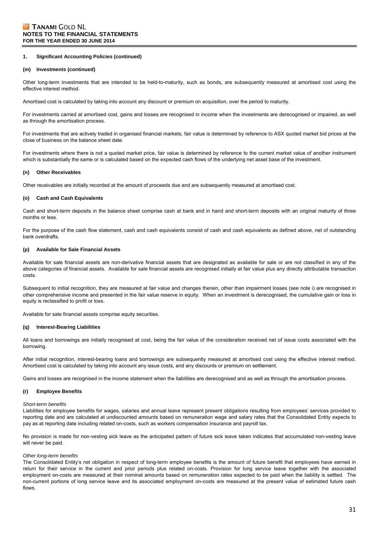#### **(m) Investments (continued)**

Other long-term investments that are intended to be held-to-maturity, such as bonds, are subsequently measured at amortised cost using the effective interest method.

Amortised cost is calculated by taking into account any discount or premium on acquisition, over the period to maturity.

For investments carried at amortised cost, gains and losses are recognised in income when the investments are derecognised or impaired, as well as through the amortisation process.

For investments that are actively traded in organised financial markets, fair value is determined by reference to ASX quoted market bid prices at the close of business on the balance sheet date.

For investments where there is not a quoted market price, fair value is determined by reference to the current market value of another instrument which is substantially the same or is calculated based on the expected cash flows of the underlying net asset base of the investment.

#### **(n) Other Receivables**

Other receivables are initially recorded at the amount of proceeds due and are subsequently measured at amortised cost.

#### **(o) Cash and Cash Equivalents**

Cash and short-term deposits in the balance sheet comprise cash at bank and in hand and short-term deposits with an original maturity of three months or less.

For the purpose of the cash flow statement, cash and cash equivalents consist of cash and cash equivalents as defined above, net of outstanding bank overdrafts.

#### **(p) Available for Sale Financial Assets**

Available for sale financial assets are non-derivative financial assets that are designated as available for sale or are not classified in any of the above categories of financial assets. Available for sale financial assets are recognised initially at fair value plus any directly attributable transaction costs.

Subsequent to initial recognition, they are measured at fair value and changes therein, other than impairment losses (see note i) are recognised in other comprehensive income and presented in the fair value reserve in equity. When an investment is derecognised, the cumulative gain or loss in equity is reclassified to profit or loss.

Available for sale financial assets comprise equity securities.

#### **(q) Interest-Bearing Liabilities**

All loans and borrowings are initially recognised at cost, being the fair value of the consideration received net of issue costs associated with the borrowing.

After initial recognition, interest-bearing loans and borrowings are subsequently measured at amortised cost using the effective interest method. Amortised cost is calculated by taking into account any issue costs, and any discounts or premium on settlement.

Gains and losses are recognised in the income statement when the liabilities are derecognised and as well as through the amortisation process.

#### **(r) Employee Benefits**

#### *Short-term benefits*

Liabilities for employee benefits for wages, salaries and annual leave represent present obligations resulting from employees' services provided to reporting date and are calculated at undiscounted amounts based on remuneration wage and salary rates that the Consolidated Entity expects to pay as at reporting date including related on-costs, such as workers compensation insurance and payroll tax.

No provision is made for non-vesting sick leave as the anticipated pattern of future sick leave taken indicates that accumulated non-vesting leave will never be paid.

#### *Other long-term benefits*

The Consolidated Entity's net obligation in respect of long-term employee benefits is the amount of future benefit that employees have earned in return for their service in the current and prior periods plus related on-costs. Provision for long service leave together with the associated employment on-costs are measured at their nominal amounts based on remuneration rates expected to be paid when the liability is settled. The non-current portions of long service leave and its associated employment on-costs are measured at the present value of estimated future cash flows.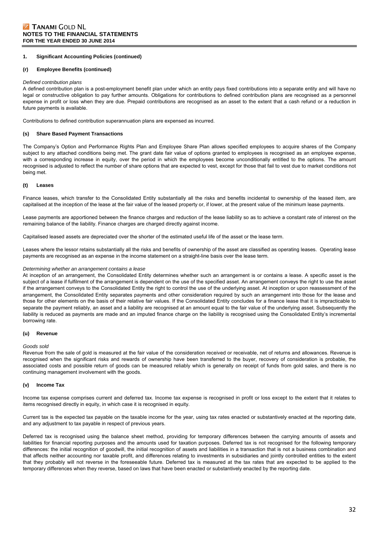#### **(r) Employee Benefits (continued)**

#### *Defined contribution plans*

A defined contribution plan is a post-employment benefit plan under which an entity pays fixed contributions into a separate entity and will have no legal or constructive obligation to pay further amounts. Obligations for contributions to defined contribution plans are recognised as a personnel expense in profit or loss when they are due. Prepaid contributions are recognised as an asset to the extent that a cash refund or a reduction in future payments is available.

Contributions to defined contribution superannuation plans are expensed as incurred.

#### **(s) Share Based Payment Transactions**

The Company's Option and Performance Rights Plan and Employee Share Plan allows specified employees to acquire shares of the Company subject to any attached conditions being met. The grant date fair value of options granted to employees is recognised as an employee expense, with a corresponding increase in equity, over the period in which the employees become unconditionally entitled to the options. The amount recognised is adjusted to reflect the number of share options that are expected to vest, except for those that fail to vest due to market conditions not being met.

#### **(t) Leases**

Finance leases, which transfer to the Consolidated Entity substantially all the risks and benefits incidental to ownership of the leased item, are capitalised at the inception of the lease at the fair value of the leased property or, if lower, at the present value of the minimum lease payments.

Lease payments are apportioned between the finance charges and reduction of the lease liability so as to achieve a constant rate of interest on the remaining balance of the liability. Finance charges are charged directly against income.

Capitalised leased assets are depreciated over the shorter of the estimated useful life of the asset or the lease term.

Leases where the lessor retains substantially all the risks and benefits of ownership of the asset are classified as operating leases. Operating lease payments are recognised as an expense in the income statement on a straight-line basis over the lease term.

#### *Determining whether an arrangement contains a lease*

At inception of an arrangement, the Consolidated Entity determines whether such an arrangement is or contains a lease. A specific asset is the subject of a lease if fulfilment of the arrangement is dependent on the use of the specified asset. An arrangement conveys the right to use the asset if the arrangement conveys to the Consolidated Entity the right to control the use of the underlying asset. At inception or upon reassessment of the arrangement, the Consolidated Entity separates payments and other consideration required by such an arrangement into those for the lease and those for other elements on the basis of their relative fair values. If the Consolidated Entity concludes for a finance lease that it is impracticable to separate the payment reliably, an asset and a liability are recognised at an amount equal to the fair value of the underlying asset. Subsequently the liability is reduced as payments are made and an imputed finance charge on the liability is recognised using the Consolidated Entity's incremental borrowing rate.

#### **(u) Revenue**

#### *Goods sold*

Revenue from the sale of gold is measured at the fair value of the consideration received or receivable, net of returns and allowances. Revenue is recognised when the significant risks and rewards of ownership have been transferred to the buyer, recovery of consideration is probable, the associated costs and possible return of goods can be measured reliably which is generally on receipt of funds from gold sales, and there is no continuing management involvement with the goods.

#### **(v) Income Tax**

Income tax expense comprises current and deferred tax. Income tax expense is recognised in profit or loss except to the extent that it relates to items recognised directly in equity, in which case it is recognised in equity.

Current tax is the expected tax payable on the taxable income for the year, using tax rates enacted or substantively enacted at the reporting date, and any adjustment to tax payable in respect of previous years.

Deferred tax is recognised using the balance sheet method, providing for temporary differences between the carrying amounts of assets and liabilities for financial reporting purposes and the amounts used for taxation purposes. Deferred tax is not recognised for the following temporary differences: the initial recognition of goodwill, the initial recognition of assets and liabilities in a transaction that is not a business combination and that affects neither accounting nor taxable profit, and differences relating to investments in subsidiaries and jointly controlled entities to the extent that they probably will not reverse in the foreseeable future. Deferred tax is measured at the tax rates that are expected to be applied to the temporary differences when they reverse, based on laws that have been enacted or substantively enacted by the reporting date.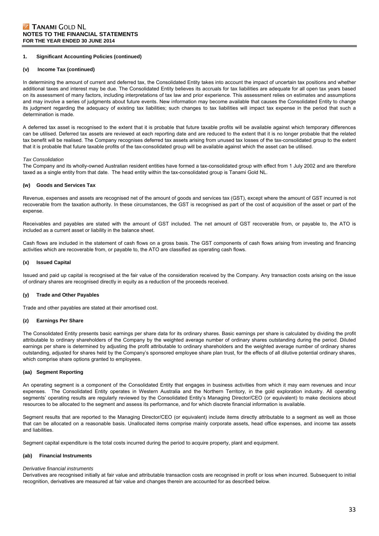#### **(v) Income Tax (continued)**

In determining the amount of current and deferred tax, the Consolidated Entity takes into account the impact of uncertain tax positions and whether additional taxes and interest may be due. The Consolidated Entity believes its accruals for tax liabilities are adequate for all open tax years based on its assessment of many factors, including interpretations of tax law and prior experience. This assessment relies on estimates and assumptions and may involve a series of judgments about future events. New information may become available that causes the Consolidated Entity to change its judgment regarding the adequacy of existing tax liabilities; such changes to tax liabilities will impact tax expense in the period that such a determination is made.

A deferred tax asset is recognised to the extent that it is probable that future taxable profits will be available against which temporary differences can be utilised. Deferred tax assets are reviewed at each reporting date and are reduced to the extent that it is no longer probable that the related tax benefit will be realised. The Company recognises deferred tax assets arising from unused tax losses of the tax-consolidated group to the extent that it is probable that future taxable profits of the tax-consolidated group will be available against which the asset can be utilised.

#### *Tax Consolidation*

The Company and its wholly-owned Australian resident entities have formed a tax-consolidated group with effect from 1 July 2002 and are therefore taxed as a single entity from that date. The head entity within the tax-consolidated group is Tanami Gold NL.

#### **(w) Goods and Services Tax**

Revenue, expenses and assets are recognised net of the amount of goods and services tax (GST), except where the amount of GST incurred is not recoverable from the taxation authority. In these circumstances, the GST is recognised as part of the cost of acquisition of the asset or part of the expense.

Receivables and payables are stated with the amount of GST included. The net amount of GST recoverable from, or payable to, the ATO is included as a current asset or liability in the balance sheet.

Cash flows are included in the statement of cash flows on a gross basis. The GST components of cash flows arising from investing and financing activities which are recoverable from, or payable to, the ATO are classified as operating cash flows.

#### **(x) Issued Capital**

Issued and paid up capital is recognised at the fair value of the consideration received by the Company. Any transaction costs arising on the issue of ordinary shares are recognised directly in equity as a reduction of the proceeds received.

#### **(y) Trade and Other Payables**

Trade and other payables are stated at their amortised cost.

#### **(z) Earnings Per Share**

The Consolidated Entity presents basic earnings per share data for its ordinary shares. Basic earnings per share is calculated by dividing the profit attributable to ordinary shareholders of the Company by the weighted average number of ordinary shares outstanding during the period. Diluted earnings per share is determined by adjusting the profit attributable to ordinary shareholders and the weighted average number of ordinary shares outstanding, adjusted for shares held by the Company's sponsored employee share plan trust, for the effects of all dilutive potential ordinary shares, which comprise share options granted to employees.

#### **(aa) Segment Reporting**

An operating segment is a component of the Consolidated Entity that engages in business activities from which it may earn revenues and incur expenses. The Consolidated Entity operates in Western Australia and the Northern Territory, in the gold exploration industry. All operating segments' operating results are regularly reviewed by the Consolidated Entity's Managing Director/CEO (or equivalent) to make decisions about resources to be allocated to the segment and assess its performance, and for which discrete financial information is available.

Segment results that are reported to the Managing Director/CEO (or equivalent) include items directly attributable to a segment as well as those that can be allocated on a reasonable basis. Unallocated items comprise mainly corporate assets, head office expenses, and income tax assets and liabilities.

Segment capital expenditure is the total costs incurred during the period to acquire property, plant and equipment.

#### **(ab) Financial Instruments**

#### *Derivative financial instruments*

Derivatives are recognised initially at fair value and attributable transaction costs are recognised in profit or loss when incurred. Subsequent to initial recognition, derivatives are measured at fair value and changes therein are accounted for as described below.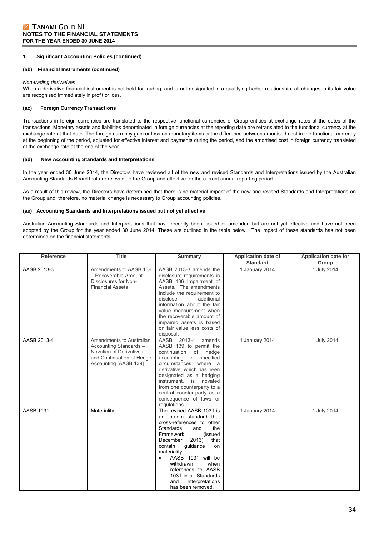#### **(ab) Financial Instruments (continued)**

#### *Non-trading derivatives*

When a derivative financial instrument is not held for trading, and is not designated in a qualifying hedge relationship, all changes in its fair value are recognised immediately in profit or loss.

### **(ac) Foreign Currency Transactions**

Transactions in foreign currencies are translated to the respective functional currencies of Group entities at exchange rates at the dates of the transactions. Monetary assets and liabilities denominated in foreign currencies at the reporting date are retranslated to the functional currency at the exchange rate at that date. The foreign currency gain or loss on monetary items is the difference between amortised cost in the functional currency at the beginning of the period, adjusted for effective interest and payments during the period, and the amortised cost in foreign currency translated at the exchange rate at the end of the year.

#### **(ad) New Accounting Standards and Interpretations**

In the year ended 30 June 2014, the Directors have reviewed all of the new and revised Standards and Interpretations issued by the Australian Accounting Standards Board that are relevant to the Group and effective for the current annual reporting period.

As a result of this review, the Directors have determined that there is no material impact of the new and revised Standards and Interpretations on the Group and, therefore, no material change is necessary to Group accounting policies.

#### **(ae) Accounting Standards and Interpretations issued but not yet effective**

Australian Accounting Standards and Interpretations that have recently been issued or amended but are not yet effective and have not been adopted by the Group for the year ended 30 June 2014. These are outlined in the table below. The impact of these standards has not been determined on the financial statements.

| <b>Reference</b> | <b>Title</b>                                                                                                                        | <b>Summary</b>                                                                                                                                                                                                                                                                                                                                                      | <b>Application date of</b> | <b>Application date for</b> |
|------------------|-------------------------------------------------------------------------------------------------------------------------------------|---------------------------------------------------------------------------------------------------------------------------------------------------------------------------------------------------------------------------------------------------------------------------------------------------------------------------------------------------------------------|----------------------------|-----------------------------|
|                  |                                                                                                                                     |                                                                                                                                                                                                                                                                                                                                                                     | <b>Standard</b>            | Group                       |
| AASB 2013-3      | Amendments to AASB 136<br>- Recoverable Amount<br>Disclosures for Non-<br><b>Financial Assets</b>                                   | AASB 2013-3 amends the<br>disclosure requirements in<br>AASB 136 Impairment of<br>Assets. The amendments<br>include the requirement to<br>disclose<br>additional<br>information about the fair<br>value measurement when<br>the recoverable amount of<br>impaired assets is based<br>on fair value less costs of<br>disposal.                                       | 1 January 2014             | 1 July 2014                 |
| AASB 2013-4      | Amendments to Australian<br>Accounting Standards -<br>Novation of Derivatives<br>and Continuation of Hedge<br>Accounting [AASB 139] | AASB 2013-4<br>amends<br>AASB 139 to permit the<br>continuation<br>of<br>hedge<br>accounting<br>in<br>specified<br>circumstances where a<br>derivative, which has been<br>designated as a hedging<br>instrument.<br>is novated<br>from one counterparty to a<br>central counter-party as a<br>consequence of laws or<br>regulations.                                | 1 January 2014             | 1 July 2014                 |
| <b>AASB 1031</b> | Materiality                                                                                                                         | The revised AASB 1031 is<br>an interim standard that<br>cross-references to other<br>Standards<br>the<br>and<br>Framework<br>(issued<br>2013)<br>that<br>December<br>contain<br>guidance<br>on<br>materiality.<br>AASB 1031 will be<br>$\bullet$<br>withdrawn<br>when<br>references to AASB<br>1031 in all Standards<br>and<br>Interpretations<br>has been removed. | 1 January 2014             | 1 July 2014                 |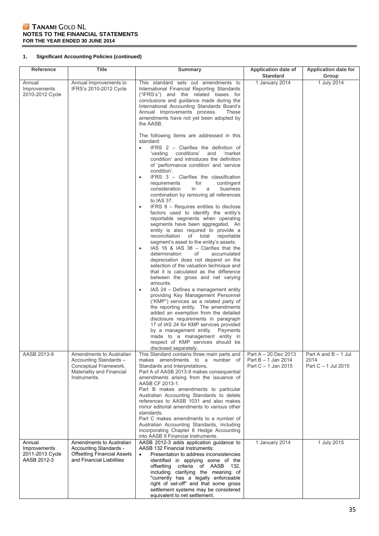# TANAMI GOLD NL **NOTES TO THE FINANCIAL STATEMENTS FOR THE YEAR ENDED 30 JUNE 2014**

# **1. Significant Accounting Policies (continued)**

| <b>Reference</b>                                         | <b>Title</b>                                                                                                             | <b>Summary</b>                                                                                                                                                                                                                                                                                                                                                                                                                                                                                                                                                                                                                                                                                                                                                                                                                                                                                                                                                                                                                                                                                                                                                                                                                                                                                                                                                                                                                                                                                                                                                                                                                                                                                                                                                                        | <b>Application date of</b><br><b>Standard</b>                        | <b>Application date for</b><br>Group                  |
|----------------------------------------------------------|--------------------------------------------------------------------------------------------------------------------------|---------------------------------------------------------------------------------------------------------------------------------------------------------------------------------------------------------------------------------------------------------------------------------------------------------------------------------------------------------------------------------------------------------------------------------------------------------------------------------------------------------------------------------------------------------------------------------------------------------------------------------------------------------------------------------------------------------------------------------------------------------------------------------------------------------------------------------------------------------------------------------------------------------------------------------------------------------------------------------------------------------------------------------------------------------------------------------------------------------------------------------------------------------------------------------------------------------------------------------------------------------------------------------------------------------------------------------------------------------------------------------------------------------------------------------------------------------------------------------------------------------------------------------------------------------------------------------------------------------------------------------------------------------------------------------------------------------------------------------------------------------------------------------------|----------------------------------------------------------------------|-------------------------------------------------------|
| Annual<br>Improvements<br>2010-2012 Cycle                | Annual Improvements to<br>IFRS's 2010-2012 Cycle                                                                         | This standard sets out amendments to<br>International Financial Reporting Standards<br>("IFRS's") and the related bases for<br>conclusions and guidance made during the<br>International Accounting Standards Board's<br>Annual Improvements process.<br>These<br>amendments have not yet been adopted by<br>the AASB.<br>The following items are addressed in this<br>standard:<br>IFRS $2$ – Clarifies the definition of<br>$\bullet$<br>'vesting conditions'<br>and<br>'market<br>condition' and introduces the definition<br>of 'performance condition' and 'service<br>condition'.<br>IFRS 3 - Clarifies the classification<br>$\bullet$<br>for<br>contingent<br>requirements<br>consideration<br>in<br>business<br>a<br>combination by removing all references<br>to IAS 37.<br>IFRS 8 – Requires entities to disclose<br>$\bullet$<br>factors used to identify the entity's<br>reportable segments when operating<br>segments have been aggregated. An<br>entity is also required to provide a<br>reconciliation of total<br>reportable<br>segment's asset to the entity's assets.<br>IAS 16 & IAS 38 - Clarifies that the<br>$\bullet$<br>determination<br>of<br>accumulated<br>depreciation does not depend on the<br>selection of the valuation technique and<br>that it is calculated as the difference<br>between the gross and net varying<br>amounts.<br>IAS 24 – Defines a management entity<br>$\bullet$<br>providing Key Management Personnel<br>("KMP") services as a related party of<br>the reporting entity. The amendments<br>added an exemption from the detailed<br>disclosure requirements in paragraph<br>17 of IAS 24 for KMP services provided<br>by a management entity. Payments<br>made to a management entity in<br>respect of KMP services should be | 1 January 2014                                                       | 1 July 2014                                           |
| AASB 2013-9                                              | Amendments to Australian<br>Accounting Standards -<br>Conceptual Framework,<br>Materiality and Financial<br>Instruments. | disclosed separately.<br>This Standard contains three main parts and<br>makes amendments to a number of<br>Standards and Interpretations.<br>Part A of AASB 2013-9 makes consequential<br>amendments arising from the issuance of<br>AASB CF 2013-1.<br>Part B makes amendments to particular<br>Australian Accounting Standards to delete<br>references to AASB 1031 and also makes<br>minor editorial amendments to various other                                                                                                                                                                                                                                                                                                                                                                                                                                                                                                                                                                                                                                                                                                                                                                                                                                                                                                                                                                                                                                                                                                                                                                                                                                                                                                                                                   | Part A - 20 Dec 2013<br>Part $B - 1$ Jan 2014<br>Part C - 1 Jan 2015 | Part A and $B - 1$ Jul<br>2014<br>Part C - 1 Jul 2015 |
|                                                          |                                                                                                                          | standards.<br>Part C makes amendments to a number of<br>Australian Accounting Standards, including<br>incorporating Chapter 6 Hedge Accounting<br>into AASB 9 Financial Instruments.                                                                                                                                                                                                                                                                                                                                                                                                                                                                                                                                                                                                                                                                                                                                                                                                                                                                                                                                                                                                                                                                                                                                                                                                                                                                                                                                                                                                                                                                                                                                                                                                  |                                                                      |                                                       |
| Annual<br>Improvements<br>2011-2013 Cycle<br>AASB 2012-3 | Amendments to Australian<br>Accounting Standards -<br><b>Offsetting Financial Assets</b><br>and Financial Liabilities    | AASB 2012-3 adds application guidance to<br>AASB 132 Financial Instruments:<br>Presentation to address inconsistencies<br>$\bullet$<br>identified in applying some of the<br>criteria of AASB 132,<br>offsetting<br>including clarifying the meaning of<br>"currently has a legally enforceable<br>right of set-off" and that some gross<br>settlement systems may be considered<br>equivalent to net settlement.                                                                                                                                                                                                                                                                                                                                                                                                                                                                                                                                                                                                                                                                                                                                                                                                                                                                                                                                                                                                                                                                                                                                                                                                                                                                                                                                                                     | 1 January 2014                                                       | 1 July 2015                                           |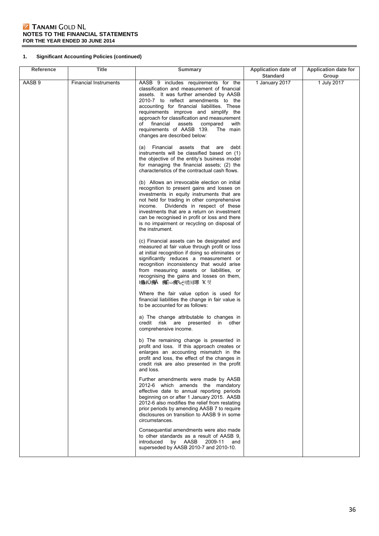# TANAMI GOLD NL **NOTES TO THE FINANCIAL STATEMENTS FOR THE YEAR ENDED 30 JUNE 2014**

# **1. Significant Accounting Policies (continued)**

| <b>Reference</b> | <b>Title</b>                 | <b>Summary</b>                                                                                                                                                                                                                                                                                                                                                                                                                     | Application date of<br><b>Standard</b> | <b>Application date for</b><br>Group |
|------------------|------------------------------|------------------------------------------------------------------------------------------------------------------------------------------------------------------------------------------------------------------------------------------------------------------------------------------------------------------------------------------------------------------------------------------------------------------------------------|----------------------------------------|--------------------------------------|
| AASB 9           | <b>Financial Instruments</b> | AASB 9 includes requirements for the<br>classification and measurement of financial<br>assets. It was further amended by AASB<br>2010-7 to reflect amendments to the<br>accounting for financial liabilities. These<br>requirements improve and simplify the<br>approach for classification and measurement<br>of financial<br>assets<br>compared<br>with<br>requirements of AASB 139.<br>The main<br>changes are described below: | 1 January 2017                         | 1 July 2017                          |
|                  |                              | (a) Financial assets that are<br>debt<br>instruments will be classified based on (1)<br>the objective of the entity's business model<br>for managing the financial assets; (2) the<br>characteristics of the contractual cash flows.                                                                                                                                                                                               |                                        |                                      |
|                  |                              | (b) Allows an irrevocable election on initial<br>recognition to present gains and losses on<br>investments in equity instruments that are<br>not held for trading in other comprehensive<br>Dividends in respect of these<br>income.<br>investments that are a return on investment<br>can be recognised in profit or loss and there<br>is no impairment or recycling on disposal of<br>the instrument.                            |                                        |                                      |
|                  |                              | (c) Financial assets can be designated and<br>measured at fair value through profit or loss<br>at initial recognition if doing so eliminates or<br>significantly reduces a measurement or<br>recognition inconsistency that would arise<br>from measuring assets or liabilities, or<br>recognising the gains and losses on them,<br> 瘡出Ú痹へ 痹芒△瘣∿ 嗜阂琊 K 刻                                                                           |                                        |                                      |
|                  |                              | Where the fair value option is used for<br>financial liabilities the change in fair value is<br>to be accounted for as follows:                                                                                                                                                                                                                                                                                                    |                                        |                                      |
|                  |                              | a) The change attributable to changes in<br>credit risk are presented in other<br>comprehensive income.                                                                                                                                                                                                                                                                                                                            |                                        |                                      |
|                  |                              | b) The remaining change is presented in<br>profit and loss. If this approach creates or<br>enlarges an accounting mismatch in the<br>profit and loss, the effect of the changes in<br>credit risk are also presented in the profit<br>and loss.                                                                                                                                                                                    |                                        |                                      |
|                  |                              | Further amendments were made by AASB<br>2012-6 which amends the mandatory<br>effective date to annual reporting periods<br>beginning on or after 1 January 2015. AASB<br>2012-6 also modifies the relief from restating<br>prior periods by amending AASB 7 to require<br>disclosures on transition to AASB 9 in some<br>circumstances.                                                                                            |                                        |                                      |
|                  |                              | Consequential amendments were also made<br>to other standards as a result of AASB 9,<br>by AASB<br>introduced<br>2009-11<br>and<br>superseded by AASB 2010-7 and 2010-10.                                                                                                                                                                                                                                                          |                                        |                                      |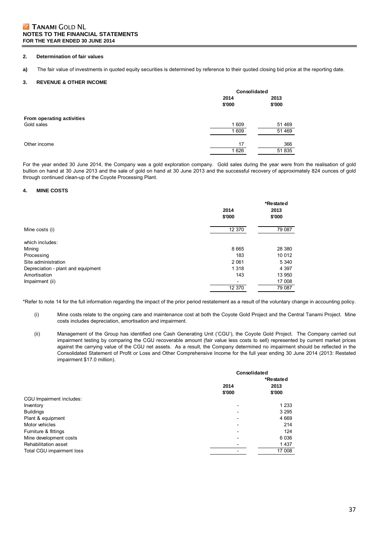# **Z TANAMI GOLD NL NOTES TO THE FINANCIAL STATEMENTS FOR THE YEAR ENDED 30 JUNE 2014**

#### **2. Determination of fair values**

**a)** The fair value of investments in quoted equity securities is determined by reference to their quoted closing bid price at the reporting date.

#### **3. REVENUE & OTHER INCOME**

|                           | Consolidated   |                |  |
|---------------------------|----------------|----------------|--|
|                           | 2014<br>\$'000 | 2013<br>\$'000 |  |
| From operating activities |                |                |  |
| Gold sales                | 1 609          | 51 469         |  |
|                           | 1 609          | 51 469         |  |
| Other income              | 17             | 366            |  |
|                           | 1 6 2 6        | 51 835         |  |

For the year ended 30 June 2014, the Company was a gold exploration company. Gold sales during the year were from the realisation of gold bullion on hand at 30 June 2013 and the sale of gold on hand at 30 June 2013 and the successful recovery of approximately 824 ounces of gold through continued clean-up of the Coyote Processing Plant.

#### **4. MINE COSTS**

|                                    | 2014<br>\$'000           | *Restated<br>2013<br>\$'000 |
|------------------------------------|--------------------------|-----------------------------|
| Mine costs (i)                     | 12 370                   | 79 087                      |
| which includes:                    |                          |                             |
| Mining                             | 8 6 6 5                  | 28 380                      |
| Processing                         | 183                      | 10 012                      |
| Site administration                | 2 0 6 1                  | 5 3 4 0                     |
| Depreciation - plant and equipment | 1 3 1 8                  | 4 3 9 7                     |
| Amortisation                       | 143                      | 13 950                      |
| Impairment (ii)                    | $\overline{\phantom{a}}$ | 17 008                      |
|                                    | 12 370                   | 79 087                      |

\*Refer to note 14 for the full information regarding the impact of the prior period restatement as a result of the voluntary change in accounting policy.

- (i) Mine costs relate to the ongoing care and maintenance cost at both the Coyote Gold Project and the Central Tanami Project. Mine costs includes depreciation, amortisation and impairment.
- (ii) Management of the Group has identified one Cash Generating Unit ('CGU'), the Coyote Gold Project. The Company carried out impairment testing by comparing the CGU recoverable amount (fair value less costs to sell) represented by current market prices against the carrying value of the CGU net assets. As a result, the Company determined no impairment should be reflected in the Consolidated Statement of Profit or Loss and Other Comprehensive Income for the full year ending 30 June 2014 (2013: Restated impairment \$17.0 million).

|                           | Consolidated |         |
|---------------------------|--------------|---------|
|                           |              |         |
|                           | 2014         | 2013    |
|                           | \$'000       | \$'000  |
| CGU Impairment includes:  |              |         |
| Inventory                 |              | 1 2 3 3 |
| <b>Buildings</b>          |              | 3 2 9 5 |
| Plant & equipment         |              | 4 6 6 9 |
| Motor vehicles            |              | 214     |
| Furniture & fittings      |              | 124     |
| Mine development costs    |              | 6 0 3 6 |
| Rehabilitation asset      |              | 1 4 3 7 |
| Total CGU impairment loss |              | 17 008  |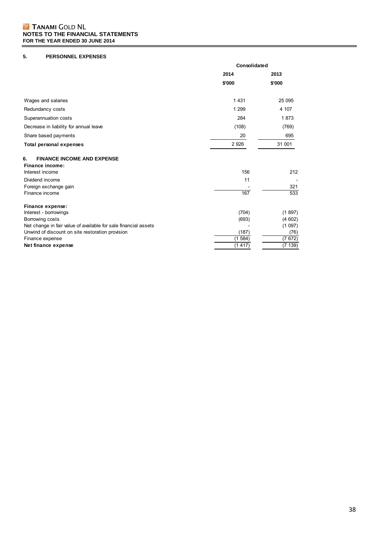# TANAMI GOLD NL **NOTES TO THE FINANCIAL STATEMENTS FOR THE YEAR ENDED 30 JUNE 2014**

# **5. PERSONNEL EXPENSES**

|                                                                               | Consolidated |        |
|-------------------------------------------------------------------------------|--------------|--------|
|                                                                               | 2014         | 2013   |
|                                                                               | \$'000       | \$'000 |
| Wages and salaries                                                            | 1 4 3 1      | 25 095 |
| Redundancy costs                                                              | 1 2 9 9      | 4 107  |
| Superannuation costs                                                          | 284          | 1873   |
| Decrease in liability for annual leave                                        | (108)        | (769)  |
| Share based payments                                                          | 20           | 695    |
| <b>Total personal expenses</b>                                                | 2 9 2 6      | 31 001 |
| <b>FINANCE INCOME AND EXPENSE</b><br>6.<br>Finance income:<br>Interest income | 156          | 212    |
| Dividend income<br>Foreign exchange gain                                      | 11           | 321    |
| Finance income                                                                | 167          | 533    |
| Finance expense:                                                              |              |        |
| Interest - borrowings                                                         | (704)        | (1897) |
| Borrowing costs                                                               | (693)        | (4602) |
| Net change in fair value of available for sale financial assets               |              | (1097) |
| Unwind of discount on site restoration provision                              | (187)        | (76)   |
| Finance expense                                                               | (1584)       | (7672) |
| Net finance expense                                                           | (1417)       | (7139) |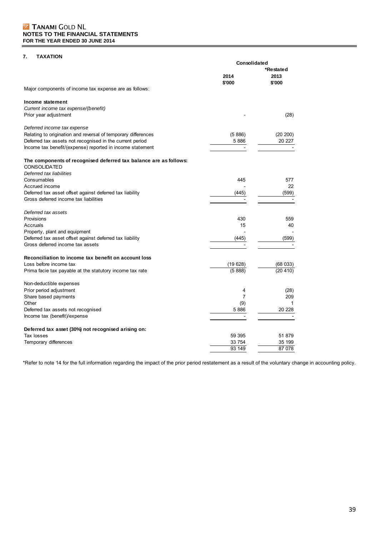# **7. TAXATION**

|                                                                                          | Consolidated<br>*Restated |                |
|------------------------------------------------------------------------------------------|---------------------------|----------------|
|                                                                                          | 2014<br>\$'000            | 2013<br>\$'000 |
| Major components of income tax expense are as follows:                                   |                           |                |
| Income statement                                                                         |                           |                |
| Current income tax expense/(benefit)                                                     |                           |                |
| Prior year adjustment                                                                    |                           | (28)           |
| Deferred income tax expense                                                              |                           |                |
| Relating to origination and reversal of temporary differences                            | (5886)                    | (20 200)       |
| Deferred tax assets not recognised in the current period                                 | 5886                      | 20 227         |
| Income tax benefit/(expense) reported in income statement                                |                           |                |
| The components of recognised deferred tax balance are as follows:<br><b>CONSOLIDATED</b> |                           |                |
| Deferred tax liabilities                                                                 |                           |                |
| Consumables                                                                              | 445                       | 577            |
| Accrued income                                                                           |                           | 22             |
| Deferred tax asset offset against deferred tax liability                                 | (445)                     | (599)          |
| Gross deferred income tax liabilities                                                    |                           |                |
| Deferred tax assets                                                                      |                           |                |
| Provisions                                                                               | 430                       | 559            |
| Accruals                                                                                 | 15                        | 40             |
| Property, plant and equipment                                                            |                           |                |
| Deferred tax asset offset against deferred tax liability                                 | (445)                     | (599)          |
| Gross deferred income tax assets                                                         |                           |                |
| Reconciliation to income tax benefit on account loss                                     |                           |                |
| Loss before income tax                                                                   | (19628)                   | (68033)        |
| Prima facie tax payable at the statutory income tax rate                                 | (5888)                    | (20, 410)      |
| Non-deductible expenses                                                                  |                           |                |
| Prior period adjustment                                                                  | 4                         | (28)           |
| Share based payments                                                                     | 7                         | 209            |
| Other                                                                                    | (9)                       | 1              |
| Deferred tax assets not recognised                                                       | 5886                      | 20 228         |
| Income tax (benefit)/expense                                                             |                           |                |
| Deferred tax asset (30%) not recognised arising on:                                      |                           |                |
| Tax losses                                                                               | 59 39 5                   | 51 879         |
| Temporary differences                                                                    | 33 754                    | 35 199         |
|                                                                                          | 93 149                    | 87 078         |

\*Refer to note 14 for the full information regarding the impact of the prior period restatement as a result of the voluntary change in accounting policy.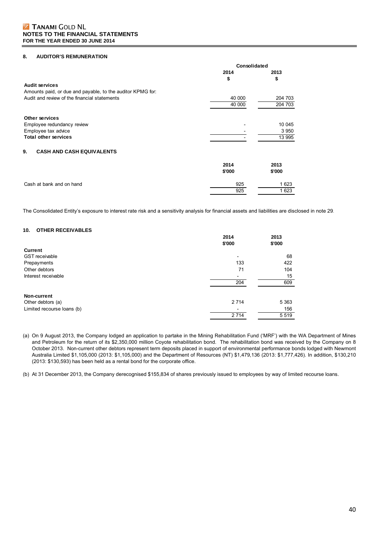### **8. AUDITOR'S REMUNERATION**

|                                                            | Consolidated |         |  |
|------------------------------------------------------------|--------------|---------|--|
|                                                            | 2014         | 2013    |  |
|                                                            | \$           | \$      |  |
| <b>Audit services</b>                                      |              |         |  |
| Amounts paid, or due and payable, to the auditor KPMG for: |              |         |  |
| Audit and review of the financial statements               | 40 000       | 204 703 |  |
|                                                            | 40 000       | 204 703 |  |
| <b>Other services</b>                                      |              |         |  |
|                                                            |              | 10 045  |  |
| Employee redundancy review<br>Employee tax advice          |              | 3 9 5 0 |  |
| <b>Total other services</b>                                |              | 13 995  |  |
|                                                            |              |         |  |
| <b>CASH AND CASH EQUIVALENTS</b><br>9.                     |              |         |  |
|                                                            | 2014         | 2013    |  |
|                                                            | \$'000       | \$'000  |  |
| Cash at bank and on hand                                   | 925          | 1 623   |  |
|                                                            | 925          | 1 623   |  |

The Consolidated Entity's exposure to interest rate risk and a sensitivity analysis for financial assets and liabilities are disclosed in note 29.

#### **10. OTHER RECEIVABLES**

|                            | 2014<br>\$'000           | 2013<br>\$'000 |
|----------------------------|--------------------------|----------------|
| <b>Current</b>             |                          |                |
| <b>GST</b> receivable      | $\overline{\phantom{0}}$ | 68             |
| Prepayments                | 133                      | 422            |
| Other debtors              | 71                       | 104            |
| Interest receivable        |                          | 15             |
|                            | 204                      | 609            |
| <b>Non-current</b>         |                          |                |
| Other debtors (a)          | 2 7 1 4                  | 5 3 6 3        |
| Limited recourse loans (b) |                          | 156            |
|                            | 2 7 1 4                  | 5 5 1 9        |

(a) On 9 August 2013, the Company lodged an application to partake in the Mining Rehabilitation Fund ('MRF') with the WA Department of Mines and Petroleum for the return of its \$2,350,000 million Coyote rehabilitation bond. The rehabilitation bond was received by the Company on 8 October 2013. Non-current other debtors represent term deposits placed in support of environmental performance bonds lodged with Newmont Australia Limited \$1,105,000 (2013: \$1,105,000) and the Department of Resources (NT) \$1,479,136 (2013: \$1,777,426). In addition, \$130,210 (2013: \$130,593) has been held as a rental bond for the corporate office.

(b) At 31 December 2013, the Company derecognised \$155,834 of shares previously issued to employees by way of limited recourse loans.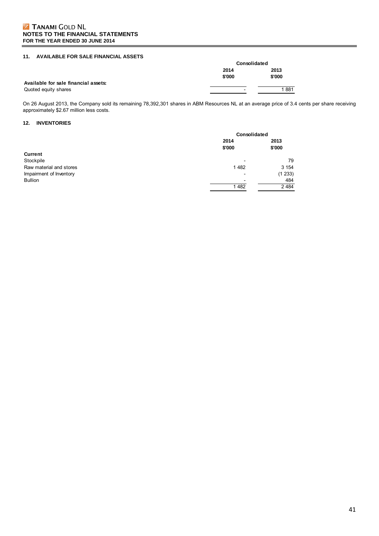# **11. AVAILABLE FOR SALE FINANCIAL ASSETS**

|                                      |                          | <b>Consolidated</b> |  |
|--------------------------------------|--------------------------|---------------------|--|
|                                      | 2014                     | 2013                |  |
|                                      | \$'000                   | \$'000              |  |
| Available for sale financial assets: |                          |                     |  |
| Quoted equity shares                 | $\overline{\phantom{0}}$ | 1881                |  |

On 26 August 2013, the Company sold its remaining 78,392,301 shares in ABM Resources NL at an average price of 3.4 cents per share receiving approximately \$2.67 million less costs.

### **12. INVENTORIES**

|                         | <b>Consolidated</b>      |                |
|-------------------------|--------------------------|----------------|
|                         | 2014<br>\$'000           | 2013<br>\$'000 |
| <b>Current</b>          |                          |                |
| Stockpile               | $\overline{\phantom{0}}$ | 79             |
| Raw material and stores | 1482                     | 3 1 5 4        |
| Impairment of Inventory |                          | (1 233)        |
| <b>Bullion</b>          | $\overline{\phantom{0}}$ | 484            |
|                         | 1482                     | 2 4 8 4        |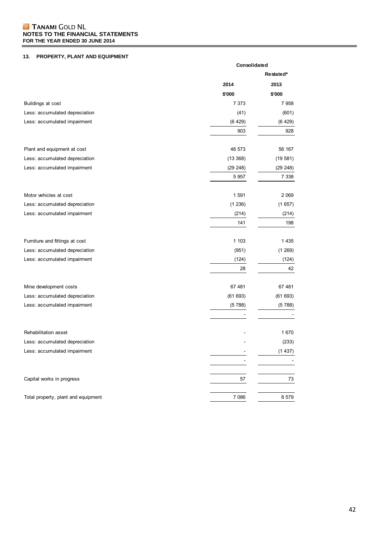### TANAMI GOLD NL **NOTES TO THE FINANCIAL STATEMENTS FOR THE YEAR ENDED 30 JUNE 2014**

# **13. PROPERTY, PLANT AND EQUIPMENT**

|                                     | Consolidated |          |
|-------------------------------------|--------------|----------|
|                                     | Restated*    |          |
|                                     | 2014         | 2013     |
|                                     | \$'000       | \$'000   |
| Buildings at cost                   | 7 3 7 3      | 7958     |
| Less: accumulated depreciation      | (41)         | (601)    |
| Less: accumulated impairment        | (6429)       | (6429)   |
|                                     | 903          | 928      |
| Plant and equipment at cost         | 48 573       | 56 167   |
| Less: accumulated depreciation      | (13 368)     | (19581)  |
| Less: accumulated impairment        | (29 248)     | (29 248) |
|                                     | 5 9 5 7      | 7 3 3 8  |
| Motor vehicles at cost              | 1 5 9 1      | 2 0 6 9  |
| Less: accumulated depreciation      | (1 236)      | (1657)   |
| Less: accumulated impairment        | (214)        | (214)    |
|                                     | 141          | 198      |
| Furniture and fittings at cost      | 1 1 0 3      | 1 4 3 5  |
| Less: accumulated depreciation      | (951)        | (1269)   |
| Less: accumulated impairment        | (124)        | (124)    |
|                                     | 28           | 42       |
| Mine development costs              | 67 481       | 67 481   |
| Less: accumulated depreciation      | (61693)      | (61693)  |
| Less: accumulated impairment        | (5788)       | (5788)   |
|                                     |              |          |
| Rehabilitation asset                |              | 1670     |
| Less: accumulated depreciation      |              | (233)    |
| Less: accumulated impairment        |              | (1437)   |
|                                     |              |          |
| Capital works in progress           | 57           | 73       |
| Total property, plant and equipment | 7 0 8 6      | 8 5 7 9  |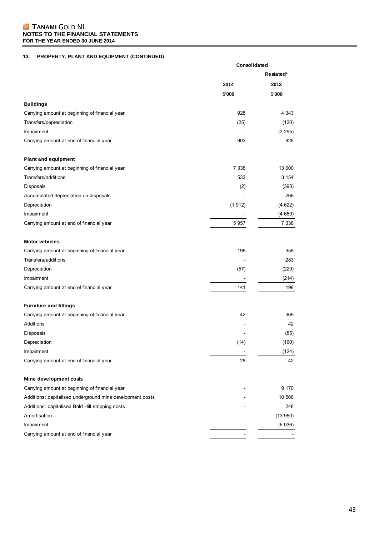# TANAMI GOLD NL **NOTES TO THE FINANCIAL STATEMENTS FOR THE YEAR ENDED 30 JUNE 2014**

# **13. PROPERTY, PLANT AND EQUIPMENT (CONTINUED)**

|                                                           | Consolidated |           |
|-----------------------------------------------------------|--------------|-----------|
|                                                           |              | Restated* |
|                                                           | 2014         | 2013      |
|                                                           | \$'000       | \$'000    |
| <b>Buildings</b>                                          |              |           |
| Carrying amount at beginning of financial year            | 928          | 4 3 4 3   |
| Transfers/depreciation                                    | (25)         | (120)     |
| Impairment                                                |              | (3 295)   |
| Carrying amount at end of financial year                  | 903          | 928       |
| <b>Plant and equipment</b>                                |              |           |
| Carrying amount at beginning of financial year            | 7 3 3 8      | 13 600    |
| Transfers/additions                                       | 533          | 3 1 5 4   |
| Disposals                                                 | (2)          | (393)     |
| Accumulated depreciation on disposals                     |              | 268       |
| Depreciation                                              | (1912)       | (4622)    |
| Impairment                                                |              | (4669)    |
| Carrying amount at end of financial year                  | 5 9 5 7      | 7 3 3 8   |
| <b>Motor vehicles</b>                                     |              |           |
| Carrying amount at beginning of financial year            | 198          | 358       |
| Transfers/additions                                       |              | 283       |
| Depreciation                                              | (57)         | (229)     |
| Impairment                                                |              | (214)     |
| Carrying amount at end of financial year                  | 141          | 198       |
| <b>Furniture and fittings</b>                             |              |           |
| Carrying amount at beginning of financial year            | 42           | 369       |
| Additions                                                 |              | 42        |
| Disposals                                                 |              | (85)      |
| Depreciation                                              | (14)         | (160)     |
| Impairment                                                |              | (124)     |
| Carrying amount at end of financial year                  | 28           | 42        |
| Mine development costs                                    |              |           |
| Carrying amount at beginning of financial year            |              | 9 1 7 0   |
| Additions: capitalised underground mine development costs |              | 10 568    |
| Additions: capitalised Bald Hill stripping costs          |              | 248       |
| Amortisation                                              |              | (13950)   |
| Impairment                                                |              | (6036)    |
| Carrying amount at end of financial year                  |              |           |
|                                                           |              |           |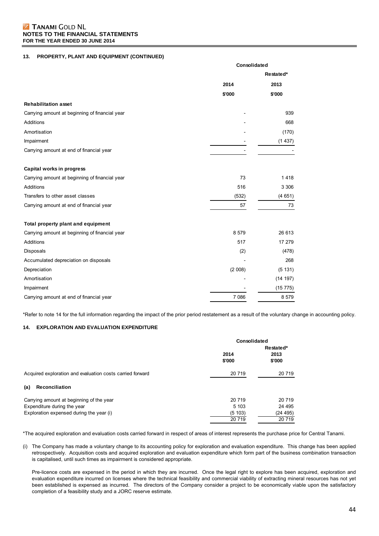# **Z TANAMI GOLD NL NOTES TO THE FINANCIAL STATEMENTS FOR THE YEAR ENDED 30 JUNE 2014**

### **13. PROPERTY, PLANT AND EQUIPMENT (CONTINUED)**

|                                                | Consolidated |           |  |
|------------------------------------------------|--------------|-----------|--|
|                                                |              | Restated* |  |
|                                                | 2014         | 2013      |  |
|                                                | \$'000       | \$'000    |  |
| <b>Rehabilitation asset</b>                    |              |           |  |
| Carrying amount at beginning of financial year |              | 939       |  |
| Additions                                      |              | 668       |  |
| Amortisation                                   |              | (170)     |  |
| Impairment                                     |              | (1437)    |  |
| Carrying amount at end of financial year       |              |           |  |
| Capital works in progress                      |              |           |  |
| Carrying amount at beginning of financial year | 73           | 1418      |  |
| Additions                                      | 516          | 3 3 0 6   |  |
| Transfers to other asset classes               | (532)        | (4651)    |  |
| Carrying amount at end of financial year       | 57           | 73        |  |
| Total property plant and equipment             |              |           |  |
| Carrying amount at beginning of financial year | 8 5 7 9      | 26 613    |  |
| Additions                                      | 517          | 17 279    |  |
| Disposals                                      | (2)          | (478)     |  |
| Accumulated depreciation on disposals          |              | 268       |  |
| Depreciation                                   | (2 008)      | (5 131)   |  |
| Amortisation                                   |              | (14 197)  |  |
| Impairment                                     |              | (15 775)  |  |
| Carrying amount at end of financial year       | 7 0 8 6      | 8 5 7 9   |  |

\*Refer to note 14 for the full information regarding the impact of the prior period restatement as a result of the voluntary change in accounting policy.

# **14. EXPLORATION AND EVALUATION EXPENDITURE**

|                                                           | Consolidated   |                |
|-----------------------------------------------------------|----------------|----------------|
|                                                           | Restated*      |                |
|                                                           | 2014<br>\$'000 | 2013<br>\$'000 |
| Acquired exploration and evaluation costs carried forward | 20 719         | 20 719         |
| (a)<br><b>Reconciliation</b>                              |                |                |
| Carrying amount at beginning of the year                  | 20 719         | 20 719         |
| Expenditure during the year                               | 5 103          | 24 4 95        |
| Exploration expensed during the year (i)                  | (5103)         | (24 495)       |
|                                                           | 20 719         | 20 719         |

\*The acquired exploration and evaluation costs carried forward in respect of areas of interest represents the purchase price for Central Tanami.

(i) The Company has made a voluntary change to its accounting policy for exploration and evaluation expenditure. This change has been applied retrospectively. Acquisition costs and acquired exploration and evaluation expenditure which form part of the business combination transaction is capitalised, until such times as impairment is considered appropriate.

Pre-licence costs are expensed in the period in which they are incurred. Once the legal right to explore has been acquired, exploration and evaluation expenditure incurred on licenses where the technical feasibility and commercial viability of extracting mineral resources has not yet been established is expensed as incurred. The directors of the Company consider a project to be economically viable upon the satisfactory completion of a feasibility study and a JORC reserve estimate.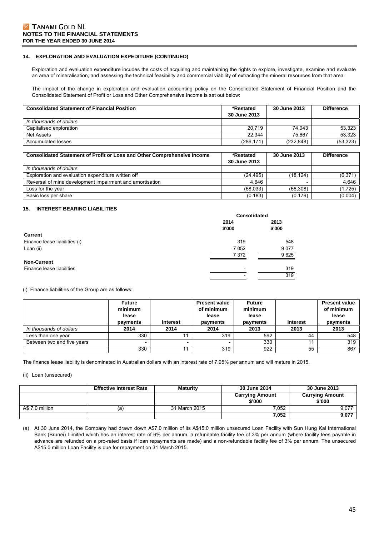### **14. EXPLORATION AND EVALUATION EXPEDITURE (CONTINUED)**

Exploration and evaluation expenditure incudes the costs of acquiring and maintaining the rights to explore, investigate, examine and evaluate an area of mineralisation, and assessing the technical feasibility and commercial viability of extracting the mineral resources from that area.

The impact of the change in exploration and evaluation accounting policy on the Consolidated Statement of Financial Position and the Consolidated Statement of Profit or Loss and Other Comprehensive Income is set out below:

| <b>Consolidated Statement of Financial Position</b> | *Restated<br>30 June 2013 | 30 June 2013 | <b>Difference</b> |
|-----------------------------------------------------|---------------------------|--------------|-------------------|
| In thousands of dollars                             |                           |              |                   |
| Capitalised exploration                             | 20.719                    | 74.043       | 53.323            |
| Net Assets                                          | 22.344                    | 75.667       | 53.323            |
| Accumulated losses                                  | (286, 171)                | (232.848)    | (53,323)          |

| <b>Consolidated Statement of Profit or Loss and Other Comprehensive Income</b> | *Restated<br>30 June 2013 | 30 June 2013 | <b>Difference</b> |
|--------------------------------------------------------------------------------|---------------------------|--------------|-------------------|
| In thousands of dollars                                                        |                           |              |                   |
| Exploration and evaluation expenditure written off                             | (24.495)                  | (18.124)     | (6,371)           |
| Reversal of mine development impairment and amortisation                       | 4.646                     |              | 4.646             |
| Loss for the year                                                              | (68,033)                  | (66.308)     | (1,725)           |
| Basic loss per share                                                           | (0.183)                   | (0.179)      | (0.004)           |

#### **15. INTEREST BEARING LIABILITIES**

|                               | Consolidated             |         |
|-------------------------------|--------------------------|---------|
|                               | 2014                     | 2013    |
|                               | \$'000                   | \$'000  |
| <b>Current</b>                |                          |         |
| Finance lease liabilities (i) | 319                      | 548     |
| Loan (ii)                     | 7 0 5 2                  | 9 0 7 7 |
|                               | 7 3 7 2                  | 9625    |
| <b>Non-Current</b>            |                          |         |
| Finance lease liabilities     | $\overline{\phantom{a}}$ | 319     |
|                               | $\overline{\phantom{a}}$ | 319     |

(i) Finance liabilities of the Group are as follows:

|                            | <b>Future</b><br>minimum<br>lease<br>payments | <b>Interest</b> | <b>Present value</b><br>of minimum<br>lease<br>payments | <b>Future</b><br>minimum<br>lease<br>payments | <b>Interest</b> | <b>Present value</b><br>of minimum<br>lease<br>payments |
|----------------------------|-----------------------------------------------|-----------------|---------------------------------------------------------|-----------------------------------------------|-----------------|---------------------------------------------------------|
| In thousands of dollars    | 2014                                          | 2014            | 2014                                                    | 2013                                          | 2013            | 2013                                                    |
| Less than one year         | 330                                           |                 | 319                                                     | 592                                           | 44              | 548                                                     |
| Between two and five years |                                               |                 |                                                         | 330                                           | 11              | 319                                                     |
|                            | 330                                           | 44              | 319                                                     | 922                                           | 55              | 867                                                     |

The finance lease liability is denominated in Australian dollars with an interest rate of 7.95% per annum and will mature in 2015.

#### (ii) Loan (unsecured)

|                 | <b>Effective Interest Rate</b> | <b>Maturity</b> | 30 June 2014                     | 30 June 2013                     |
|-----------------|--------------------------------|-----------------|----------------------------------|----------------------------------|
|                 |                                |                 | <b>Carrying Amount</b><br>\$'000 | <b>Carrying Amount</b><br>\$'000 |
| A\$ 7.0 million | (a)                            | 31 March 2015   | 7.052                            | 9,077                            |
|                 |                                |                 | 7,052                            | 9,077                            |

(a) At 30 June 2014, the Company had drawn down A\$7.0 million of its A\$15.0 million unsecured Loan Facility with Sun Hung Kai International Bank (Brunei) Limited which has an interest rate of 6% per annum, a refundable facility fee of 3% per annum (where facility fees payable in advance are refunded on a pro-rated basis if loan repayments are made) and a non-refundable facility fee of 3% per annum. The unsecured A\$15.0 million Loan Facility is due for repayment on 31 March 2015.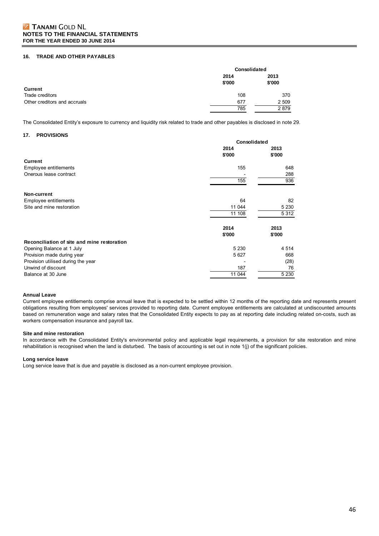#### **16. TRADE AND OTHER PAYABLES**

|                              | <b>Consolidated</b> |         |
|------------------------------|---------------------|---------|
|                              | 2014                | 2013    |
|                              | \$'000              | \$'000  |
| <b>Current</b>               |                     |         |
| Trade creditors              | 108                 | 370     |
| Other creditors and accruals | 677                 | 2 5 0 9 |
|                              | 785                 | 2879    |

The Consolidated Entity's exposure to currency and liquidity risk related to trade and other payables is disclosed in note 29.

### **17. PROVISIONS**

|                                             | Consolidated |         |
|---------------------------------------------|--------------|---------|
|                                             | 2014         | 2013    |
|                                             | \$'000       | \$'000  |
| <b>Current</b>                              |              |         |
| Employee entitlements                       | 155          | 648     |
| Onerous lease contract                      |              | 288     |
|                                             | 155          | 936     |
|                                             |              |         |
| Non-current                                 |              |         |
| Employee entitlements                       | 64           | 82      |
| Site and mine restoration                   | 11 044       | 5 2 3 0 |
|                                             | 11 108       | 5 3 1 2 |
|                                             |              |         |
|                                             | 2014         | 2013    |
|                                             | \$'000       | \$'000  |
| Reconciliation of site and mine restoration |              |         |
| Opening Balance at 1 July                   | 5 2 3 0      | 4 5 1 4 |
| Provision made during year                  | 5 6 27       | 668     |
| Provision utilised during the year          |              | (28)    |
| Unwind of discount                          | 187          | 76      |
| Balance at 30 June                          | 11 044       | 5 2 3 0 |
|                                             |              |         |

#### **Annual Leave**

Current employee entitlements comprise annual leave that is expected to be settled within 12 months of the reporting date and represents present obligations resulting from employees' services provided to reporting date. Current employee entitlements are calculated at undiscounted amounts based on remuneration wage and salary rates that the Consolidated Entity expects to pay as at reporting date including related on-costs, such as workers compensation insurance and payroll tax.

#### **Site and mine restoration**

In accordance with the Consolidated Entity's environmental policy and applicable legal requirements, a provision for site restoration and mine rehabilitation is recognised when the land is disturbed. The basis of accounting is set out in note 1(j) of the significant policies.

### **Long service leave**

Long service leave that is due and payable is disclosed as a non-current employee provision.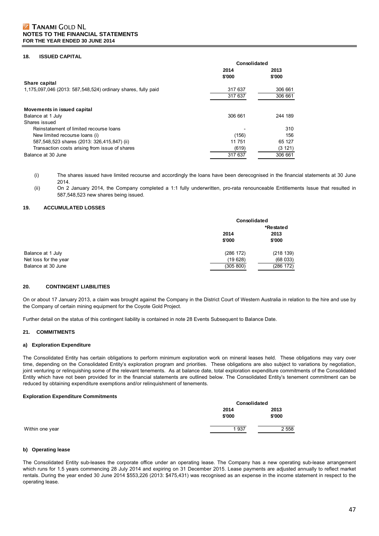# **Z TANAMI GOLD NL NOTES TO THE FINANCIAL STATEMENTS FOR THE YEAR ENDED 30 JUNE 2014**

#### **18. ISSUED CAPITAL**

|                                                               | Consolidated |         |  |
|---------------------------------------------------------------|--------------|---------|--|
|                                                               | 2014         | 2013    |  |
|                                                               | \$'000       | \$'000  |  |
| Share capital                                                 |              |         |  |
| 1,175,097,046 (2013: 587,548,524) ordinary shares, fully paid | 317 637      | 306 661 |  |
|                                                               | 317 637      | 306 661 |  |
| Movements in issued capital                                   |              |         |  |
| Balance at 1 July                                             | 306 661      | 244 189 |  |
| Shares issued                                                 |              |         |  |
| Reinstatement of limited recourse loans                       |              | 310     |  |
| New limited recourse loans (i)                                | (156)        | 156     |  |
| 587,548,523 shares (2013: 326,415,847) (ii)                   | 11 751       | 65 127  |  |
| Transaction costs arising from issue of shares                | (619)        | (3121)  |  |
| Balance at 30 June                                            | 317 637      | 306 661 |  |

(i) The shares issued have limited recourse and accordingly the loans have been derecognised in the financial statements at 30 June 2014.

(ii) On 2 January 2014, the Company completed a 1:1 fully underwritten, pro-rata renounceable Entitlements Issue that resulted in 587,548,523 new shares being issued.

### **19. ACCUMULATED LOSSES**

|                       |           | Consolidated |  |
|-----------------------|-----------|--------------|--|
|                       |           | *Restated    |  |
|                       | 2014      | 2013         |  |
|                       | \$'000    | \$'000       |  |
| Balance at 1 July     | (286 172) | (218139)     |  |
| Net loss for the year | (19628)   | (68033)      |  |
| Balance at 30 June    | (305 800) | (286 172)    |  |

#### **20. CONTINGENT LIABILITIES**

On or about 17 January 2013, a claim was brought against the Company in the District Court of Western Australia in relation to the hire and use by the Company of certain mining equipment for the Coyote Gold Project.

Further detail on the status of this contingent liability is contained in note 28 Events Subsequent to Balance Date.

#### **21. COMMITMENTS**

#### **a) Exploration Expenditure**

The Consolidated Entity has certain obligations to perform minimum exploration work on mineral leases held. These obligations may vary over time, depending on the Consolidated Entity's exploration program and priorities. These obligations are also subject to variations by negotiation, joint venturing or relinquishing some of the relevant tenements. As at balance date, total exploration expenditure commitments of the Consolidated Entity which have not been provided for in the financial statements are outlined below. The Consolidated Entity's tenement commitment can be reduced by obtaining expenditure exemptions and/or relinquishment of tenements.

#### **Exploration Expenditure Commitments**

|                 |        | Consolidated |  |  |
|-----------------|--------|--------------|--|--|
|                 | 2014   | 2013         |  |  |
|                 | \$'000 | \$'000       |  |  |
| Within one year | 1937   | 2 5 5 8      |  |  |

#### **b) Operating lease**

The Consolidated Entity sub-leases the corporate office under an operating lease. The Company has a new operating sub-lease arrangement which runs for 1.5 years commencing 28 July 2014 and expiring on 31 December 2015. Lease payments are adjusted annually to reflect market rentals. During the year ended 30 June 2014 \$553,226 (2013: \$475,431) was recognised as an expense in the income statement in respect to the operating lease.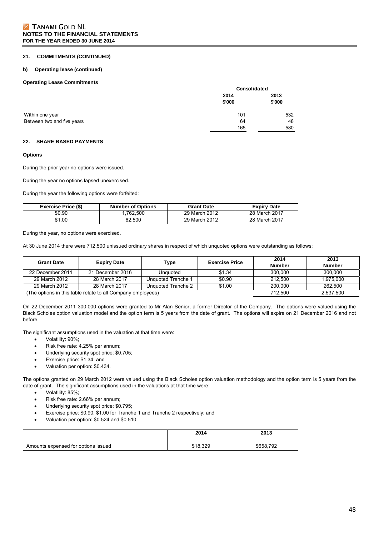#### **21. COMMITMENTS (CONTINUED)**

#### **b) Operating lease (continued)**

### **Operating Lease Commitments**

|                            | Consolidated   |                |
|----------------------------|----------------|----------------|
|                            | 2014<br>\$'000 | 2013<br>\$'000 |
| Within one year            | 101            | 532            |
| Between two and five years | 64             | 48             |
|                            | 165            | 580            |

#### **22. SHARE BASED PAYMENTS**

#### **Options**

During the prior year no options were issued.

During the year no options lapsed unexercised.

During the year the following options were forfeited:

| <b>Exercise Price (\$)</b> | <b>Number of Options</b> | <b>Grant Date</b> | <b>Expiry Date</b> |
|----------------------------|--------------------------|-------------------|--------------------|
| \$0.90                     | .762.500                 | 29 March 2012     | 28 March 2017      |
| \$1.00                     | 62.500                   | 29 March 2012     | 28 March 2017      |

During the year, no options were exercised.

At 30 June 2014 there were 712,500 unissued ordinary shares in respect of which unquoted options were outstanding as follows:

| <b>Grant Date</b> | <b>Expiry Date</b>                                          | Type               | <b>Exercise Price</b> | 2014<br><b>Number</b> | 2013<br><b>Number</b> |
|-------------------|-------------------------------------------------------------|--------------------|-----------------------|-----------------------|-----------------------|
| 22 December 2011  | 21 December 2016                                            | Unguoted           | \$1.34                | 300.000               | 300.000               |
| 29 March 2012     | 28 March 2017                                               | Unquoted Tranche 1 | \$0.90                | 212,500               | 1,975,000             |
| 29 March 2012     | 28 March 2017                                               | Unquoted Tranche 2 | \$1.00                | 200.000               | 262.500               |
|                   | (The options in this table relate to all Company employees) | 712.500            | 2,537,500             |                       |                       |

On 22 December 2011 300,000 options were granted to Mr Alan Senior, a former Director of the Company. The options were valued using the Black Scholes option valuation model and the option term is 5 years from the date of grant. The options will expire on 21 December 2016 and not before.

The significant assumptions used in the valuation at that time were:

- Volatility: 90%;
- Risk free rate: 4.25% per annum;
- Underlying security spot price: \$0.705;
- Exercise price: \$1.34; and
- Valuation per option: \$0.434.

The options granted on 29 March 2012 were valued using the Black Scholes option valuation methodology and the option term is 5 years from the date of grant. The significant assumptions used in the valuations at that time were:

- Volatility: 85%;
- Risk free rate: 2.66% per annum;
- Underlying security spot price: \$0.795;
- Exercise price: \$0.90, \$1.00 for Tranche 1 and Tranche 2 respectively; and
- Valuation per option: \$0.524 and \$0.510.

|                                     | 2014     | 2013      |
|-------------------------------------|----------|-----------|
| Amounts expensed for options issued | \$18,329 | \$658,792 |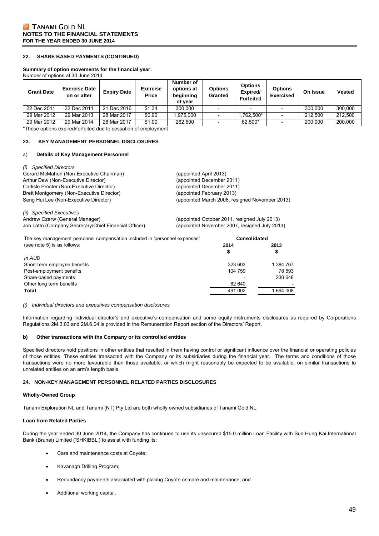#### **22. SHARE BASED PAYMENTS (CONTINUED)**

#### **Summary of option movements for the financial year:**

Number of options at 30 June 2014

| <b>Grant Date</b> | <b>Exercise Date</b><br>on or after | <b>Expiry Date</b> | <b>Exercise</b><br><b>Price</b> | Number of<br>options at<br>beginning<br>of vear | <b>Options</b><br>Granted | <b>Options</b><br>Expired/<br><b>Forfeited</b> | <b>Options</b><br><b>Exercised</b> | On Issue | Vested  |
|-------------------|-------------------------------------|--------------------|---------------------------------|-------------------------------------------------|---------------------------|------------------------------------------------|------------------------------------|----------|---------|
| 22 Dec 2011       | 22 Dec 2011                         | 21 Dec 2016        | \$1.34                          | 300.000                                         |                           | $\sim$                                         |                                    | 300.000  | 300,000 |
| 29 Mar 2012       | 29 Mar 2013                         | 28 Mar 2017        | \$0.90                          | 1.975.000                                       |                           | .762.500*                                      |                                    | 212.500  | 212.500 |
| 29 Mar 2012       | 29 Mar 2014                         | 28 Mar 2017        | \$1.00                          | 262,500                                         |                           | 62.500*                                        |                                    | 200.000  | 200.000 |

\*These options expired/forfeited due to cessation of employment

#### **23. KEY MANAGEMENT PERSONNEL DISCLOSURES**

#### a) **Details of Key Management Personnel**

*(i) Specified Directors* 

| <i>a boccard Directors</i>                |                                                |
|-------------------------------------------|------------------------------------------------|
| Gerard McMahon (Non-Executive Chairman)   | (appointed April 2013)                         |
| Arthur Dew (Non-Executive Director)       | (appointed December 2011)                      |
| Carlisle Procter (Non-Executive Director) | (appointed December 2011)                      |
| Brett Montgomery (Non-Executive Director) | (appointed February 2013)                      |
| Seng Hui Lee (Non-Executive Director)     | (appointed March 2008, resigned November 2013) |
|                                           |                                                |
|                                           |                                                |

*(ii) Specified Executives*  Andrew Czerw (General Manager) (appointed October 2011, resigned July 2013) Jon Latto (Company Secretary/Chief Financial Officer) (appointed November 2007, resigned July 2013)

**Consolidated**

The key management personnel compensation included in 'personnel expenses' (see note 5) is as follows: **2014 2013**

|                              |         | S         |
|------------------------------|---------|-----------|
| In AUD                       |         |           |
| Short-term employee benefits | 323 603 | 1 384 767 |
| Post-employment benefits     | 104 759 | 78 593    |
| Share-based payments         |         | 230 648   |
| Other long term benefits     | 62 640  |           |
| Total                        | 491 002 | 1 694 008 |

#### *(i) Individual directors and executives compensation disclosures*

Information regarding individual director's and executive's compensation and some equity instruments disclosures as required by Corporations Regulations 2M.3.03 and 2M.6.04 is provided in the Remuneration Report section of the Directors' Report.

#### **b) Other transactions with the Company or its controlled entities**

Specified directors hold positions in other entities that resulted in them having control or significant influence over the financial or operating policies of those entities. These entities transacted with the Company or its subsidiaries during the financial year. The terms and conditions of those transactions were no more favourable than those available, or which might reasonably be expected to be available, on similar transactions to unrelated entities on an arm's length basis.

#### **24. NON-KEY MANAGEMENT PERSONNEL RELATED PARTIES DISCLOSURES**

#### **Wholly-Owned Group**

Tanami Exploration NL and Tanami (NT) Pty Ltd are both wholly owned subsidiaries of Tanami Gold NL.

#### **Loan from Related Parties**

During the year ended 30 June 2014, the Company has continued to use its unsecured \$15.0 million Loan Facility with Sun Hung Kai International Bank (Brunei) Limited ('SHKIBBL') to assist with funding its:

- Care and maintenance costs at Coyote;
- Kavanagh Drilling Program;
- Redundancy payments associated with placing Coyote on care and maintenance; and
- Additional working capital.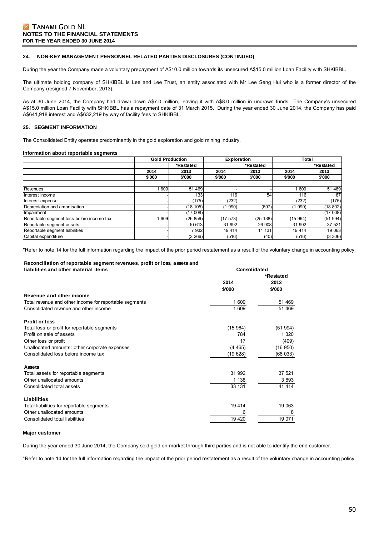### **24. NON-KEY MANAGEMENT PERSONNEL RELATED PARTIES DISCLOSURES (CONTINUED)**

During the year the Company made a voluntary prepayment of A\$10.0 million towards its unsecured A\$15.0 million Loan Facility with SHKIBBL.

The ultimate holding company of SHKIBBL is Lee and Lee Trust, an entity associated with Mr Lee Seng Hui who is a former director of the Company (resigned 7 November, 2013).

As at 30 June 2014, the Company had drawn down A\$7.0 million, leaving it with A\$8.0 million in undrawn funds. The Company's unsecured A\$15.0 million Loan Facility with SHKIBBL has a repayment date of 31 March 2015. During the year ended 30 June 2014, the Company has paid A\$641,918 interest and A\$632,219 by way of facility fees to SHKIBBL.

#### **25. SEGMENT INFORMATION**

The Consolidated Entity operates predominantly in the gold exploration and gold mining industry.

#### **Information about reportable segments**

|                                           | <b>Gold Production</b> |           | <b>Exploration</b> |           | Total    |           |  |
|-------------------------------------------|------------------------|-----------|--------------------|-----------|----------|-----------|--|
|                                           |                        | *Restated |                    | *Restated |          | *Restated |  |
|                                           | 2014                   | 2013      | 2014               | 2013      | 2014     | 2013      |  |
|                                           | \$'000                 | \$'000    | \$'000             | \$'000    | \$'000   | \$'000    |  |
|                                           |                        |           |                    |           |          |           |  |
| Revenues                                  | 609                    | 51 469    |                    |           | 609      | 51 469    |  |
| Interest income                           |                        | 133       | 116                | 54        | 116      | 187       |  |
| Interest expense                          |                        | (175)     | (232)              |           | (232)    | (175)     |  |
| Depreciation and amortisation             |                        | (18105)   | 990)               | (697)     | (1990)   | (18 802)  |  |
| Impairment                                |                        | (17008)   |                    |           |          | (17008)   |  |
| Reportable segment loss before income tax | 609                    | (26 856)  | (17573)            | (25138)   | (15 964) | (51994)   |  |
| Reportable segment assets                 |                        | 10 613    | 31 992             | 26 908    | 31 992   | 37 521    |  |
| Reportable segment liabilities            |                        | 7932      | 19414              | 11 131    | 19 4 14  | 19 063    |  |
| Capital expenditure                       |                        | (3 266)   | (516)              | (40)      | (516)    | (3306)    |  |

\*Refer to note 14 for the full information regarding the impact of the prior period restatement as a result of the voluntary change in accounting policy.

#### **Reconciliation of reportable segment revenues, profit or loss, assets and liabilities and other material items**

| liabilities and other material items                   | Consolidated |           |  |  |
|--------------------------------------------------------|--------------|-----------|--|--|
|                                                        |              | *Restated |  |  |
|                                                        | 2014         | 2013      |  |  |
|                                                        | \$'000       | \$'000    |  |  |
| Revenue and other income                               |              |           |  |  |
| Total revenue and other income for reportable segments | 1 609        | 51 469    |  |  |
| Consolidated revenue and other income                  | 1 609        | 51 469    |  |  |
| <b>Profit or loss</b>                                  |              |           |  |  |
| Total loss or profit for reportable segments           | (15964)      | (51994)   |  |  |
| Profit on sale of assets                               | 784          | 1 3 2 0   |  |  |
| Other loss or profit                                   | 17           | (409)     |  |  |
| Unallocated amounts: other corporate expenses          | (4465)       | (16950)   |  |  |
| Consolidated loss before income tax                    | (19628)      | (68033)   |  |  |
| <b>Assets</b>                                          |              |           |  |  |
| Total assets for reportable segments                   | 31 992       | 37 521    |  |  |
| Other unallocated amounts                              | 1 1 3 8      | 3893      |  |  |
| Consolidated total assets                              | 33 131       | 41 4 14   |  |  |
| Liabilities                                            |              |           |  |  |
| Total liabilities for reportable segments              | 19 4 14      | 19 063    |  |  |
| Other unallocated amounts                              | 6            | 8         |  |  |
| Consolidated total liabilities                         | 19 4 20      | 19 071    |  |  |

#### **Major customer**

During the year ended 30 June 2014, the Company sold gold on-market through third parties and is not able to identify the end customer.

\*Refer to note 14 for the full information regarding the impact of the prior period restatement as a result of the voluntary change in accounting policy.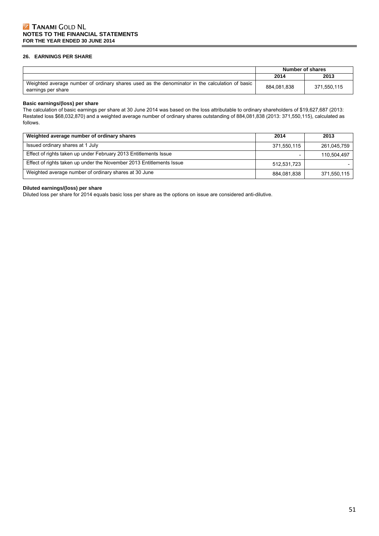### **26. EARNINGS PER SHARE**

|                                                                                                                      |             | Number of shares |
|----------------------------------------------------------------------------------------------------------------------|-------------|------------------|
|                                                                                                                      | 2014        | 2013             |
| Weighted average number of ordinary shares used as the denominator in the calculation of basic<br>earnings per share | 884.081.838 | 371.550.115      |

#### **Basic earnings/(loss) per share**

The calculation of basic earnings per share at 30 June 2014 was based on the loss attributable to ordinary shareholders of \$19,627,687 (2013: Restated loss \$68,032,870) and a weighted average number of ordinary shares outstanding of 884,081,838 (2013: 371,550,115), calculated as follows.

| Weighted average number of ordinary shares                           | 2014        | 2013        |
|----------------------------------------------------------------------|-------------|-------------|
| Issued ordinary shares at 1 July                                     | 371,550,115 | 261,045,759 |
| Effect of rights taken up under February 2013 Entitlements Issue     |             | 110.504.497 |
| Effect of rights taken up under the November 2013 Entitlements Issue | 512.531.723 |             |
| Weighted average number of ordinary shares at 30 June                | 884,081,838 | 371,550,115 |

# **Diluted earnings/(loss) per share**

Diluted loss per share for 2014 equals basic loss per share as the options on issue are considered anti-dilutive.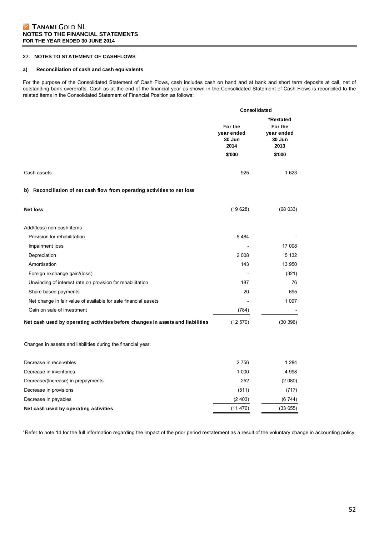### **27. NOTES TO STATEMENT OF CASHFLOWS**

### **a) Reconciliation of cash and cash equivalents**

For the purpose of the Consolidated Statement of Cash Flows, cash includes cash on hand and at bank and short term deposits at call, net of outstanding bank overdrafts. Cash as at the end of the financial year as shown in the Consolidated Statement of Cash Flows is reconciled to the related items in the Consolidated Statement of Financial Position as follows:

|                                                                                | Consolidated                                      |                                                                |  |  |
|--------------------------------------------------------------------------------|---------------------------------------------------|----------------------------------------------------------------|--|--|
|                                                                                | For the<br>year ended<br>30 Jun<br>2014<br>\$'000 | *Restated<br>For the<br>year ended<br>30 Jun<br>2013<br>\$'000 |  |  |
| Cash assets                                                                    | 925                                               | 1 6 2 3                                                        |  |  |
| b) Reconciliation of net cash flow from operating activities to net loss       |                                                   |                                                                |  |  |
| <b>Net loss</b>                                                                | (19628)                                           | (68033)                                                        |  |  |
| Add/(less) non-cash items                                                      |                                                   |                                                                |  |  |
| Provision for rehabilitation                                                   | 5 4 8 4                                           |                                                                |  |  |
| Impairment loss                                                                |                                                   | 17 008                                                         |  |  |
| Depreciation                                                                   | 2 0 0 8                                           | 5 1 3 2                                                        |  |  |
| Amortisation                                                                   | 143                                               | 13 950                                                         |  |  |
| Foreign exchange gain/(loss)                                                   |                                                   | (321)                                                          |  |  |
| Unwinding of interest rate on provision for rehabilitation                     | 187                                               | 76                                                             |  |  |
| Share based payments                                                           | 20                                                | 695                                                            |  |  |
| Net change in fair value of available for sale financial assets                |                                                   | 1 0 9 7                                                        |  |  |
| Gain on sale of investment                                                     | (784)                                             |                                                                |  |  |
| Net cash used by operating activities before changes in assets and liabilities | (12 570)                                          | (30396)                                                        |  |  |
| Changes in assets and liabilities during the financial year:                   |                                                   |                                                                |  |  |
| Decrease in receivables                                                        | 2 7 5 6                                           | 1 2 8 4                                                        |  |  |
| Decrease in inventories                                                        | 1 0 0 0                                           | 4 9 9 8                                                        |  |  |
| Decrease/(Increase) in prepayments                                             | 252                                               | (2 080)                                                        |  |  |
| Decrease in provisions                                                         | (511)                                             | (717)                                                          |  |  |
| Decrease in payables                                                           | (2403)                                            | (6744)                                                         |  |  |

**Net cash used by operating activities** (11 476) (33 655)

\*Refer to note 14 for the full information regarding the impact of the prior period restatement as a result of the voluntary change in accounting policy.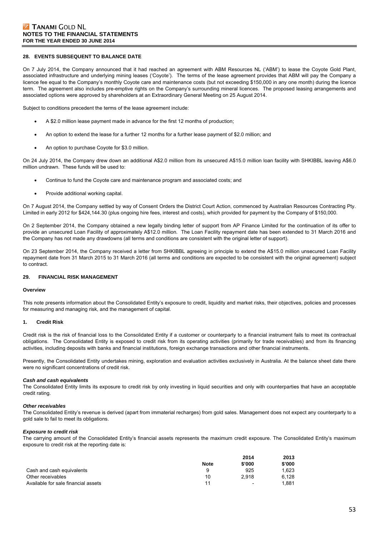#### **28. EVENTS SUBSEQUENT TO BALANCE DATE**

On 7 July 2014, the Company announced that it had reached an agreement with ABM Resources NL ('ABM') to lease the Coyote Gold Plant, associated infrastructure and underlying mining leases ('Coyote'). The terms of the lease agreement provides that ABM will pay the Company a licence fee equal to the Company's monthly Coyote care and maintenance costs (but not exceeding \$150,000 in any one month) during the licence term. The agreement also includes pre-emptive rights on the Company's surrounding mineral licences. The proposed leasing arrangements and associated options were approved by shareholders at an Extraordinary General Meeting on 25 August 2014.

Subject to conditions precedent the terms of the lease agreement include:

- A \$2.0 million lease payment made in advance for the first 12 months of production;
- An option to extend the lease for a further 12 months for a further lease payment of \$2.0 million; and
- An option to purchase Coyote for \$3.0 million.

On 24 July 2014, the Company drew down an additional A\$2.0 million from its unsecured A\$15.0 million loan facility with SHKIBBL leaving A\$6.0 million undrawn. These funds will be used to:

- Continue to fund the Coyote care and maintenance program and associated costs; and
- Provide additional working capital.

On 7 August 2014, the Company settled by way of Consent Orders the District Court Action, commenced by Australian Resources Contracting Pty. Limited in early 2012 for \$424,144.30 (plus ongoing hire fees, interest and costs), which provided for payment by the Company of \$150,000.

On 2 September 2014, the Company obtained a new legally binding letter of support from AP Finance Limited for the continuation of its offer to provide an unsecured Loan Facility of approximately A\$12.0 million. The Loan Facility repayment date has been extended to 31 March 2016 and the Company has not made any drawdowns (all terms and conditions are consistent with the original letter of support).

On 23 September 2014, the Company received a letter from SHKIBBL agreeing in principle to extend the A\$15.0 million unsecured Loan Facility repayment date from 31 March 2015 to 31 March 2016 (all terms and conditions are expected to be consistent with the original agreement) subject to contract.

#### **29. FINANCIAL RISK MANAGEMENT**

#### **Overview**

This note presents information about the Consolidated Entity's exposure to credit, liquidity and market risks, their objectives, policies and processes for measuring and managing risk, and the management of capital.

#### **1. Credit Risk**

Credit risk is the risk of financial loss to the Consolidated Entity if a customer or counterparty to a financial instrument fails to meet its contractual obligations. The Consolidated Entity is exposed to credit risk from its operating activities (primarily for trade receivables) and from its financing activities, including deposits with banks and financial institutions, foreign exchange transactions and other financial instruments.

Presently, the Consolidated Entity undertakes mining, exploration and evaluation activities exclusively in Australia. At the balance sheet date there were no significant concentrations of credit risk.

#### *Cash and cash equivalents*

The Consolidated Entity limits its exposure to credit risk by only investing in liquid securities and only with counterparties that have an acceptable credit rating.

#### *Other receivables*

The Consolidated Entity's revenue is derived (apart from immaterial recharges) from gold sales. Management does not expect any counterparty to a gold sale to fail to meet its obligations.

#### *Exposure to credit risk*

The carrying amount of the Consolidated Entity's financial assets represents the maximum credit exposure. The Consolidated Entity's maximum exposure to credit risk at the reporting date is:

|                                     |             | 2014                     | 2013   |
|-------------------------------------|-------------|--------------------------|--------|
|                                     | <b>Note</b> | \$'000                   | \$'000 |
| Cash and cash equivalents           | 9           | 925                      | 1.623  |
| Other receivables                   | 10          | 2.918                    | 6.128  |
| Available for sale financial assets | 11          | $\overline{\phantom{0}}$ | 1.881  |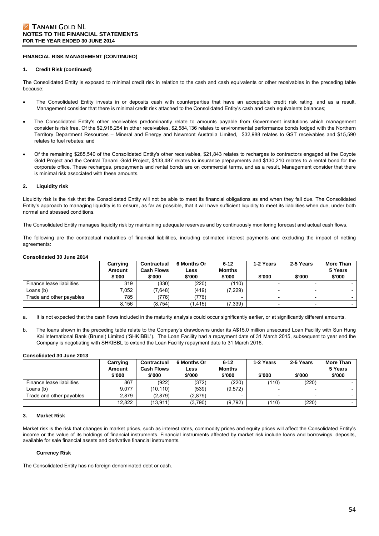# **FINANCIAL RISK MANAGEMENT (CONTINUED)**

#### **1. Credit Risk (continued)**

The Consolidated Entity is exposed to minimal credit risk in relation to the cash and cash equivalents or other receivables in the preceding table because:

- The Consolidated Entity invests in or deposits cash with counterparties that have an acceptable credit risk rating, and as a result, Management consider that there is minimal credit risk attached to the Consolidated Entity's cash and cash equivalents balances;
- The Consolidated Entity's other receivables predominantly relate to amounts payable from Government institutions which management consider is risk free. Of the \$2,918,254 in other receivables, \$2,584,136 relates to environmental performance bonds lodged with the Northern Territory Department Resources – Mineral and Energy and Newmont Australia Limited, \$32,988 relates to GST receivables and \$15,590 relates to fuel rebates; and
- Of the remaining \$285,540 of the Consolidated Entity's other receivables, \$21,843 relates to recharges to contractors engaged at the Coyote Gold Project and the Central Tanami Gold Project, \$133,487 relates to insurance prepayments and \$130,210 relates to a rental bond for the corporate office. These recharges, prepayments and rental bonds are on commercial terms, and as a result, Management consider that there is minimal risk associated with these amounts.

#### **2. Liquidity risk**

Liquidity risk is the risk that the Consolidated Entity will not be able to meet its financial obligations as and when they fall due. The Consolidated Entity's approach to managing liquidity is to ensure, as far as possible, that it will have sufficient liquidity to meet its liabilities when due, under both normal and stressed conditions.

The Consolidated Entity manages liquidity risk by maintaining adequate reserves and by continuously monitoring forecast and actual cash flows.

The following are the contractual maturities of financial liabilities, including estimated interest payments and excluding the impact of netting agreements:

#### **Consolidated 30 June 2014**

|                           | Carrying<br>Amount<br>\$'000 | Contractual<br><b>Cash Flows</b><br>\$'000 | 6 Months Or<br>Less<br>\$'000 | $6 - 12$<br><b>Months</b><br>\$'000 | 1-2 Years<br>\$'000 | 2-5 Years<br>\$'000 | More Than<br>5 Years<br>\$'000 |
|---------------------------|------------------------------|--------------------------------------------|-------------------------------|-------------------------------------|---------------------|---------------------|--------------------------------|
| Finance lease liabilities | 319                          | (330)                                      | (220)                         | (110)                               |                     |                     |                                |
| Loans (b)                 | 7.052                        | (7,648)                                    | (419)                         | (7, 229)                            |                     |                     |                                |
| Trade and other payables  | 785                          | (776)                                      | (776)                         |                                     |                     |                     |                                |
|                           | 8,156                        | (8,754)                                    | (1, 415)                      | (7, 339)                            |                     |                     |                                |

a. It is not expected that the cash flows included in the maturity analysis could occur significantly earlier, or at significantly different amounts.

b. The loans shown in the preceding table relate to the Company's drawdowns under its A\$15.0 million unsecured Loan Facility with Sun Hung Kai International Bank (Brunei) Limited ('SHKIBBL'). The Loan Facility had a repayment date of 31 March 2015, subsequent to year end the Company is negotiating with SHKIBBL to extend the Loan Facility repayment date to 31 March 2016.

#### **Consolidated 30 June 2013**

|                           | Carrying | Contractual       | 6 Months Or | $6 - 12$      | 1-2 Years | 2-5 Years | <b>More Than</b> |
|---------------------------|----------|-------------------|-------------|---------------|-----------|-----------|------------------|
|                           | Amount   | <b>Cash Flows</b> | Less        | <b>Months</b> |           |           | 5 Years          |
|                           | \$'000   | \$'000            | \$'000      | \$'000        | \$'000    | \$'000    | \$'000           |
| Finance lease liabilities | 867      | (922)             | (372)       | (220)         | (110)     | (220)     |                  |
| Loans (b)                 | 9.077    | (10.110)          | (539)       | (9.572)       |           |           |                  |
| Trade and other payables  | 2.879    | (2,879)           | (2,879)     |               |           |           |                  |
|                           | 12,822   | (13, 911)         | (3,790)     | (9,792)       | (110)     | (220)     |                  |

#### **3. Market Risk**

Market risk is the risk that changes in market prices, such as interest rates, commodity prices and equity prices will affect the Consolidated Entity's income or the value of its holdings of financial instruments. Financial instruments affected by market risk include loans and borrowings, deposits, available for sale financial assets and derivative financial instruments.

#### **Currency Risk**

The Consolidated Entity has no foreign denominated debt or cash.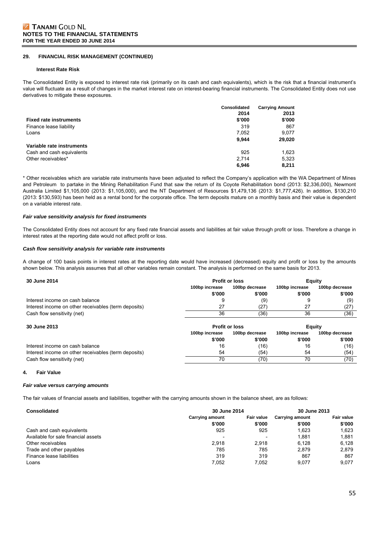### **29. FINANCIAL RISK MANAGEMENT (CONTINUED)**

#### **Interest Rate Risk**

The Consolidated Entity is exposed to interest rate risk (primarily on its cash and cash equivalents), which is the risk that a financial instrument's value will fluctuate as a result of changes in the market interest rate on interest-bearing financial instruments. The Consolidated Entity does not use derivatives to mitigate these exposures.

|                               | <b>Consolidated</b><br>2014 | <b>Carrying Amount</b><br>2013 |
|-------------------------------|-----------------------------|--------------------------------|
| <b>Fixed rate instruments</b> | \$'000                      | \$'000                         |
| Finance lease liability       | 319                         | 867                            |
| Loans                         | 7,052                       | 9,077                          |
|                               | 9.944                       | 29,020                         |
| Variable rate instruments     |                             |                                |
| Cash and cash equivalents     | 925                         | 1.623                          |
| Other receivables*            | 2.714                       | 5.323                          |
|                               | 6.946                       | 8.211                          |

\* Other receivables which are variable rate instruments have been adjusted to reflect the Company's application with the WA Department of Mines and Petroleum to partake in the Mining Rehabilitation Fund that saw the return of its Coyote Rehabilitation bond (2013: \$2,336,000), Newmont Australia Limited \$1,105,000 (2013: \$1,105,000), and the NT Department of Resources \$1,479,136 (2013: \$1,777,426). In addition, \$130,210 (2013: \$130,593) has been held as a rental bond for the corporate office. The term deposits mature on a monthly basis and their value is dependent on a variable interest rate.

#### *Fair value sensitivity analysis for fixed instruments*

The Consolidated Entity does not account for any fixed rate financial assets and liabilities at fair value through profit or loss. Therefore a change in interest rates at the reporting date would not affect profit or loss.

#### *Cash flow sensitivity analysis for variable rate instruments*

A change of 100 basis points in interest rates at the reporting date would have increased (decreased) equity and profit or loss by the amounts shown below. This analysis assumes that all other variables remain constant. The analysis is performed on the same basis for 2013.

| 30 June 2014                                         | <b>Profit or loss</b> |                | Equity         |                |  |
|------------------------------------------------------|-----------------------|----------------|----------------|----------------|--|
|                                                      | 100bp increase        | 100bp decrease | 100bp increase | 100bp decrease |  |
|                                                      | \$'000                | \$'000         | \$'000         | \$'000         |  |
| Interest income on cash balance                      | 9                     | (9)            | 9              | (9)            |  |
| Interest income on other receivables (term deposits) | 27                    | (27)           | 27             | (27)           |  |
| Cash flow sensitivity (net)                          | 36                    | (36)           | 36             | (36)           |  |
| 30 June 2013                                         | <b>Profit or loss</b> |                |                | Equity         |  |
|                                                      | 100bp increase        | 100bp decrease | 100bp increase | 100bp decrease |  |
|                                                      | \$'000                | \$'000         | \$'000         | \$'000         |  |
| Interest income on cash balance                      | 16                    | (16)           | 16             | (16)           |  |
| Interest income on other receivables (term deposits) | 54                    | (54)           | 54             | (54)           |  |
| Cash flow sensitivity (net)                          | 70                    | (70)           | 70             | (70)           |  |

#### **4. Fair Value**

#### *Fair value versus carrying amounts*

The fair values of financial assets and liabilities, together with the carrying amounts shown in the balance sheet, are as follows:

| <b>Consolidated</b>                 | 30 June 2014<br><b>Fair value</b><br>Carrying amount |                          | 30 June 2013           |                   |
|-------------------------------------|------------------------------------------------------|--------------------------|------------------------|-------------------|
|                                     |                                                      |                          | <b>Carrying amount</b> | <b>Fair value</b> |
|                                     | \$'000                                               | \$'000                   | \$'000                 | \$'000            |
| Cash and cash equivalents           | 925                                                  | 925                      | 1.623                  | 1.623             |
| Available for sale financial assets | $\overline{\phantom{0}}$                             | $\overline{\phantom{0}}$ | 1.881                  | 1,881             |
| Other receivables                   | 2.918                                                | 2.918                    | 6.128                  | 6.128             |
| Trade and other payables            | 785                                                  | 785                      | 2.879                  | 2.879             |
| Finance lease liabilities           | 319                                                  | 319                      | 867                    | 867               |
| Loans                               | 7.052                                                | 7.052                    | 9.077                  | 9.077             |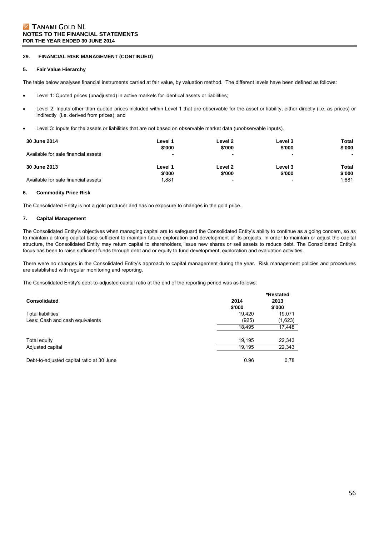### **29. FINANCIAL RISK MANAGEMENT (CONTINUED)**

#### **5. Fair Value Hierarchy**

The table below analyses financial instruments carried at fair value, by valuation method. The different levels have been defined as follows:

- Level 1: Quoted prices (unadjusted) in active markets for identical assets or liabilities;
- Level 2: Inputs other than quoted prices included within Level 1 that are observable for the asset or liability, either directly (i.e. as prices) or indirectly (i.e. derived from prices); and
- Level 3: Inputs for the assets or liabilities that are not based on observable market data (unobservable inputs).

| 30 June 2014                        | Level 1                  | Level 2                  | Level 3 | Total                    |
|-------------------------------------|--------------------------|--------------------------|---------|--------------------------|
|                                     | \$'000                   | \$'000                   | \$'000  | \$'000                   |
| Available for sale financial assets | $\overline{\phantom{a}}$ |                          |         | $\overline{\phantom{0}}$ |
| 30 June 2013                        | Level 1                  | Level 2                  | Level 3 | Total                    |
|                                     | \$'000                   | \$'000                   | \$'000  | \$'000                   |
| Available for sale financial assets | 1,881                    | $\overline{\phantom{0}}$ | -       | 1.881                    |

#### **6. Commodity Price Risk**

The Consolidated Entity is not a gold producer and has no exposure to changes in the gold price.

#### **7. Capital Management**

The Consolidated Entity's objectives when managing capital are to safeguard the Consolidated Entity's ability to continue as a going concern, so as to maintain a strong capital base sufficient to maintain future exploration and development of its projects. In order to maintain or adjust the capital structure, the Consolidated Entity may return capital to shareholders, issue new shares or sell assets to reduce debt. The Consolidated Entity's focus has been to raise sufficient funds through debt and or equity to fund development, exploration and evaluation activities.

There were no changes in the Consolidated Entity's approach to capital management during the year. Risk management policies and procedures are established with regular monitoring and reporting.

The Consolidated Entity's debt-to-adjusted capital ratio at the end of the reporting period was as follows:

| <b>Consolidated</b>                       | 2014<br>\$'000 | *Restated<br>2013<br>\$'000 |
|-------------------------------------------|----------------|-----------------------------|
| <b>Total liabilities</b>                  | 19,420         | 19,071                      |
| Less: Cash and cash equivalents           | (925)          | (1,623)                     |
|                                           | 18,495         | 17,448                      |
| Total equity                              | 19,195         | 22,343                      |
| Adjusted capital                          | 19,195         | 22,343                      |
| Debt-to-adjusted capital ratio at 30 June | 0.96           | 0.78                        |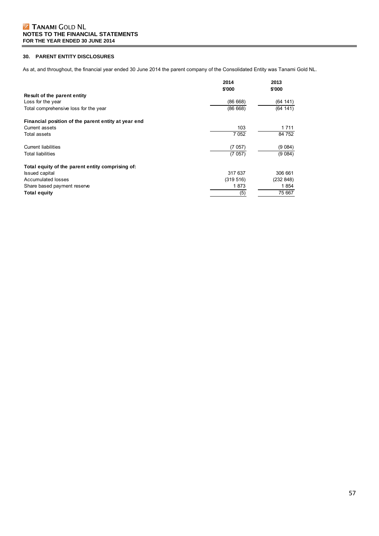# **30. PARENT ENTITY DISCLOSURES**

As at, and throughout, the financial year ended 30 June 2014 the parent company of the Consolidated Entity was Tanami Gold NL.

|                                                     | 2014<br>\$'000 | 2013<br>\$'000 |
|-----------------------------------------------------|----------------|----------------|
| Result of the parent entity                         |                |                |
| Loss for the year                                   | (86668)        | (64141)        |
| Total comprehensive loss for the year               | (86668)        | (64 141)       |
| Financial position of the parent entity at year end |                |                |
| Current assets                                      | 103            | 1 7 1 1        |
| Total assets                                        | 7 0 5 2        | 84 752         |
| <b>Current liabilities</b>                          | (7057)         | (9 084)        |
| <b>Total liabilities</b>                            | (7057)         | (9084)         |
| Total equity of the parent entity comprising of:    |                |                |
| <b>Issued capital</b>                               | 317 637        | 306 661        |
| Accumulated losses                                  | (319 516)      | (232 848)      |
| Share based payment reserve                         | 1873           | 1854           |
| <b>Total equity</b>                                 | (5)            | 75 667         |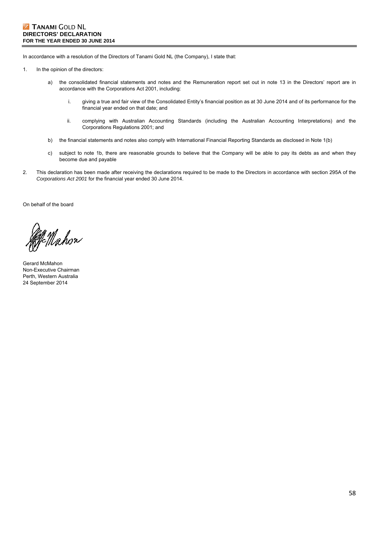In accordance with a resolution of the Directors of Tanami Gold NL (the Company), I state that:

- 1. In the opinion of the directors:
	- a) the consolidated financial statements and notes and the Remuneration report set out in note 13 in the Directors' report are in accordance with the Corporations Act 2001, including:
		- i. giving a true and fair view of the Consolidated Entity's financial position as at 30 June 2014 and of its performance for the financial year ended on that date; and
		- ii. complying with Australian Accounting Standards (including the Australian Accounting Interpretations) and the Corporations Regulations 2001; and
	- b) the financial statements and notes also comply with International Financial Reporting Standards as disclosed in Note 1(b)
	- c) subject to note 1b, there are reasonable grounds to believe that the Company will be able to pay its debts as and when they become due and payable
- 2. This declaration has been made after receiving the declarations required to be made to the Directors in accordance with section 295A of the *Corporations Act 2001* for the financial year ended 30 June 2014.

On behalf of the board

gg mahon

Gerard McMahon Non-Executive Chairman Perth, Western Australia 24 September 2014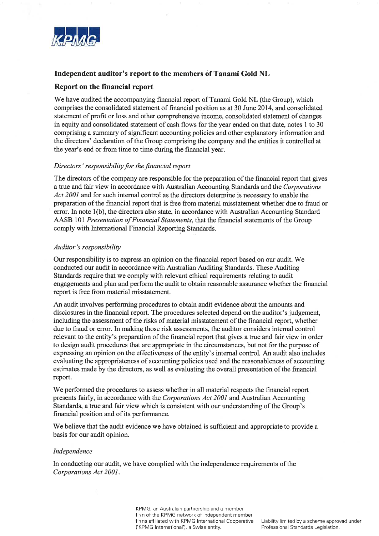

# Independent auditor's report to the members of Tanami Gold NL

# Report on the financial report

We have audited the accompanying financial report of Tanami Gold NL (the Group), which comprises the consolidated statement of financial position as at 30 June 2014, and consolidated statement of profit or loss and other comprehensive income, consolidated statement of changes in equity and consolidated statement of cash flows for the year ended on that date, notes 1 to 30 comprising a summary of significant accounting policies and other explanatory information and the directors' declaration of the Group comprising the company and the entities it controlled at the year's end or from time to time during the financial year.

# Directors' responsibility for the financial report

The directors of the company are responsible for the preparation of the financial report that gives a true and fair view in accordance with Australian Accounting Standards and the Corporations Act 2001 and for such internal control as the directors determine is necessary to enable the preparation of the financial report that is free from material misstatement whether due to fraud or error. In note 1(b), the directors also state, in accordance with Australian Accounting Standard AASB 101 Presentation of Financial Statements, that the financial statements of the Group comply with International Financial Reporting Standards.

# Auditor's responsibility

Our responsibility is to express an opinion on the financial report based on our audit. We conducted our audit in accordance with Australian Auditing Standards. These Auditing Standards require that we comply with relevant ethical requirements relating to audit engagements and plan and perform the audit to obtain reasonable assurance whether the financial report is free from material misstatement.

An audit involves performing procedures to obtain audit evidence about the amounts and disclosures in the financial report. The procedures selected depend on the auditor's judgement, including the assessment of the risks of material misstatement of the financial report, whether due to fraud or error. In making those risk assessments, the auditor considers internal control relevant to the entity's preparation of the financial report that gives a true and fair view in order to design audit procedures that are appropriate in the circumstances, but not for the purpose of expressing an opinion on the effectiveness of the entity's internal control. An audit also includes evaluating the appropriateness of accounting policies used and the reasonableness of accounting estimates made by the directors, as well as evaluating the overall presentation of the financial report.

We performed the procedures to assess whether in all material respects the financial report presents fairly, in accordance with the Corporations Act 2001 and Australian Accounting Standards, a true and fair view which is consistent with our understanding of the Group's financial position and of its performance.

We believe that the audit evidence we have obtained is sufficient and appropriate to provide a basis for our audit opinion.

# Independence

In conducting our audit, we have complied with the independence requirements of the Corporations Act 2001.

> KPMG, an Australian partnership and a member firm of the KPMG network of independent member firms affiliated with KPMG International Cooperative ("KPMG International"), a Swiss entity.

Liability limited by a scheme approved under Professional Standards Legislation.